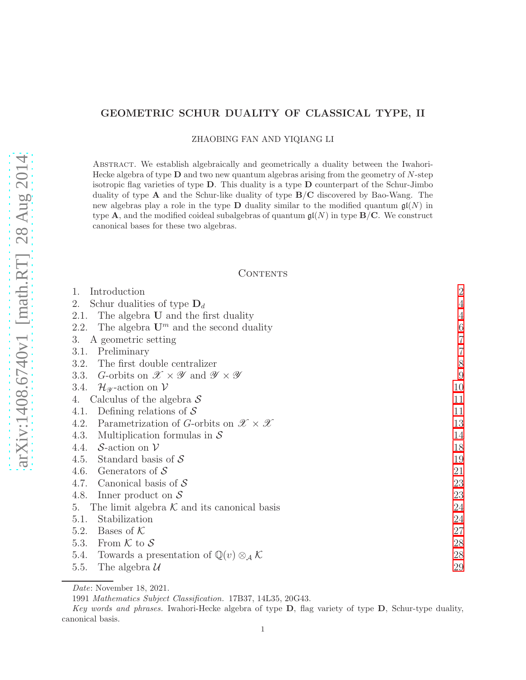# GEOMETRIC SCHUR DUALITY OF CLASSICAL TYPE, II

ZHAOBING FAN AND YIQIANG LI

Abstract. We establish algebraically and geometrically a duality between the Iwahori-Hecke algebra of type  $D$  and two new quantum algebras arising from the geometry of  $N$ -step isotropic flag varieties of type D. This duality is a type D counterpart of the Schur-Jimbo duality of type  $A$  and the Schur-like duality of type  $B/C$  discovered by Bao-Wang. The new algebras play a role in the type **D** duality similar to the modified quantum  $\mathfrak{gl}(N)$  in type **A**, and the modified coideal subalgebras of quantum  $\mathfrak{gl}(N)$  in type **B/C**. We construct canonical bases for these two algebras.

## **CONTENTS**

| 1.<br>Introduction                                                                        | $\overline{2}$           |
|-------------------------------------------------------------------------------------------|--------------------------|
| Schur dualities of type $\mathbf{D}_d$<br>2.                                              | $\overline{4}$           |
| The algebra <b>U</b> and the first duality<br>2.1.                                        | $\overline{\mathcal{L}}$ |
| The algebra $\mathbf{U}^m$ and the second duality<br>2.2.                                 | $\boldsymbol{6}$         |
| A geometric setting<br>3.                                                                 | $\overline{7}$           |
| Preliminary<br>3.1.                                                                       | $\overline{7}$           |
| The first double centralizer<br>3.2.                                                      | 8                        |
| G-orbits on $\mathscr{X} \times \mathscr{Y}$ and $\mathscr{Y} \times \mathscr{Y}$<br>3.3. | 9                        |
| 3.4. $\mathcal{H}_{\mathscr{Y}}$ -action on $\mathcal{V}$                                 | 10                       |
| Calculus of the algebra $S$<br>4.                                                         | 11                       |
| Defining relations of $\mathcal S$<br>4.1.                                                | 11                       |
| Parametrization of G-orbits on $\mathscr{X} \times \mathscr{X}$<br>4.2.                   | 13                       |
| Multiplication formulas in $\mathcal S$<br>4.3.                                           | 14                       |
| 4.4. S-action on $\mathcal V$                                                             | 18                       |
| 4.5. Standard basis of $S$                                                                | 19                       |
| 4.6. Generators of $S$                                                                    | 21                       |
| 4.7. Canonical basis of $S$                                                               | 23                       |
| 4.8.<br>Inner product on $S$                                                              | 23                       |
| The limit algebra $K$ and its canonical basis<br>5.                                       | 24                       |
| Stabilization<br>5.1.                                                                     | 24                       |
| Bases of $K$<br>5.2.                                                                      | 27                       |
| From $K$ to $S$<br>5.3.                                                                   | 28                       |
| 5.4. Towards a presentation of $\mathbb{Q}(v) \otimes_{\mathcal{A}} \mathcal{K}$          | 28                       |
| 5.5.<br>The algebra $\mathcal{U}$                                                         | 29                       |
|                                                                                           |                          |

Date: November 18, 2021.

<sup>1991</sup> Mathematics Subject Classification. 17B37, 14L35, 20G43.

Key words and phrases. Iwahori-Hecke algebra of type D, flag variety of type D, Schur-type duality, canonical basis.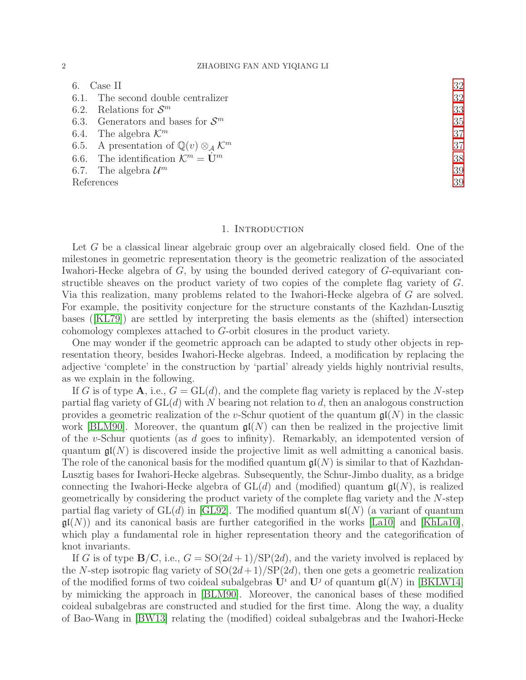## 2 ZHAOBING FAN AND YIQIANG LI

| Case II                                                                    | 32 |
|----------------------------------------------------------------------------|----|
| 6.1. The second double centralizer                                         | 32 |
| 6.2. Relations for $\mathcal{S}^m$                                         | 33 |
| 6.3. Generators and bases for $\mathcal{S}^m$                              | 35 |
| 6.4. The algebra $\mathcal{K}^m$                                           | 37 |
| 6.5. A presentation of $\mathbb{Q}(v) \otimes_{\mathcal{A}} \mathcal{K}^m$ | 37 |
| 6.6. The identification $\mathcal{K}^m = \mathbf{U}^m$                     | 38 |
| 6.7. The algebra $\mathcal{U}^m$                                           | 39 |
| References                                                                 | 39 |
|                                                                            |    |

#### 1. INTRODUCTION

<span id="page-1-0"></span>Let G be a classical linear algebraic group over an algebraically closed field. One of the milestones in geometric representation theory is the geometric realization of the associated Iwahori-Hecke algebra of G, by using the bounded derived category of G-equivariant constructible sheaves on the product variety of two copies of the complete flag variety of G. Via this realization, many problems related to the Iwahori-Hecke algebra of G are solved. For example, the positivity conjecture for the structure constants of the Kazhdan-Lusztig bases ([\[KL79\]](#page-39-0)) are settled by interpreting the basis elements as the (shifted) intersection cohomology complexes attached to G-orbit closures in the product variety.

One may wonder if the geometric approach can be adapted to study other objects in representation theory, besides Iwahori-Hecke algebras. Indeed, a modification by replacing the adjective 'complete' in the construction by 'partial' already yields highly nontrivial results, as we explain in the following.

If G is of type A, i.e.,  $G = GL(d)$ , and the complete flag variety is replaced by the N-step partial flag variety of  $GL(d)$  with N bearing not relation to d, then an analogous construction provides a geometric realization of the v-Schur quotient of the quantum  $\mathfrak{gl}(N)$  in the classic work [\[BLM90\]](#page-38-2). Moreover, the quantum  $\mathfrak{gl}(N)$  can then be realized in the projective limit of the v-Schur quotients (as d goes to infinity). Remarkably, an idempotented version of quantum  $\mathfrak{gl}(N)$  is discovered inside the projective limit as well admitting a canonical basis. The role of the canonical basis for the modified quantum  $\mathfrak{gl}(N)$  is similar to that of Kazhdan-Lusztig bases for Iwahori-Hecke algebras. Subsequently, the Schur-Jimbo duality, as a bridge connecting the Iwahori-Hecke algebra of  $GL(d)$  and (modified) quantum  $\mathfrak{gl}(N)$ , is realized geometrically by considering the product variety of the complete flag variety and the N-step partial flag variety of  $GL(d)$  in [\[GL92\]](#page-39-1). The modified quantum  $\mathfrak{sl}(N)$  (a variant of quantum  $\mathfrak{gl}(N)$ ) and its canonical basis are further categorified in the works [\[La10\]](#page-39-2) and [\[KhLa10\]](#page-39-3), which play a fundamental role in higher representation theory and the categorification of knot invariants.

If G is of type  $\mathbf{B}/\mathbf{C}$ , i.e.,  $G = \text{SO}(2d+1)/\text{SP}(2d)$ , and the variety involved is replaced by the N-step isotropic flag variety of  $SO(2d+1)/SP(2d)$ , then one gets a geometric realization of the modified forms of two coideal subalgebras  $\mathbf{U}^i$  and  $\mathbf{U}^j$  of quantum  $\mathfrak{gl}(N)$  in [\[BKLW14\]](#page-38-3) by mimicking the approach in [\[BLM90\]](#page-38-2). Moreover, the canonical bases of these modified coideal subalgebras are constructed and studied for the first time. Along the way, a duality of Bao-Wang in [\[BW13\]](#page-38-4) relating the (modified) coideal subalgebras and the Iwahori-Hecke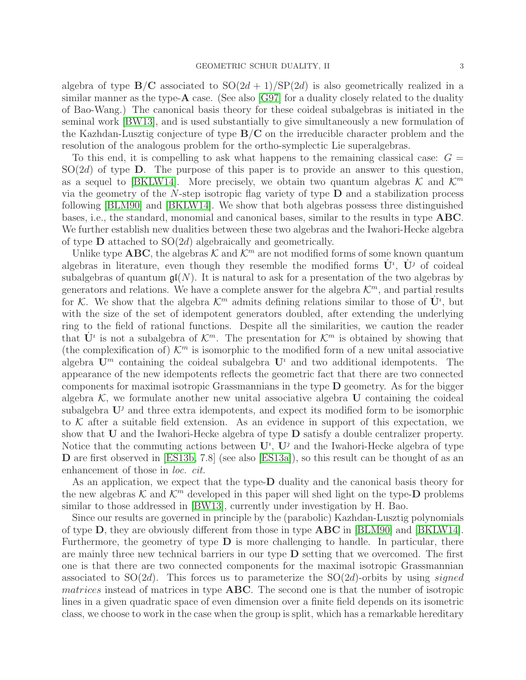algebra of type  $B/C$  associated to  $SO(2d+1)/SP(2d)$  is also geometrically realized in a similar manner as the type- $\bf{A}$  case. (See also [\[G97\]](#page-39-4) for a duality closely related to the duality of Bao-Wang.) The canonical basis theory for these coideal subalgebras is initiated in the seminal work [\[BW13\]](#page-38-4), and is used substantially to give simultaneously a new formulation of the Kazhdan-Lusztig conjecture of type  $B/C$  on the irreducible character problem and the resolution of the analogous problem for the ortho-symplectic Lie superalgebras.

To this end, it is compelling to ask what happens to the remaining classical case:  $G =$  $SO(2d)$  of type **D**. The purpose of this paper is to provide an answer to this question, as a sequel to [\[BKLW14\]](#page-38-3). More precisely, we obtain two quantum algebras  $\mathcal{K}$  and  $\mathcal{K}^m$ via the geometry of the  $N$ -step isotropic flag variety of type  **and a stabilization process** following [\[BLM90\]](#page-38-2) and [\[BKLW14\]](#page-38-3). We show that both algebras possess three distinguished bases, i.e., the standard, monomial and canonical bases, similar to the results in type ABC. We further establish new dualities between these two algebras and the Iwahori-Hecke algebra of type  $\bf{D}$  attached to  $SO(2d)$  algebraically and geometrically.

Unlike type **ABC**, the algebras K and  $\mathcal{K}^m$  are not modified forms of some known quantum algebras in literature, even though they resemble the modified forms  $\dot{\mathbf{U}}$ <sup>*i*</sup>,  $\dot{\mathbf{U}}$ <sup>*j*</sup> of coideal subalgebras of quantum  $\mathfrak{gl}(N)$ . It is natural to ask for a presentation of the two algebras by generators and relations. We have a complete answer for the algebra  $\mathcal{K}^m$ , and partial results for K. We show that the algebra  $\mathcal{K}^m$  admits defining relations similar to those of  $\dot{\mathbf{U}}^i$ , but with the size of the set of idempotent generators doubled, after extending the underlying ring to the field of rational functions. Despite all the similarities, we caution the reader that  $\dot{\mathbf{U}}^i$  is not a subalgebra of  $\mathcal{K}^m$ . The presentation for  $\mathcal{K}^m$  is obtained by showing that (the complexification of)  $\mathcal{K}^m$  is isomorphic to the modified form of a new unital associative algebra  $\mathbf{U}^m$  containing the coideal subalgebra  $\mathbf{U}^i$  and two additional idempotents. The appearance of the new idempotents reflects the geometric fact that there are two connected components for maximal isotropic Grassmannians in the type D geometry. As for the bigger algebra  $K$ , we formulate another new unital associative algebra U containing the coideal subalgebra  $U^j$  and three extra idempotents, and expect its modified form to be isomorphic to  $K$  after a suitable field extension. As an evidence in support of this expectation, we show that  **and the Iwahori-Hecke algebra of type**  $**D**$  **satisfy a double centralizer property.** Notice that the commuting actions between  $\mathbf{U}^i$ ,  $\mathbf{U}^j$  and the Iwahori-Hecke algebra of type D are first observed in [\[ES13b,](#page-39-5) 7.8] (see also [\[ES13a\]](#page-39-6)), so this result can be thought of as an enhancement of those in *loc. cit.*

As an application, we expect that the type-D duality and the canonical basis theory for the new algebras  $K$  and  $K^m$  developed in this paper will shed light on the type-**D** problems similar to those addressed in [\[BW13\]](#page-38-4), currently under investigation by H. Bao.

Since our results are governed in principle by the (parabolic) Kazhdan-Lusztig polynomials of type D, they are obviously different from those in type ABC in [\[BLM90\]](#page-38-2) and [\[BKLW14\]](#page-38-3). Furthermore, the geometry of type  $\bf{D}$  is more challenging to handle. In particular, there are mainly three new technical barriers in our type  $D$  setting that we overcomed. The first one is that there are two connected components for the maximal isotropic Grassmannian associated to  $SO(2d)$ . This forces us to parameterize the  $SO(2d)$ -orbits by using *signed* matrices instead of matrices in type **ABC**. The second one is that the number of isotropic lines in a given quadratic space of even dimension over a finite field depends on its isometric class, we choose to work in the case when the group is split, which has a remarkable hereditary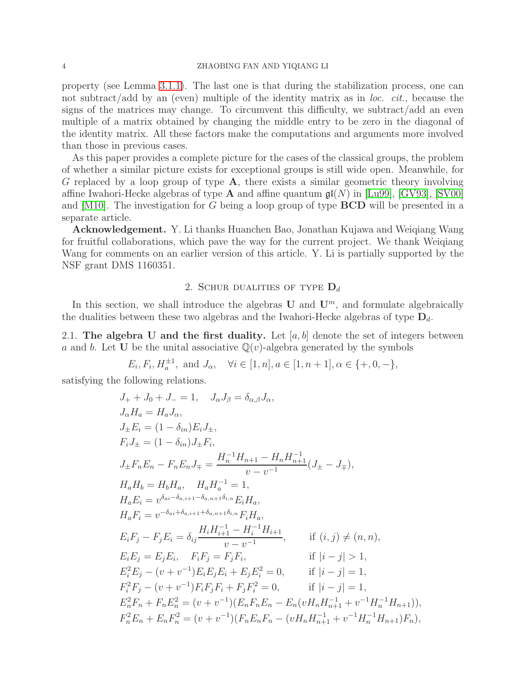## 4 ZHAOBING FAN AND YIQIANG LI

property (see Lemma [3.1.1\)](#page-6-2). The last one is that during the stabilization process, one can not subtract/add by an (even) multiple of the identity matrix as in *loc. cit.*, because the signs of the matrices may change. To circumvent this difficulty, we subtract/add an even multiple of a matrix obtained by changing the middle entry to be zero in the diagonal of the identity matrix. All these factors make the computations and arguments more involved than those in previous cases.

As this paper provides a complete picture for the cases of the classical groups, the problem of whether a similar picture exists for exceptional groups is still wide open. Meanwhile, for G replaced by a loop group of type A, there exists a similar geometric theory involving affine Iwahori-Hecke algebras of type **A** and affine quantum  $\mathfrak{gl}(N)$  in [\[Lu99\]](#page-39-7), [\[GV93\]](#page-39-8), [\[SV00\]](#page-39-9) and  $[M10]$ . The investigation for G being a loop group of type **BCD** will be presented in a separate article.

Acknowledgement. Y. Li thanks Huanchen Bao, Jonathan Kujawa and Weiqiang Wang for fruitful collaborations, which pave the way for the current project. We thank Weiqiang Wang for comments on an earlier version of this article. Y. Li is partially supported by the NSF grant DMS 1160351.

## 2. SCHUR DUALITIES OF TYPE  $D_d$

<span id="page-3-0"></span>In this section, we shall introduce the algebras  $\mathbf U$  and  $\mathbf U^m$ , and formulate algebraically the dualities between these two algebras and the Iwahori-Hecke algebras of type  $D_d$ .

<span id="page-3-1"></span>2.1. The algebra U and the first duality. Let  $[a, b]$  denote the set of integers between a and b. Let U be the unital associative  $\mathbb{Q}(v)$ -algebra generated by the symbols

 $E_i, F_i, H_a^{\pm 1}$ , and  $J_\alpha$ ,  $\forall i \in [1, n], a \in [1, n + 1], \alpha \in \{+, 0, -\},$ 

satisfying the following relations.

$$
J_{+} + J_{0} + J_{-} = 1, \quad J_{\alpha}J_{\beta} = \delta_{\alpha,\beta}J_{\alpha},
$$
  
\n
$$
J_{\alpha}H_{a} = H_{a}J_{\alpha},
$$
  
\n
$$
J_{+}E_{i} = (1 - \delta_{in})E_{i}J_{+},
$$
  
\n
$$
F_{i}J_{+} = (1 - \delta_{in})J_{+}F_{i},
$$
  
\n
$$
J_{+}F_{n}E_{n} - F_{n}E_{n}J_{\mp} = \frac{H_{n}^{-1}H_{n+1} - H_{n}H_{n+1}^{-1}}{v - v^{-1}}(J_{+} - J_{\mp}),
$$
  
\n
$$
H_{a}H_{b} = H_{b}H_{a}, \quad H_{a}H_{a}^{-1} = 1,
$$
  
\n
$$
H_{a}E_{i} = v^{\delta_{ai} - \delta_{a,i+1} - \delta_{a,n+1}\delta_{i,n}}E_{i}H_{a},
$$
  
\n
$$
H_{a}F_{i} = v^{-\delta_{ai} + \delta_{a,i+1} + \delta_{a,n+1}\delta_{i,n}}F_{i}H_{a},
$$
  
\n
$$
E_{i}F_{j} - F_{j}E_{i} = \delta_{ij}\frac{H_{i}H_{i+1}^{-1} - H_{i}^{-1}H_{i+1}}{v - v^{-1}}, \quad \text{if } (i, j) \neq (n, n),
$$
  
\n
$$
E_{i}E_{j} = E_{j}E_{i}, \quad F_{i}F_{j} = F_{j}F_{i}, \quad \text{if } |i - j| > 1,
$$
  
\n
$$
E_{i}^{2}E_{j} - (v + v^{-1})E_{i}E_{j}E_{i} + E_{j}E_{i}^{2} = 0, \quad \text{if } |i - j| = 1,
$$
  
\n
$$
F_{i}^{2}F_{i} - (v + v^{-1})F_{i}F_{j}F_{i} + F_{j}F_{i}^{2} = 0, \quad \text{if } |i - j| = 1,
$$
  
\n
$$
E_{n}^{2}F_{n} + F_{n}E_{n}^{2} = (v + v^{-1})(E_{n}F_{n}E_{n} - E_{
$$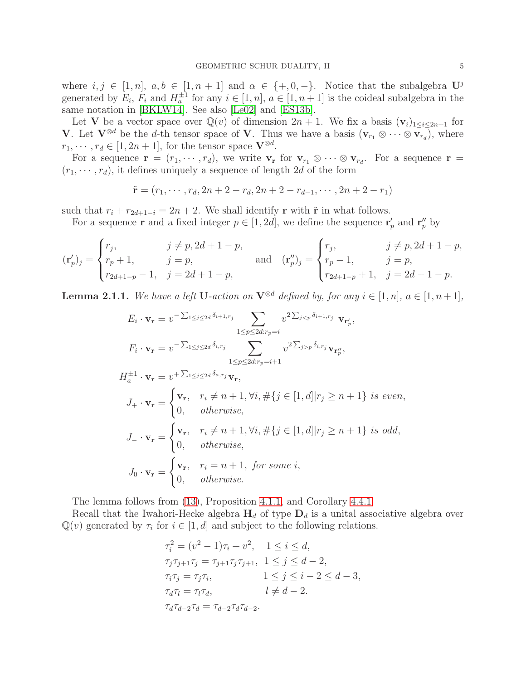where  $i, j \in [1, n], a, b \in [1, n + 1]$  and  $\alpha \in \{+, 0, -\}.$  Notice that the subalgebra  $\mathbf{U}^j$ generated by  $E_i$ ,  $F_i$  and  $H_a^{\pm 1}$  for any  $i \in [1, n]$ ,  $a \in [1, n+1]$  is the coideal subalgebra in the same notation in [\[BKLW14\]](#page-38-3). See also [\[Le02\]](#page-39-11) and [\[ES13b\]](#page-39-5).

Let V be a vector space over  $\mathbb{Q}(v)$  of dimension  $2n + 1$ . We fix a basis  $(v_i)_{1 \leq i \leq 2n+1}$  for V. Let  $V^{\otimes d}$  be the d-th tensor space of V. Thus we have a basis  $(\mathbf{v}_{r_1} \otimes \cdots \otimes \mathbf{v}_{r_d})$ , where  $r_1, \dots, r_d \in [1, 2n+1]$ , for the tensor space  $\mathbf{V}^{\otimes d}$ .

For a sequence  $\mathbf{r} = (r_1, \dots, r_d)$ , we write  $\mathbf{v}_r$  for  $\mathbf{v}_{r_1} \otimes \cdots \otimes \mathbf{v}_{r_d}$ . For a sequence  $\mathbf{r} =$  $(r_1, \dots, r_d)$ , it defines uniquely a sequence of length 2d of the form

$$
\tilde{\mathbf{r}} = (r_1, \cdots, r_d, 2n + 2 - r_d, 2n + 2 - r_{d-1}, \cdots, 2n + 2 - r_1)
$$

such that  $r_i + r_{2d+1-i} = 2n + 2$ . We shall identify r with  $\tilde{r}$  in what follows.

For a sequence **r** and a fixed integer  $p \in [1, 2d]$ , we define the sequence  $\mathbf{r}'_p$  and  $\mathbf{r}''_p$  by

$$
(\mathbf{r}'_p)_j = \begin{cases} r_j, & j \neq p, 2d+1-p, \\ r_p+1, & j=p, \\ r_{2d+1-p}-1, & j=2d+1-p, \end{cases} \text{ and } (\mathbf{r}''_p)_j = \begin{cases} r_j, & j \neq p, 2d+1-p, \\ r_p-1, & j=p, \\ r_{2d+1-p}+1, & j=2d+1-p. \end{cases}
$$

<span id="page-4-0"></span>**Lemma 2.1.1.** We have a left **U**-action on  $\mathbf{V}^{\otimes d}$  defined by, for any  $i \in [1, n]$ ,  $a \in [1, n+1]$ *,* 

$$
E_i \cdot \mathbf{v_r} = v^{-\sum_{1 \le j \le 2d} \delta_{i+1,r_j}} \sum_{1 \le p \le 2d:r_p = i} v^{2\sum_{j < p} \delta_{i+1,r_j}} \mathbf{v_{r'_p}},
$$
\n
$$
F_i \cdot \mathbf{v_r} = v^{-\sum_{1 \le j \le 2d} \delta_{i,r_j}} \sum_{1 \le p \le 2d:r_p = i+1} v^{2\sum_{j > p} \delta_{i,r_j}} \mathbf{v_{r''_p}},
$$
\n
$$
H_a^{\pm 1} \cdot \mathbf{v_r} = v^{\mp \sum_{1 \le j \le 2d} \delta_{a,r_j}} \mathbf{v_r},
$$
\n
$$
J_+ \cdot \mathbf{v_r} = \begin{cases} \mathbf{v_r}, & r_i \neq n+1, \forall i, \#\{j \in [1, d] | r_j \ge n+1\} \text{ is even,} \\ 0, & \text{otherwise,} \end{cases}
$$
\n
$$
J_- \cdot \mathbf{v_r} = \begin{cases} \mathbf{v_r}, & r_i \neq n+1, \forall i, \#\{j \in [1, d] | r_j \ge n+1\} \text{ is odd,} \\ 0, & \text{otherwise,} \end{cases}
$$
\n
$$
J_0 \cdot \mathbf{v_r} = \begin{cases} \mathbf{v_r}, & r_i = n+1, \text{ for some } i, \\ 0, & \text{otherwise.} \end{cases}
$$

The lemma follows from [\(13\)](#page-9-1), Proposition [4.1.1,](#page-11-0) and Corollary [4.4.1.](#page-17-1)

Recall that the Iwahori-Hecke algebra  $H_d$  of type  $D_d$  is a unital associative algebra over  $\mathbb{Q}(v)$  generated by  $\tau_i$  for  $i \in [1, d]$  and subject to the following relations.

$$
\tau_i^2 = (v^2 - 1)\tau_i + v^2, \quad 1 \le i \le d,
$$
  
\n
$$
\tau_j \tau_{j+1} \tau_j = \tau_{j+1} \tau_j \tau_{j+1}, \quad 1 \le j \le d - 2,
$$
  
\n
$$
\tau_i \tau_j = \tau_j \tau_i, \qquad 1 \le j \le i - 2 \le d - 3,
$$
  
\n
$$
\tau_d \tau_l = \tau_l \tau_d, \qquad l \ne d - 2.
$$
  
\n
$$
\tau_d \tau_{d-2} \tau_d = \tau_{d-2} \tau_d \tau_{d-2}.
$$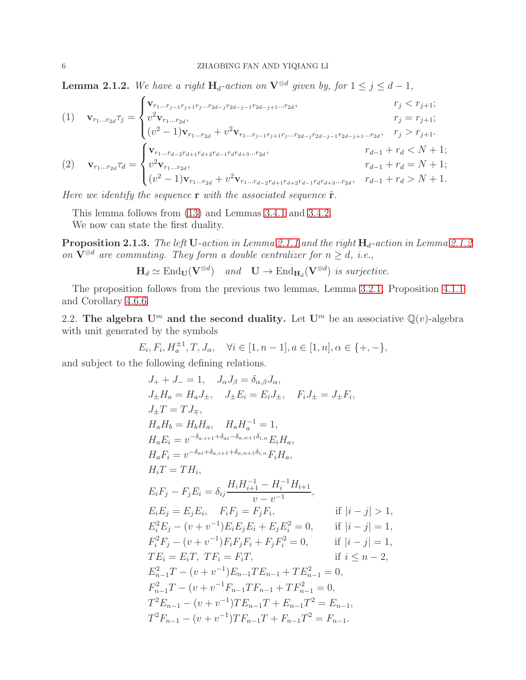<span id="page-5-1"></span>**Lemma 2.1.2.** We have a right  $H_d$ -action on  $V^{\otimes d}$  given by, for  $1 \leq j \leq d-1$ ,

(1) 
$$
\mathbf{v}_{r_1...r_{2d}}\tau_j = \begin{cases} \mathbf{v}_{r_1...r_{j-1}r_{j+1}r_j...r_{2d-j}r_{2d-j-1}r_{2d-j+1}...r_{2d}, & r_j < r_{j+1}; \\ v^2 \mathbf{v}_{r_1...r_{2d}}, & r_j = r_{j+1}; \\ (v^2 - 1)\mathbf{v}_{r_1...r_{2d}} + v^2 \mathbf{v}_{r_1...r_{j-1}r_{j+1}r_j...r_{2d-j}r_{2d-j-1}r_{2d-j+1}...r_{2d}}, & r_j > r_{j+1}. \end{cases}
$$
  
(2) 
$$
\mathbf{v}_{r_1...r_{2d}}\tau_d = \begin{cases} \mathbf{v}_{r_1...r_{d-2}r_{d+1}r_{d+2}r_{d-1}r_{d}r_{d+3}...r_{2d}, & r_{d-1} + r_d < N+1; \\ v^2 \mathbf{v}_{r_1...r_{2d}}, & r_{d-1} + r_d = N+1; \\ (v^2 - 1)\mathbf{v}_{r_1...r_{2d}} + v^2 \mathbf{v}_{r_1...r_{d-2}r_{d+1}r_{d+2}r_{d-1}r_{d}r_{d+3}...r_{2d}}, & r_{d-1} + r_d > N+1. \end{cases}
$$

*Here we identify the sequence* **r** *with the associated sequence*  $\tilde{\mathbf{r}}$ *.* 

This lemma follows from [\(13\)](#page-9-1) and Lemmas [3.4.1](#page-9-2) and [3.4.2.](#page-9-3)

We now can state the first duality.

 $\bf{Proposition 2.1.3.}$  *The left*  $\bf{U}$ *-action in Lemma [2.1.1](#page-4-0) and the right*  $\bf{H}_d$ *-action in Lemma [2.1.2](#page-5-1) on*  $\mathbf{V}^{\otimes d}$  *are commuting. They form a double centralizer for*  $n \geq d$ , *i.e.*,

$$
\mathbf{H}_d \simeq \text{End}_{\mathbf{U}}(\mathbf{V}^{\otimes d}) \quad \text{and} \quad \mathbf{U} \to \text{End}_{\mathbf{H}_d}(\mathbf{V}^{\otimes d}) \text{ is surjective.}
$$

The proposition follows from the previous two lemmas, Lemma [3.2.1,](#page-8-1) Proposition [4.1.1](#page-11-0) and Corollary [4.6.6.](#page-22-2)

<span id="page-5-0"></span>2.2. The algebra  $U^m$  and the second duality. Let  $U^m$  be an associative  $\mathbb{Q}(v)$ -algebra with unit generated by the symbols

$$
E_i, F_i, H_a^{\pm 1}, T, J_\alpha, \quad \forall i \in [1, n-1], a \in [1, n], \alpha \in \{+, -\},\
$$

and subject to the following defining relations.

$$
J_{+} + J_{-} = 1, \quad J_{\alpha}J_{\beta} = \delta_{\alpha,\beta}J_{\alpha},
$$
  
\n
$$
J_{\pm}H_{a} = H_{a}J_{\pm}, \quad J_{\pm}E_{i} = E_{i}J_{\pm}, \quad F_{i}J_{\pm} = J_{\pm}F_{i},
$$
  
\n
$$
J_{\pm}T = TJ_{\mp},
$$
  
\n
$$
H_{a}H_{b} = H_{b}H_{a}, \quad H_{a}H_{a}^{-1} = 1,
$$
  
\n
$$
H_{a}E_{i} = v^{-\delta_{a,i+1} + \delta_{ai} - \delta_{a,n+1} \delta_{i,n}} E_{i}H_{a},
$$
  
\n
$$
H_{a}F_{i} = v^{-\delta_{ai} + \delta_{a,i+1} + \delta_{a,n+1} \delta_{i,n}} F_{i}H_{a},
$$
  
\n
$$
H_{i}T = TH_{i},
$$
  
\n
$$
E_{i}F_{j} - F_{j}E_{i} = \delta_{ij} \frac{H_{i}H_{i+1}^{-1} - H_{i}^{-1}H_{i+1}}{v - v^{-1}},
$$
  
\n
$$
E_{i}E_{j} = E_{j}E_{i}, \quad F_{i}F_{j} = F_{j}F_{i}, \quad \text{if } |i - j| > 1,
$$
  
\n
$$
E_{i}^{2}E_{j} - (v + v^{-1})E_{i}E_{j}E_{i} + E_{j}E_{i}^{2} = 0, \quad \text{if } |i - j| = 1,
$$
  
\n
$$
F_{i}^{2}F_{j} - (v + v^{-1})F_{i}F_{j}F_{i} + F_{j}F_{i}^{2} = 0, \quad \text{if } |i - j| = 1,
$$
  
\n
$$
TE_{i} = E_{i}T, TF_{i} = F_{i}T, \quad \text{if } i \leq n - 2,
$$
  
\n
$$
E_{n-1}^{2}T - (v + v^{-1})E_{n-1}TE_{n-1} + TE_{n-1}^{2} = 0,
$$
  
\n
$$
T^{2}E_{n-1} - (v + v^{-1})TE_{n-1}T + E_{n-1}T^{2} =
$$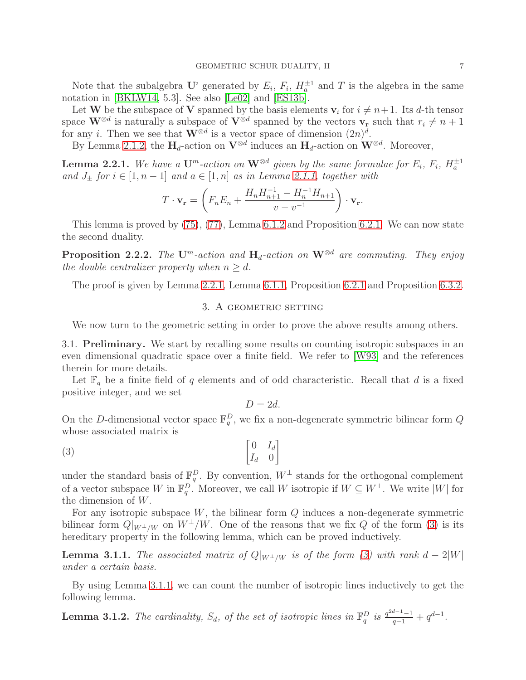Note that the subalgebra  $\mathbf{U}^i$  generated by  $E_i$ ,  $F_i$ ,  $H_a^{\pm 1}$  and T is the algebra in the same notation in [\[BKLW14,](#page-38-3) 5.3]. See also [\[Le02\]](#page-39-11) and [\[ES13b\]](#page-39-5).

Let **W** be the subspace of **V** spanned by the basis elements  $\mathbf{v}_i$  for  $i \neq n+1$ . Its d-th tensor space  $\mathbf{W}^{\otimes d}$  is naturally a subspace of  $\mathbf{V}^{\otimes d}$  spanned by the vectors  $\mathbf{v}_r$  such that  $r_i \neq n+1$ for any *i*. Then we see that  $\mathbf{W}^{\otimes d}$  is a vector space of dimension  $(2n)^d$ .

By Lemma [2.1.2,](#page-5-1) the  $H_d$ -action on  $V^{\otimes d}$  induces an  $H_d$ -action on  $W^{\otimes d}$ . Moreover,

<span id="page-6-3"></span>**Lemma 2.2.1.** We have a  $\mathbf{U}^m$ -action on  $\mathbf{W}^{\otimes d}$  given by the same formulae for  $E_i$ ,  $F_i$ ,  $H_a^{\pm 1}$ *and*  $J_+$  *for*  $i \in [1, n-1]$  *and*  $a \in [1, n]$  *as in Lemma [2.1.1,](#page-4-0) together with* 

$$
T \cdot \mathbf{v_r} = \left( F_n E_n + \frac{H_n H_{n+1}^{-1} - H_n^{-1} H_{n+1}}{v - v^{-1}} \right) \cdot \mathbf{v_r}.
$$

This lemma is proved by [\(75\)](#page-31-2), [\(77\)](#page-32-1), Lemma [6.1.2](#page-32-2) and Proposition [6.2.1.](#page-32-3) We can now state the second duality.

**Proposition 2.2.2.** *The* U<sup>m</sup>-action and  $H_d$ -action on  $W^{\otimes d}$  are commuting. They enjoy *the double centralizer property when*  $n \geq d$ *.* 

<span id="page-6-0"></span>The proof is given by Lemma [2.2.1,](#page-6-3) Lemma [6.1.1,](#page-31-3) Proposition [6.2.1](#page-32-3) and Proposition [6.3.2.](#page-35-0)

# 3. A GEOMETRIC SETTING

<span id="page-6-1"></span>We now turn to the geometric setting in order to prove the above results among others.

3.1. Preliminary. We start by recalling some results on counting isotropic subspaces in an even dimensional quadratic space over a finite field. We refer to [\[W93\]](#page-39-12) and the references therein for more details.

Let  $\mathbb{F}_q$  be a finite field of q elements and of odd characteristic. Recall that d is a fixed positive integer, and we set

 $D = 2d$ 

On the D-dimensional vector space  $\mathbb{F}_q^D$ , we fix a non-degenerate symmetric bilinear form Q whose associated matrix is

<span id="page-6-4"></span>
$$
\begin{bmatrix} 0 & I_d \\ I_d & 0 \end{bmatrix}
$$

under the standard basis of  $\mathbb{F}_q^D$ . By convention,  $W^{\perp}$  stands for the orthogonal complement of a vector subspace W in  $\mathbb{F}_q^D$ . Moreover, we call W isotropic if  $W \subseteq W^{\perp}$ . We write  $|W|$  for the dimension of W.

For any isotropic subspace  $W$ , the bilinear form  $Q$  induces a non-degenerate symmetric bilinear form  $Q|_{W^{\perp}/W}$  on  $W^{\perp}/W$ . One of the reasons that we fix Q of the form [\(3\)](#page-6-4) is its hereditary property in the following lemma, which can be proved inductively.

<span id="page-6-2"></span>**Lemma 3.1.1.** *The associated matrix of*  $Q|_{W^{\perp}/W}$  *is of the form* [\(3\)](#page-6-4) with rank  $d - 2|W|$ *under a certain basis.*

By using Lemma [3.1.1,](#page-6-2) we can count the number of isotropic lines inductively to get the following lemma.

<span id="page-6-5"></span>**Lemma 3.1.2.** The cardinality,  $S_d$ , of the set of isotropic lines in  $\mathbb{F}_q^D$  is  $\frac{q^{2d-1}-1}{q-1} + q^{d-1}$ .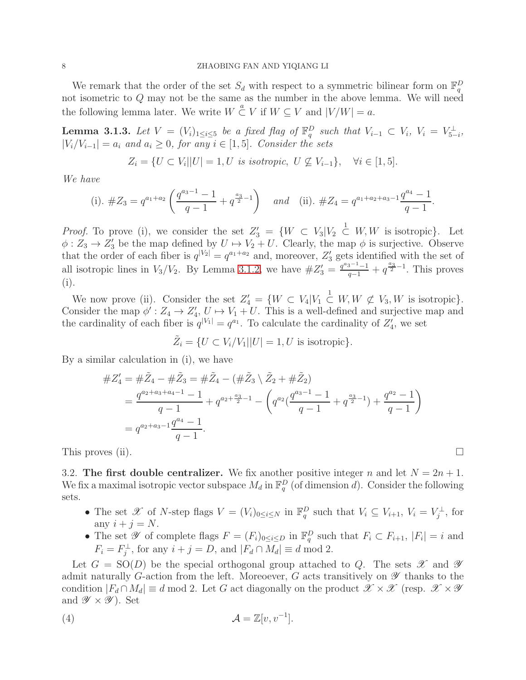## 8 ZHAOBING FAN AND YIQIANG LI

We remark that the order of the set  $S_d$  with respect to a symmetric bilinear form on  $\mathbb{F}_q^D$ not isometric to Q may not be the same as the number in the above lemma. We will need the following lemma later. We write  $W \overset{a}{\subset} V$  if  $W \subseteq V$  and  $|V/W| = a$ .

<span id="page-7-1"></span>**Lemma 3.1.3.** Let  $V = (V_i)_{1 \leq i \leq 5}$  be a fixed flag of  $\mathbb{F}_q^D$  such that  $V_{i-1} \subset V_i$ ,  $V_i = V_{5-i}^{\perp}$ , |Vi/Vi−1| = a<sup>i</sup> *and* a<sup>i</sup> ≥ 0*, for any* i ∈ [1, 5]*. Consider the sets*

$$
Z_i = \{ U \subset V_i | |U| = 1, U \text{ is isotropic}, U \not\subseteq V_{i-1} \}, \quad \forall i \in [1, 5].
$$

*We have*

(i). 
$$
\#Z_3 = q^{a_1+a_2} \left( \frac{q^{a_3-1}-1}{q-1} + q^{\frac{a_3}{2}-1} \right)
$$
 and (ii).  $\#Z_4 = q^{a_1+a_2+a_3-1} \frac{q^{a_4}-1}{q-1}$ .

*Proof.* To prove (i), we consider the set  $Z'_3 = \{W \subset V_3 | V_2 \subset W, W$  is isotropic}. Let  $\phi: Z_3 \to Z'_3$  be the map defined by  $U \to V_2 + U$ . Clearly, the map  $\phi$  is surjective. Observe that the order of each fiber is  $q^{|V_2|} = q^{a_1 + a_2}$  and, moreover,  $Z'_3$  gets identified with the set of 3 all isotropic lines in  $V_3/V_2$ . By Lemma [3.1.2,](#page-6-5) we have  $\#Z'_3 = \frac{q^{a_3-1}-1}{q-1} + q^{\frac{a_3}{2}-1}$ . This proves (i).

We now prove (ii). Consider the set  $Z'_4 = \{W \subset V_4 | V_1 \subset^1 W, W \not\subset V_3, W$  is isotropic). Consider the map  $\phi' : Z_4 \to Z'_4$ ,  $U \mapsto V_1 + U$ . This is a well-defined and surjective map and the cardinality of each fiber is  $q^{|V_1|} = q^{a_1}$ . To calculate the cardinality of  $Z'_4$ , we set

$$
\tilde{Z}_i = \{ U \subset V_i / V_1 | |U| = 1, U \text{ is isotropic} \}.
$$

By a similar calculation in (i), we have

$$
#Z_4' = #\tilde{Z}_4 - #\tilde{Z}_3 = #\tilde{Z}_4 - (#\tilde{Z}_3 \setminus \tilde{Z}_2 + #\tilde{Z}_2)
$$
  
= 
$$
\frac{q^{a_2+a_3+a_4-1}-1}{q-1} + q^{a_2+\frac{a_3}{2}-1} - \left(q^{a_2}(\frac{q^{a_3-1}-1}{q-1} + q^{\frac{a_3}{2}-1}) + \frac{q^{a_2}-1}{q-1}\right)
$$
  
= 
$$
q^{a_2+a_3-1}\frac{q^{a_4}-1}{q-1}.
$$

<span id="page-7-0"></span>This proves (ii).  $\Box$ 

3.2. The first double centralizer. We fix another positive integer n and let  $N = 2n + 1$ . We fix a maximal isotropic vector subspace  $M_d$  in  $\mathbb{F}_q^D$  (of dimension d). Consider the following sets.

- The set X of N-step flags  $V = (V_i)_{0 \leq i \leq N}$  in  $\mathbb{F}_q^D$  such that  $V_i \subseteq V_{i+1}, V_i = V_j^{\perp}$ , for any  $i + j = N$ .
- The set  $\mathscr Y$  of complete flags  $F = (F_i)_{0 \le i \le D}$  in  $\mathbb{F}_q^D$  such that  $F_i \subset F_{i+1}$ ,  $|F_i| = i$  and  $F_i = F_j^{\perp}$ , for any  $i + j = D$ , and  $|F_d \cap M_d| \equiv d \mod 2$ .

Let  $G = SO(D)$  be the special orthogonal group attached to Q. The sets  $\mathscr X$  and  $\mathscr Y$ admit naturally G-action from the left. Moreoever, G acts transitively on  $\mathscr Y$  thanks to the condition  $|F_d \cap M_d| \equiv d \mod 2$ . Let G act diagonally on the product  $\mathscr{X} \times \mathscr{X}$  (resp.  $\mathscr{X} \times \mathscr{Y}$ and  $\mathscr{Y} \times \mathscr{Y}$ ). Set

$$
(4) \t\t \mathcal{A} = \mathbb{Z}[v, v^{-1}].
$$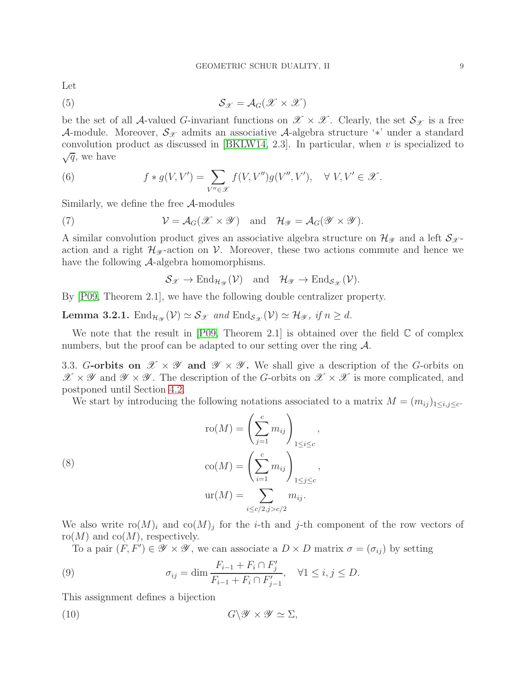Let

<span id="page-8-2"></span>
$$
S_{\mathscr{X}} = \mathcal{A}_G(\mathscr{X} \times \mathscr{X})
$$

be the set of all A-valued G-invariant functions on  $\mathscr{X} \times \mathscr{X}$ . Clearly, the set  $\mathcal{S}_{\mathscr{X}}$  is a free A-module. Moreover,  $\mathcal{S}_{\mathscr{X}}$  admits an associative A-algebra structure '\*' under a standard convolution product as discussed in [\[BKLW14,](#page-38-3) 2.3]. In particular, when  $v$  is specialized to  $\sqrt{q}$ , we have

(6) 
$$
f * g(V, V') = \sum_{V'' \in \mathscr{X}} f(V, V'') g(V'', V'), \quad \forall V, V' \in \mathscr{X}.
$$

Similarly, we define the free A-modules

(7) 
$$
\mathcal{V} = \mathcal{A}_G(\mathscr{X} \times \mathscr{Y}) \text{ and } \mathcal{H}_{\mathscr{Y}} = \mathcal{A}_G(\mathscr{Y} \times \mathscr{Y}).
$$

A similar convolution product gives an associative algebra structure on  $\mathcal{H}_{\mathscr{Y}}$  and a left  $\mathcal{S}_{\mathscr{X}}$ action and a right  $\mathcal{H}_{\mathscr{Y}}$ -action on V. Moreover, these two actions commute and hence we have the following A-algebra homomorphisms.

<span id="page-8-5"></span>
$$
S_{\mathscr{X}} \to \text{End}_{\mathcal{H}_{\mathscr{Y}}}(\mathcal{V}) \quad \text{and} \quad \mathcal{H}_{\mathscr{Y}} \to \text{End}_{\mathcal{S}_{\mathscr{X}}}(\mathcal{V}).
$$

By [\[P09,](#page-39-13) Theorem 2.1], we have the following double centralizer property.

<span id="page-8-1"></span>**Lemma 3.2.1.**  $\text{End}_{\mathcal{H}_{\mathcal{Y}}}(\mathcal{V}) \simeq \mathcal{S}_{\mathcal{X}}$  and  $\text{End}_{\mathcal{S}_{\mathcal{X}}}(\mathcal{V}) \simeq \mathcal{H}_{\mathcal{Y}}$ , if  $n \geq d$ .

We note that the result in  $[PO9, Theorem 2.1]$  is obtained over the field  $\mathbb C$  of complex numbers, but the proof can be adapted to our setting over the ring  $\mathcal{A}$ .

<span id="page-8-0"></span>3.3. G-orbits on  $\mathscr{X} \times \mathscr{Y}$  and  $\mathscr{Y} \times \mathscr{Y}$ . We shall give a description of the G-orbits on  $\mathscr{X} \times \mathscr{Y}$  and  $\mathscr{Y} \times \mathscr{Y}$ . The description of the G-orbits on  $\mathscr{X} \times \mathscr{X}$  is more complicated, and postponed until Section [4.2.](#page-12-0)

We start by introducing the following notations associated to a matrix  $M = (m_{ij})_{1 \le i,j \le c}$ .

<span id="page-8-4"></span>(8)  
\n
$$
\operatorname{ro}(M) = \left(\sum_{j=1}^{c} m_{ij}\right)_{1 \le i \le c},
$$
\n
$$
\operatorname{co}(M) = \left(\sum_{i=1}^{c} m_{ij}\right)_{1 \le j \le c},
$$
\n
$$
\operatorname{ur}(M) = \sum_{i \le c/2, j > c/2} m_{ij}.
$$

We also write  $\text{ro}(M)_i$  and  $\text{co}(M)_j$  for the *i*-th and *j*-th component of the row vectors of  $\text{ro}(M)$  and  $\text{co}(M)$ , respectively.

<span id="page-8-3"></span>To a pair  $(F, F') \in \mathscr{Y} \times \mathscr{Y}$ , we can associate a  $D \times D$  matrix  $\sigma = (\sigma_{ij})$  by setting

(9) 
$$
\sigma_{ij} = \dim \frac{F_{i-1} + F_i \cap F'_j}{F_{i-1} + F_i \cap F'_{j-1}}, \quad \forall 1 \le i, j \le D.
$$

This assignment defines a bijection

(10) 
$$
G \backslash \mathscr{Y} \times \mathscr{Y} \simeq \Sigma,
$$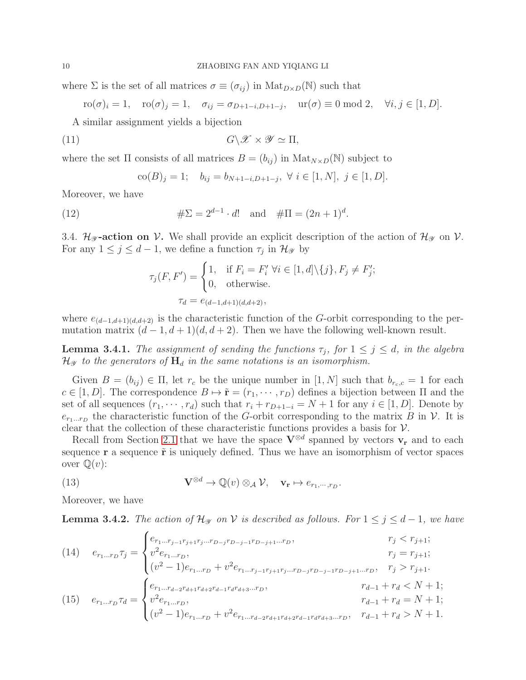where  $\Sigma$  is the set of all matrices  $\sigma \equiv (\sigma_{ij})$  in  $\text{Mat}_{D \times D}(\mathbb{N})$  such that

$$
\text{ro}(\sigma)_i = 1, \quad \text{ro}(\sigma)_j = 1, \quad \sigma_{ij} = \sigma_{D+1-i, D+1-j}, \quad \text{ur}(\sigma) \equiv 0 \text{ mod } 2, \quad \forall i, j \in [1, D].
$$

A similar assignment yields a bijection

<span id="page-9-5"></span>(11) 
$$
G \backslash \mathscr{X} \times \mathscr{Y} \simeq \Pi,
$$

where the set  $\Pi$  consists of all matrices  $B = (b_{ij})$  in  $\text{Mat}_{N \times D}(N)$  subject to

$$
co(B)_j = 1; b_{ij} = b_{N+1-i,D+1-j}, \forall i \in [1, N], j \in [1, D].
$$

Moreover, we have

(12) 
$$
\#\Sigma = 2^{d-1} \cdot d! \text{ and } \#\Pi = (2n+1)^d.
$$

<span id="page-9-0"></span>3.4.  $\mathcal{H}_{\mathscr{Y}}$ -action on V. We shall provide an explicit description of the action of  $\mathcal{H}_{\mathscr{Y}}$  on V. For any  $1 \leq j \leq d-1$ , we define a function  $\tau_j$  in  $\mathcal{H}_{\mathscr{Y}}$  by

$$
\tau_j(F, F') = \begin{cases} 1, & \text{if } F_i = F'_i \,\,\forall i \in [1, d] \setminus \{j\}, F_j \neq F'_j; \\ 0, & \text{otherwise.} \end{cases}
$$

$$
\tau_d = e_{(d-1, d+1)(d, d+2)},
$$

where  $e_{(d-1,d+1)(d,d+2)}$  is the characteristic function of the G-orbit corresponding to the permutation matrix  $(d-1, d+1)(d, d+2)$ . Then we have the following well-known result.

<span id="page-9-2"></span>**Lemma 3.4.1.** *The assignment of sending the functions*  $\tau_j$ , *for*  $1 \leq j \leq d$ , *in the algebra*  $\mathcal{H}_{\mathscr{Y}}$  to the generators of  $H_d$  in the same notations is an isomorphism.

Given  $B = (b_{ij}) \in \Pi$ , let  $r_c$  be the unique number in  $[1, N]$  such that  $b_{r_c,c} = 1$  for each  $c \in [1, D]$ . The correspondence  $B \mapsto \tilde{\mathbf{r}} = (r_1, \dots, r_D)$  defines a bijection between  $\Pi$  and the set of all sequences  $(r_1, \dots, r_d)$  such that  $r_i + r_{D+1-i} = N + 1$  for any  $i \in [1, D]$ . Denote by  $e_{r_1...r_D}$  the characteristic function of the G-orbit corresponding to the matrix B in V. It is clear that the collection of these characteristic functions provides a basis for  $\mathcal{V}$ .

Recall from Section [2.1](#page-3-1) that we have the space  $V^{\otimes d}$  spanned by vectors  $v_r$  and to each sequence  $\mathbf r$  a sequence  $\tilde{\mathbf r}$  is uniquely defined. Thus we have an isomorphism of vector spaces over  $\mathbb{Q}(v)$ :

<span id="page-9-1"></span>(13) 
$$
\mathbf{V}^{\otimes d} \to \mathbb{Q}(v) \otimes_{\mathcal{A}} \mathcal{V}, \quad \mathbf{v}_{\mathbf{r}} \mapsto e_{r_1, \cdots, r_D}.
$$

Moreover, we have

<span id="page-9-3"></span>**Lemma 3.4.2.** *The action of*  $\mathcal{H}_{\mathcal{Y}}$  *on*  $\mathcal{V}$  *is described as follows. For*  $1 \leq j \leq d-1$ *, we have* 

<span id="page-9-4"></span>(14) 
$$
e_{r_1...r_D}\tau_j = \begin{cases} e_{r_1...r_{j-1}r_{j+1}r_j...r_{D-j}r_{D-j-1}r_{D-j+1}...r_D}, & r_j < r_{j+1}; \\ v^2 e_{r_1...r_D}, & r_j = r_{j+1}; \\ (v^2 - 1)e_{r_1...r_D} + v^2 e_{r_1...r_{j-1}r_{j+1}r_j...r_{D-j}r_{D-j-1}r_{D-j+1}...r_D}, & r_j > r_{j+1}. \end{cases}
$$
  
(15) 
$$
e_{r_1...r_D}\tau_d = \begin{cases} e_{r_1...r_{d-2}r_{d+1}r_{d+2}r_{d-1}r_{d}r_{d+3}...r_D}, & r_{d-1} + r_d < N + 1; \\ v^2 e_{r_1...r_D}, & r_{d-1} + r_d = N + 1; \\ (v^2 - 1)e_{r_1...r_D} + v^2 e_{r_1...r_{d-2}r_{d+1}r_{d+2}r_{d-1}r_{d}r_{d+3}...r_D}, & r_{d-1} + r_d > N + 1. \end{cases}
$$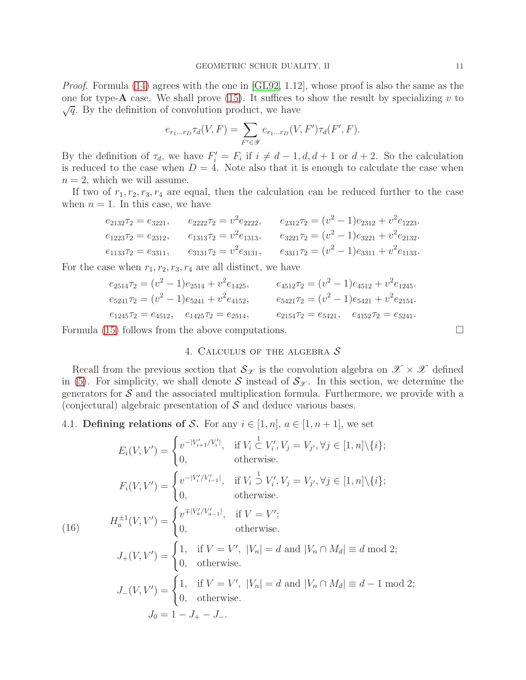*Proof.* Formula [\(14\)](#page-9-4) agrees with the one in [\[GL92,](#page-39-1) 1.12], whose proof is also the same as the one for type- $\bf{A}$  case. We shall prove [\(15\)](#page-9-4). It suffices to show the result by specializing v to  $\sqrt{q}$ . By the definition of convolution product, we have

$$
e_{r_1...r_D}\tau_d(V,F) = \sum_{F' \in \mathscr{Y}} e_{r_1...r_D}(V,F')\tau_d(F',F).
$$

By the definition of  $\tau_d$ , we have  $F'_i = F_i$  if  $i \neq d-1, d, d+1$  or  $d+2$ . So the calculation is reduced to the case when  $D = 4$ . Note also that it is enough to calculate the case when  $n = 2$ , which we will assume.

If two of  $r_1, r_2, r_3, r_4$  are equal, then the calculation can be reduced further to the case when  $n = 1$ . In this case, we have

$$
e_{2132}\tau_2 = e_{3221}, \t e_{2222}\tau_2 = v^2 e_{2222}, \t e_{2312}\tau_2 = (v^2 - 1)e_{2312} + v^2 e_{1223}.
$$
  
\n
$$
e_{1223}\tau_2 = e_{2312}, \t e_{1313}\tau_2 = v^2 e_{1313}, \t e_{3221}\tau_2 = (v^2 - 1)e_{3221} + v^2 e_{2132}.
$$
  
\n
$$
e_{1133}\tau_2 = e_{3311}, \t e_{3131}\tau_2 = v^2 e_{3131}, \t e_{3311}\tau_2 = (v^2 - 1)e_{3311} + v^2 e_{1133}.
$$

For the case when  $r_1, r_2, r_3, r_4$  are all distinct, we have

$$
e_{2514}\tau_2 = (v^2 - 1)e_{2514} + v^2 e_{1425},
$$
  
\n
$$
e_{4512}\tau_2 = (v^2 - 1)e_{4512} + v^2 e_{1245}.
$$
  
\n
$$
e_{5241}\tau_2 = (v^2 - 1)e_{5241} + v^2 e_{4152},
$$
  
\n
$$
e_{5421}\tau_2 = (v^2 - 1)e_{5421} + v^2 e_{2154}.
$$
  
\n
$$
e_{1245}\tau_2 = e_{4512},
$$
  
\n
$$
e_{1245}\tau_2 = e_{5241}.
$$
  
\n
$$
e_{2154}\tau_2 = e_{5421},
$$
  
\n
$$
e_{4152}\tau_2 = e_{5241}.
$$

<span id="page-10-0"></span>Formula [\(15\)](#page-9-4) follows from the above computations.  $\Box$ 

# 4. CALCULUS OF THE ALGEBRA  $\mathcal S$

Recall from the previous section that  $\mathcal{S}_{\mathcal{X}}$  is the convolution algebra on  $\mathcal{X} \times \mathcal{X}$  defined in [\(5\)](#page-8-2). For simplicity, we shall denote S instead of  $S_{\mathscr{X}}$ . In this section, we determine the generators for  $S$  and the associated multiplication formula. Furthermore, we provide with a (conjectural) algebraic presentation of  $S$  and deduce various bases.

<span id="page-10-1"></span>4.1. Defining relations of S. For any  $i \in [1, n]$ ,  $a \in [1, n+1]$ , we set

$$
E_i(V, V') = \begin{cases} v^{-|V'_{i+1}/V'_i|}, & \text{if } V_i \subset V'_i, V_j = V_{j'}, \forall j \in [1, n] \setminus \{i\}; \\ 0, & \text{otherwise.} \end{cases}
$$
  
\n
$$
F_i(V, V') = \begin{cases} v^{-|V'_i/V'_{i-1}|}, & \text{if } V_i \supset V'_i, V_j = V_{j'}, \forall j \in [1, n] \setminus \{i\}; \\ 0, & \text{otherwise.} \end{cases}
$$
  
\n(16)  
\n
$$
H_a^{\pm 1}(V, V') = \begin{cases} v^{\mp |V'_a/V'_{a-1}|}, & \text{if } V = V'; \\ 0, & \text{otherwise.} \end{cases}
$$
  
\n
$$
J_+(V, V') = \begin{cases} 1, & \text{if } V = V', |V_n| = d \text{ and } |V_n \cap M_d| \equiv d \mod 2; \\ 0, & \text{otherwise.} \end{cases}
$$
  
\n
$$
J_-(V, V') = \begin{cases} 1, & \text{if } V = V', |V_n| = d \text{ and } |V_n \cap M_d| \equiv d - 1 \mod 2; \\ 0, & \text{otherwise.} \end{cases}
$$
  
\n
$$
J_0 = 1 - J_+ - J_-.
$$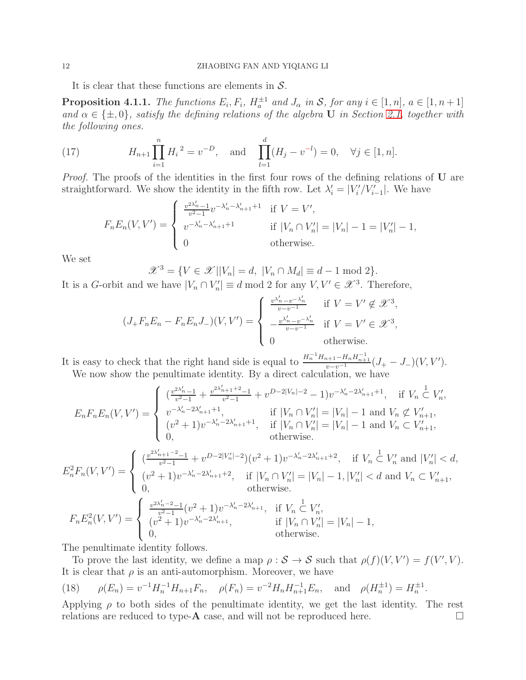It is clear that these functions are elements in  $S$ .

<span id="page-11-0"></span>**Proposition 4.1.1.** *The functions*  $E_i$ ,  $F_i$ ,  $H_a^{\pm 1}$  and  $J_\alpha$  in S, for any  $i \in [1, n]$ ,  $a \in [1, n+1]$ and  $\alpha \in \{\pm, 0\}$ , satisfy the defining relations of the algebra **U** in Section [2.1,](#page-3-1) together with *the following ones.*

(17) 
$$
H_{n+1} \prod_{i=1}^{n} H_i^{2} = v^{-D}, \text{ and } \prod_{l=1}^{d} (H_j - v^{-l}) = 0, \quad \forall j \in [1, n].
$$

*Proof.* The proofs of the identities in the first four rows of the defining relations of U are straightforward. We show the identity in the fifth row. Let  $\lambda'_{i} = |V'_{i}/V'_{i-1}|$ . We have

$$
F_n E_n(V, V') = \begin{cases} \frac{v^{2\lambda'_n} - 1}{v^{2} - 1} v^{-\lambda'_n - \lambda'_{n+1} + 1} & \text{if } V = V', \\ v^{-\lambda'_n - \lambda'_{n+1} + 1} & \text{if } |V_n \cap V'_n| = |V_n| - 1 = |V'_n| - 1, \\ 0 & \text{otherwise.} \end{cases}
$$

We set

 $\mathscr{X}^3 = \{ V \in \mathscr{X} \mid |V_n| = d, |V_n \cap M_d| \equiv d - 1 \mod 2 \}.$ 

It is a G-orbit and we have  $|V_n \cap V'_n| \equiv d \mod 2$  for any  $V, V' \in \mathcal{X}^3$ . Therefore,

$$
(J_{+}F_{n}E_{n}-F_{n}E_{n}J_{-})(V,V')=\begin{cases}\frac{v^{\lambda'_{n}}-v^{-\lambda'_{n}}}{v-v^{-1}} & \text{if } V=V' \notin \mathcal{X}^{3},\\ -\frac{v^{\lambda'_{n}}-v^{-\lambda'_{n}}}{v-v^{-1}} & \text{if } V=V' \in \mathcal{X}^{3},\\ 0 & \text{otherwise}.\end{cases}
$$

It is easy to check that the right hand side is equal to  $\frac{H_n^{-1}H_{n+1}-H_nH_{n+1}^{-1}}{v-v^{-1}}(J_+-J_-)(V,V').$ 

We now show the penultimate identity. By a direct calculation, we have

$$
E_n F_n E_n(V, V') = \begin{cases} \frac{v^{2\lambda'_{n-1}}}{v^{2-1}} + \frac{v^{2\lambda'_{n+1}+2}-1}{v^{2-1}} + v^{D-2|V_n|-2} - 1)v^{-\lambda'_{n}-2\lambda'_{n+1}+1}, & \text{if } V_n \subset V'_n, \\ v^{-\lambda'_{n}-2\lambda'_{n+1}+1}, & \text{if } |V_n \cap V'_n| = |V_n| - 1 \text{ and } V_n \not\subset V'_{n+1}, \\ (v^2 + 1)v^{-\lambda'_{n}-2\lambda'_{n+1}+1}, & \text{if } |V_n \cap V'_n| = |V_n| - 1 \text{ and } V_n \subset V'_{n+1}, \\ 0, & \text{otherwise.} \end{cases}
$$

$$
E_n^2 F_n(V, V') = \begin{cases} \frac{v^{2\lambda'_{n+1}-2}-1}{v^{2}-1} + v^{D-2|V'_n|-2}(v^2+1)v^{-\lambda'_{n}-2\lambda'_{n+1}+2}, & \text{if } V_n \subset V'_n \text{ and } |V'_n| < d, \\ (v^2 + 1)v^{-\lambda'_{n}-2\lambda'_{n+1}+2}, & \text{if } |V_n \cap V'_n| = |V_n| - 1, |V'_n| < d \text{ and } V_n \subset V'_{n+1}, \\ 0, & \text{otherwise.} \end{cases}
$$

$$
F_n E_n^2(V, V') = \begin{cases} \frac{v^{2\lambda'_{n-2}}-1}{v^{2}-1}(v^2+1)v^{-\lambda'_{n}-2\lambda'_{n+1}}, & \text{if } V_n \subset V'_n, \\ (v^2+1)v^{-\lambda'_{n}-2\lambda'_{n+1}}, & \text{if } |V_n \cap V'_n| = |V_n| - 1, \\ 0, & \text{otherwise.} \end{cases}
$$

The penultimate identity follows.

To prove the last identity, we define a map  $\rho : \mathcal{S} \to \mathcal{S}$  such that  $\rho(f)(V, V') = f(V', V)$ . It is clear that  $\rho$  is an anti-automorphism. Moreover, we have

<span id="page-11-1"></span>(18) 
$$
\rho(E_n) = v^{-1} H_n^{-1} H_{n+1} F_n
$$
,  $\rho(F_n) = v^{-2} H_n H_{n+1}^{-1} E_n$ , and  $\rho(H_n^{\pm 1}) = H_n^{\pm 1}$ .

Applying  $\rho$  to both sides of the penultimate identity, we get the last identity. The rest relations are reduced to type- $\bf{A}$  case, and will not be reproduced here.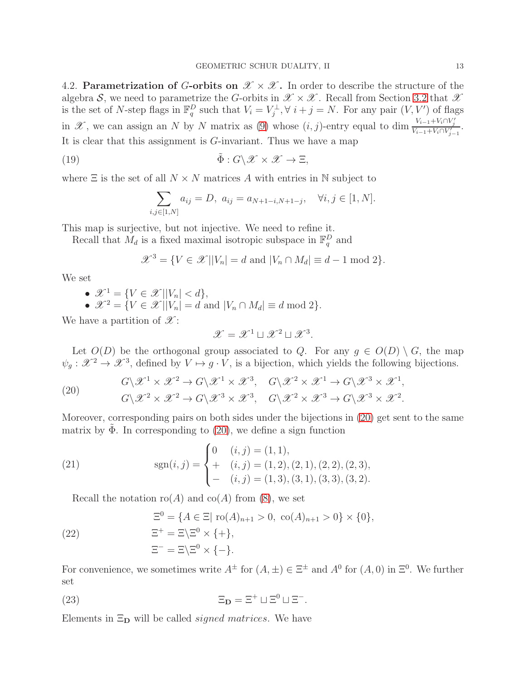<span id="page-12-0"></span>4.2. **Parametrization of G-orbits on**  $\mathscr{X} \times \mathscr{X}$ **.** In order to describe the structure of the algebra S, we need to parametrize the G-orbits in  $\mathscr{X} \times \mathscr{X}$ . Recall from Section [3.2](#page-7-0) that  $\mathscr{X}$ is the set of N-step flags in  $\mathbb{F}_q^D$  such that  $V_i = V_j^{\perp}, \forall i + j = N$ . For any pair  $(V, V')$  of flags in  $\mathscr{X}$ , we can assign an N by N matrix as [\(9\)](#page-8-3) whose  $(i, j)$ -entry equal to dim  $\frac{V_{i-1} + V_i \cap V'_j}{V_{i-1} + V_i \cap V'_{j-1}}$ . It is clear that this assignment is G-invariant. Thus we have a map

<span id="page-12-2"></span>(19) 
$$
\tilde{\Phi}: G \backslash \mathscr{X} \times \mathscr{X} \to \Xi,
$$

where  $\Xi$  is the set of all  $N \times N$  matrices A with entries in N subject to

$$
\sum_{i,j\in[1,N]} a_{ij} = D, \ a_{ij} = a_{N+1-i,N+1-j}, \quad \forall i, j \in [1,N].
$$

This map is surjective, but not injective. We need to refine it.

Recall that  $M_d$  is a fixed maximal isotropic subspace in  $\mathbb{F}_q^D$  and

$$
\mathcal{X}^3 = \{ V \in \mathcal{X} \, | \, |V_n| = d \text{ and } |V_n \cap M_d| \equiv d - 1 \text{ mod } 2 \}.
$$

We set

\n- \n
$$
\mathcal{X}^1 = \{ V \in \mathcal{X} \mid |V_n| < d \},
$$
\n
\n- \n
$$
\mathcal{X}^2 = \{ V \in \mathcal{X} \mid |V_n| = d \text{ and } |V_n \cap M_d| \equiv d \mod 2 \}.
$$
\n
\n

We have a partition of  $\mathscr{X}$ :

$$
\mathcal{X} = \mathcal{X}^1 \sqcup \mathcal{X}^2 \sqcup \mathcal{X}^3.
$$

Let  $O(D)$  be the orthogonal group associated to Q. For any  $q \in O(D) \setminus G$ , the map  $\psi_g: \mathscr{X}^2 \to \mathscr{X}^3$ , defined by  $V \mapsto g \cdot V$ , is a bijection, which yields the following bijections.

<span id="page-12-1"></span>(20) 
$$
G\{\mathscr{X}^1 \times \mathscr{X}^2 \to G\{\mathscr{X}^1 \times \mathscr{X}^3, G\{\mathscr{X}^2 \times \mathscr{X}^1 \to G\{\mathscr{X}^3 \times \mathscr{X}^1, G\}\}\}\
$$

$$
G\{\mathscr{X}^2 \times \mathscr{X}^2 \to G\{\mathscr{X}^3 \times \mathscr{X}^3, G\{\mathscr{X}^2 \times \mathscr{X}^3 \to G\{\mathscr{X}^3 \times \mathscr{X}^2\}\}\
$$

Moreover, corresponding pairs on both sides under the bijections in [\(20\)](#page-12-1) get sent to the same matrix by  $\tilde{\Phi}$ . In corresponding to [\(20\)](#page-12-1), we define a sign function

(21) 
$$
\text{sgn}(i,j) = \begin{cases} 0 & (i,j) = (1,1), \\ + & (i,j) = (1,2), (2,1), (2,2), (2,3), \\ - & (i,j) = (1,3), (3,1), (3,3), (3,2). \end{cases}
$$

Recall the notation  $\text{ro}(A)$  and  $\text{co}(A)$  from [\(8\)](#page-8-4), we set

<span id="page-12-3"></span>(22) 
$$
\Xi^{0} = \{A \in \Xi | \text{ ro}(A)_{n+1} > 0, \text{ co}(A)_{n+1} > 0\} \times \{0\},
$$

$$
\Xi^{+} = \Xi \setminus \Xi^{0} \times \{+\},
$$

$$
\Xi^{-} = \Xi \setminus \Xi^{0} \times \{-\}.
$$

For convenience, we sometimes write  $A^{\pm}$  for  $(A, \pm) \in \Xi^{\pm}$  and  $A^{0}$  for  $(A, 0)$  in  $\Xi^{0}$ . We further set

<span id="page-12-4"></span>(23) 
$$
\Xi_{\mathbf{D}} = \Xi^{+} \sqcup \Xi^{0} \sqcup \Xi^{-}.
$$

Elements in  $\Xi_D$  will be called *signed matrices*. We have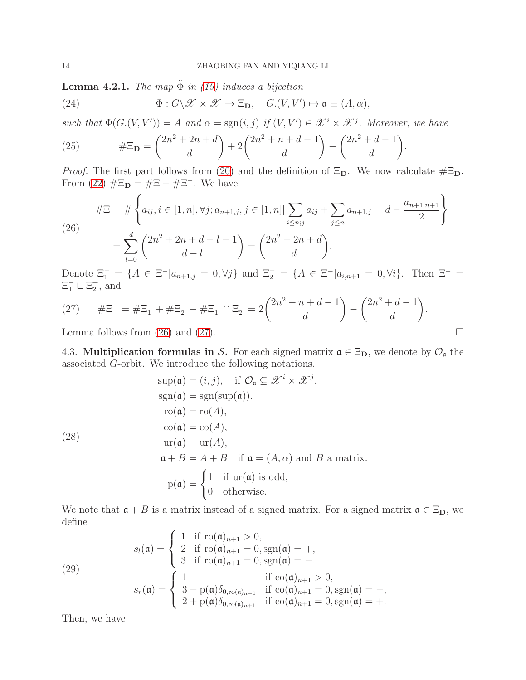**Lemma 4.2.1.** *The map*  $\tilde{\Phi}$  *in* [\(19\)](#page-12-2) *induces a bijection* 

<span id="page-13-5"></span>(24) 
$$
\Phi: G \backslash \mathscr{X} \times \mathscr{X} \to \Xi_{\mathbf{D}}, \quad G.(V, V') \mapsto \mathfrak{a} \equiv (A, \alpha),
$$

such that  $\tilde{\Phi}(G.(V, V')) = A$  and  $\alpha = \text{sgn}(i, j)$  if  $(V, V') \in \mathcal{X}^i \times \mathcal{X}^j$ . Moreover, we have

(25) 
$$
\#\Xi_{\mathbf{D}} = \binom{2n^2 + 2n + d}{d} + 2\binom{2n^2 + n + d - 1}{d} - \binom{2n^2 + d - 1}{d}.
$$

*Proof.* The first part follows from [\(20\)](#page-12-1) and the definition of  $\Xi_{D}$ . We now calculate  $\#\Xi_{D}$ . From [\(22\)](#page-12-3)  $# \Xi_{\mathbf{D}} = # \Xi + # \Xi^{-}$ . We have

<span id="page-13-1"></span>(26)  
\n
$$
\#\Xi = \#\left\{ a_{ij}, i \in [1, n], \forall j; a_{n+1,j}, j \in [1, n] \mid \sum_{i \le n; j} a_{ij} + \sum_{j \le n} a_{n+1,j} = d - \frac{a_{n+1,n+1}}{2} \right\}
$$
\n
$$
= \sum_{l=0}^d {2n^2 + 2n + d - l - 1 \choose d} = {2n^2 + 2n + d \choose d}.
$$

Denote  $\Xi_1^- = \{A \in \Xi^- | a_{n+1,j} = 0, \forall j\}$  and  $\Xi_2^- = \{A \in \Xi^- | a_{i,n+1} = 0, \forall i\}$ . Then  $\Xi^- =$  $\Xi_1^- \sqcup \Xi_2^-$ , and

<span id="page-13-2"></span>(27) 
$$
\# \Xi^- = \# \Xi_1^- + \# \Xi_2^- - \# \Xi_1^- \cap \Xi_2^- = 2 \binom{2n^2 + n + d - 1}{d} - \binom{2n^2 + d - 1}{d}.
$$

<span id="page-13-0"></span>Lemma follows from [\(26\)](#page-13-1) and [\(27\)](#page-13-2).  $\Box$ 

4.3. Multiplication formulas in S. For each signed matrix  $\mathfrak{a} \in \Xi_{D}$ , we denote by  $\mathcal{O}_{\mathfrak{a}}$  the associated G-orbit. We introduce the following notations.

<span id="page-13-3"></span>
$$
\sup(\mathfrak{a}) = (i, j), \quad \text{if } \mathcal{O}_{\mathfrak{a}} \subseteq \mathcal{X}^i \times \mathcal{X}^j.
$$

$$
\text{sgn}(\mathfrak{a}) = \text{sgn}(\text{sup}(\mathfrak{a})).
$$

$$
\text{ro}(\mathfrak{a}) = \text{ro}(A),
$$

$$
\text{co}(\mathfrak{a}) = \text{co}(A),
$$

$$
\text{ur}(\mathfrak{a}) = \text{ur}(A),
$$

$$
\mathfrak{a} + B = A + B \quad \text{if } \mathfrak{a} = (A, \alpha) \text{ and } B \text{ a matrix.}
$$

$$
\text{p}(\mathfrak{a}) = \begin{cases} 1 & \text{if } \text{ur}(\mathfrak{a}) \text{ is odd,} \\ 0 & \text{otherwise.} \end{cases}
$$

We note that  $a + B$  is a matrix instead of a signed matrix. For a signed matrix  $a \in \Xi_{\mathbf{D}}$ , we define

<span id="page-13-4"></span>(29)  
\n
$$
s_{l}(\mathfrak{a}) = \begin{cases}\n1 & \text{if } \text{ro}(\mathfrak{a})_{n+1} > 0, \\
2 & \text{if } \text{ro}(\mathfrak{a})_{n+1} = 0, \text{sgn}(\mathfrak{a}) = +, \\
3 & \text{if } \text{ro}(\mathfrak{a})_{n+1} = 0, \text{sgn}(\mathfrak{a}) = -.\n\end{cases}
$$
\n
$$
s_{r}(\mathfrak{a}) = \begin{cases}\n1 & \text{if } \text{co}(\mathfrak{a})_{n+1} > 0, \\
3 - \text{p}(\mathfrak{a})\delta_{0,\text{ro}(\mathfrak{a})_{n+1}} & \text{if } \text{co}(\mathfrak{a})_{n+1} = 0, \text{sgn}(\mathfrak{a}) = -, \\
2 + \text{p}(\mathfrak{a})\delta_{0,\text{ro}(\mathfrak{a})_{n+1}} & \text{if } \text{co}(\mathfrak{a})_{n+1} = 0, \text{sgn}(\mathfrak{a}) = +.\n\end{cases}
$$

Then, we have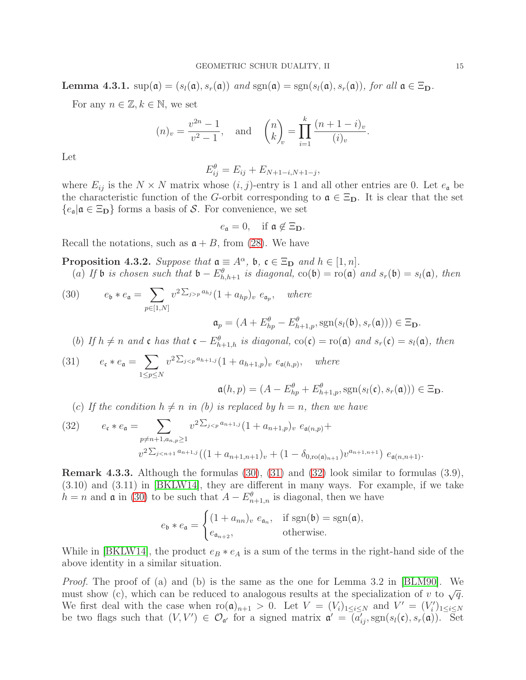**Lemma 4.3.1.**  $\sup(\mathfrak{a}) = (s_i(\mathfrak{a}), s_r(\mathfrak{a}))$  *and*  $\text{sgn}(\mathfrak{a}) = \text{sgn}(s_i(\mathfrak{a}), s_r(\mathfrak{a}))$ *, for all*  $\mathfrak{a} \in \Xi_{\mathbf{D}}$ *.* 

For any  $n \in \mathbb{Z}, k \in \mathbb{N}$ , we set

$$
(n)_v = \frac{v^{2n} - 1}{v^2 - 1}
$$
, and  $\binom{n}{k}_v = \prod_{i=1}^k \frac{(n + 1 - i)_v}{(i)_v}$ .

Let

$$
E_{ij}^{\theta} = E_{ij} + E_{N+1-i,N+1-j},
$$

where  $E_{ij}$  is the  $N \times N$  matrix whose  $(i, j)$ -entry is 1 and all other entries are 0. Let  $e_{\mathfrak{a}}$  be the characteristic function of the G-orbit corresponding to  $\mathfrak{a} \in \Xi_{D}$ . It is clear that the set  ${e_{\mathfrak{a}}|\mathfrak{a} \in \Xi_{\mathbf{D}}}$  forms a basis of S. For convenience, we set

$$
e_{\mathfrak{a}}=0, \quad \text{if } \mathfrak{a} \notin \Xi_{\mathbf{D}}.
$$

Recall the notations, such as  $a + B$ , from [\(28\)](#page-13-3). We have

<span id="page-14-3"></span>**Proposition 4.3.2.** *Suppose that*  $\mathfrak{a} \equiv A^{\alpha}$ ,  $\mathfrak{b}$ ,  $\mathfrak{c} \in \Xi_{\mathbf{D}}$  *and*  $h \in [1, n]$ *.* (a) *If* **b** *is chosen such that*  $\mathfrak{b} - E_{h,h+1}^{\theta}$  *is diagonal,* co( $\mathfrak{b}$ ) = ro( $\mathfrak{a}$ ) *and*  $s_r(\mathfrak{b}) = s_l(\mathfrak{a})$ *, then* 

<span id="page-14-0"></span>(30) 
$$
e_{\mathfrak{b}} * e_{\mathfrak{a}} = \sum_{p \in [1,N]} v^{2\sum_{j>p} a_{hj}} (1 + a_{hp})_v e_{\mathfrak{a}_p}, \text{ where}
$$

 $\mathfrak{a}_p = (A + E_{hp}^{\theta} - E_{h+1,p}^{\theta}, \text{sgn}(s_l(\mathfrak{b}), s_r(\mathfrak{a}))) \in \Xi_{\mathbf{D}}.$ 

(b) *If*  $h \neq n$  *and* **c** *has that*  $\mathbf{c} - E_{h+1,h}^{\theta}$  *is diagonal,*  $\text{co}(\mathbf{c}) = \text{ro}(\mathbf{a})$  *and*  $s_r(\mathbf{c}) = s_l(\mathbf{a})$ *, then* 

<span id="page-14-1"></span>(31) 
$$
e_{\mathfrak{c}} * e_{\mathfrak{a}} = \sum_{1 \le p \le N} v^{2 \sum_{j < p} a_{h+1,j}} (1 + a_{h+1,p})_v \ e_{\mathfrak{a}(h,p)}, \quad \text{where}
$$

$$
\mathfrak{a}(h,p)=(A-E_{hp}^{\theta}+E_{h+1,p}^{\theta},\operatorname{sgn}(s_l(\mathfrak{c}),s_r(\mathfrak{a})))\in \Xi_{\mathbf{D}}.
$$

(c) If the condition  $h \neq n$  in (b) is replaced by  $h = n$ , then we have

<span id="page-14-2"></span>(32) 
$$
e_{\mathfrak{c}} * e_{\mathfrak{a}} = \sum_{p \neq n+1, a_{n}, p \geq 1} v^{2 \sum_{j < p} a_{n+1,j}} (1 + a_{n+1,p})_{v} e_{\mathfrak{a}(n,p)} +
$$

$$
v^{2 \sum_{j < n+1} a_{n+1,j}} ((1 + a_{n+1,n+1})_{v} + (1 - \delta_{0, \text{ro}(\mathfrak{a})_{n+1}}) v^{a_{n+1,n+1}}) e_{\mathfrak{a}(n,n+1)}.
$$

<span id="page-14-4"></span>Remark 4.3.3. Although the formulas [\(30\)](#page-14-0), [\(31\)](#page-14-1) and [\(32\)](#page-14-2) look similar to formulas (3.9), (3.10) and (3.11) in [\[BKLW14\]](#page-38-3), they are different in many ways. For example, if we take  $h = n$  and  $\mathfrak a$  in [\(30\)](#page-14-0) to be such that  $A - E_{n+1,n}^{\theta}$  is diagonal, then we have

$$
e_{\mathfrak{b}} * e_{\mathfrak{a}} = \begin{cases} (1 + a_{nn})_v \ e_{\mathfrak{a}_n}, & \text{if } \operatorname{sgn}(\mathfrak{b}) = \operatorname{sgn}(\mathfrak{a}), \\ e_{\mathfrak{a}_{n+2}}, & \text{otherwise.} \end{cases}
$$

While in [\[BKLW14\]](#page-38-3), the product  $e_B * e_A$  is a sum of the terms in the right-hand side of the above identity in a similar situation.

*Proof.* The proof of (a) and (b) is the same as the one for Lemma 3.2 in [\[BLM90\]](#page-38-2). We must show (c), which can be reduced to analogous results at the specialization of v to  $\sqrt{q}$ . We first deal with the case when  $\text{ro}(\mathfrak{a})_{n+1} > 0$ . Let  $V = (V_i)_{1 \leq i \leq N}$  and  $V' = (V'_i)_{1 \leq i \leq N}$ be two flags such that  $(V, V') \in \mathcal{O}_{\mathfrak{a}'}$  for a signed matrix  $\mathfrak{a}' = (a'_{ij}, \text{sgn}(s_i(\mathfrak{c}), s_r(\mathfrak{a}))$ . Set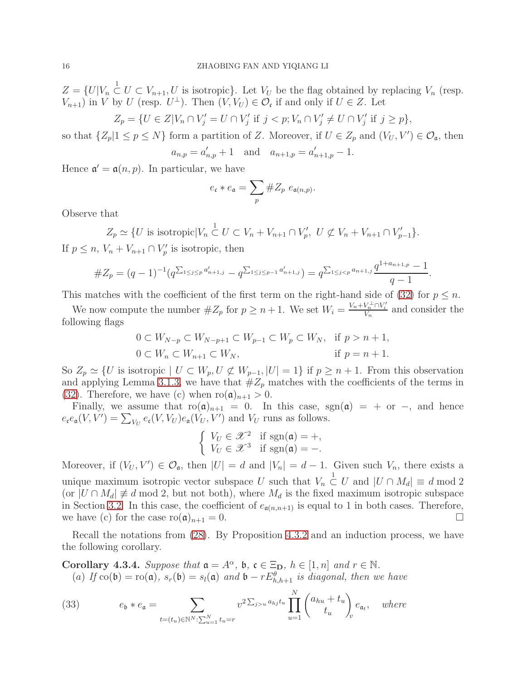$Z = \{U|V_n \overset{1}{\subset} U \subset V_{n+1}, U$  is isotropic}. Let  $V_U$  be the flag obtained by replacing  $V_n$  (resp.  $V_{n+1}$ ) in V by U (resp.  $U^{\perp}$ ). Then  $(V, V_U) \in \mathcal{O}_{c}$  if and only if  $U \in Z$ . Let

$$
Z_p = \{ U \in Z | V_n \cap V'_j = U \cap V'_j \text{ if } j < p; V_n \cap V'_j \neq U \cap V'_j \text{ if } j \geq p \},
$$

so that  $\{Z_p | 1 \le p \le N\}$  form a partition of Z. Moreover, if  $U \in Z_p$  and  $(V_U, V') \in \mathcal{O}_{\mathfrak{a}}$ , then ′ ′ 1.

$$
a_{n,p} = a'_{n,p} + 1
$$
 and  $a_{n+1,p} = a'_{n+1,p} - 1$ 

Hence  $\mathfrak{a}' = \mathfrak{a}(n, p)$ . In particular, we have

$$
e_{\mathfrak{c}} * e_{\mathfrak{a}} = \sum_p \# Z_p \ e_{\mathfrak{a}(n,p)}.
$$

Observe that

$$
Z_p \simeq \{ U \text{ is isotropic} | V_n \overset{1}{\subset} U \subset V_n + V_{n+1} \cap V'_p, \ U \not\subset V_n + V_{n+1} \cap V'_{p-1} \}.
$$

If  $p \leq n$ ,  $V_n + V_{n+1} \cap V'_p$  is isotropic, then

#Z<sup>p</sup> = (<sup>q</sup> <sup>−</sup> 1)<sup>−</sup><sup>1</sup> (q P 1≤j≤p a ′ <sup>n</sup>+1,j − q P 1≤j≤p−1 a ′ <sup>n</sup>+1,j ) = q P <sup>1</sup>≤j<p an+1,j q 1+an+1,p − 1 q − 1 .

This matches with the coefficient of the first term on the right-hand side of [\(32\)](#page-14-2) for  $p \leq n$ .

We now compute the number  $#Z_p$  for  $p \geq n+1$ . We set  $W_i = \frac{V_n + V_n^{\perp} \cap V_i'}{V_n}$  and consider the following flags

$$
0 \subset W_{N-p} \subset W_{N-p+1} \subset W_{p-1} \subset W_p \subset W_N, \quad \text{if } p > n+1,
$$
  

$$
0 \subset W_n \subset W_{n+1} \subset W_N, \quad \text{if } p = n+1.
$$

So  $Z_p \simeq \{U \text{ is isotropic} \mid U \subset W_p, U \not\subset W_{p-1}, |U|=1\}$  if  $p \geq n+1$ . From this observation and applying Lemma [3.1.3,](#page-7-1) we have that  $#Z_p$  matches with the coefficients of the terms in [\(32\)](#page-14-2). Therefore, we have (c) when  $\text{ro}(\mathfrak{a})_{n+1} > 0$ .

Finally, we assume that  $\text{ro}(\mathfrak{a})_{n+1} = 0$ . In this case,  $\text{sgn}(\mathfrak{a}) = +$  or  $-$ , and hence  $e_{\mathfrak{c}}e_{\mathfrak{a}}(V,V') = \sum_{V_U} e_{\mathfrak{c}}(V,V_U)e_{\mathfrak{a}}(V_U,V')$  and  $V_U$  runs as follows.

$$
\begin{cases} V_U \in \mathcal{X}^2 & \text{if } \text{sgn}(\mathfrak{a}) = +, \\ V_U \in \mathcal{X}^3 & \text{if } \text{sgn}(\mathfrak{a}) = -. \end{cases}
$$

Moreover, if  $(V_U, V') \in \mathcal{O}_\mathfrak{a}$ , then  $|U| = d$  and  $|V_n| = d - 1$ . Given such  $V_n$ , there exists a unique maximum isotropic vector subspace U such that  $V_n \subset U$  and  $|U \cap M_d| \equiv d \mod 2$ (or  $|U \cap M_d| \neq d \mod 2$ , but not both), where  $M_d$  is the fixed maximum isotropic subspace in Section [3.2.](#page-7-0) In this case, the coefficient of  $e_{\mathfrak{a}(n,n+1)}$  is equal to 1 in both cases. Therefore, we have (c) for the case  $\text{ro}(\mathfrak{a})_{n+1} = 0$ .

Recall the notations from [\(28\)](#page-13-3). By Proposition [4.3.2](#page-14-3) and an induction process, we have the following corollary.

<span id="page-15-0"></span>**Corollary 4.3.4.** *Suppose that*  $\mathfrak{a} = A^{\alpha}$ ,  $\mathfrak{b}$ ,  $\mathfrak{c} \in \Xi_{\mathbf{D}}$ ,  $h \in [1, n]$  and  $r \in \mathbb{N}$ . (a) *If*  $\text{co}(\mathfrak{b}) = \text{ro}(\mathfrak{a})$ *,*  $s_r(\mathfrak{b}) = s_l(\mathfrak{a})$  and  $\mathfrak{b} - rE^{\theta}_{h,h+1}$  *is diagonal, then we have* 

<span id="page-15-1"></span>(33) 
$$
e_{\mathfrak{b}} * e_{\mathfrak{a}} = \sum_{t=(t_u)\in \mathbb{N}^N:\sum_{u=1}^N t_u = r} v^{2\sum_{j>u} a_{hj}t_u} \prod_{u=1}^N {a_{hu} + t_u \choose t_u} e_{\mathfrak{a}_t}, \text{ where}
$$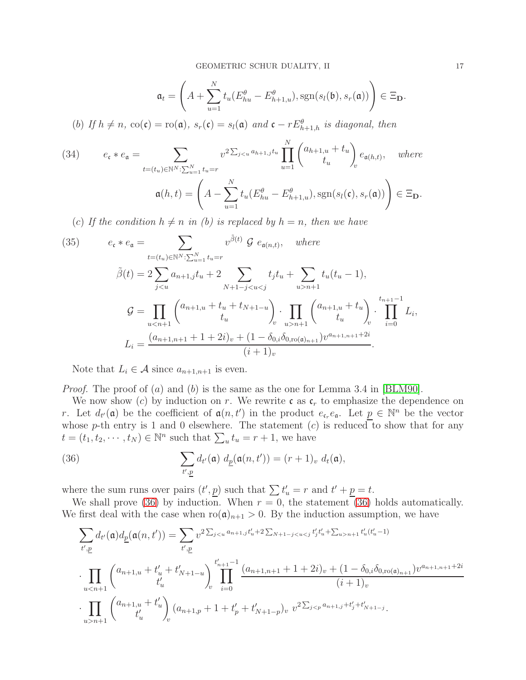$$
\mathfrak{a}_t = \left(A + \sum_{u=1}^N t_u (E_{hu}^\theta - E_{h+1,u}^\theta), \text{sgn}(s_l(\mathfrak{b}), s_r(\mathfrak{a}))\right) \in \Xi_{\mathbf{D}}.
$$

(b) If  $h \neq n$ ,  $co(\mathfrak{c}) = \text{ro}(\mathfrak{a})$ ,  $s_r(\mathfrak{c}) = s_l(\mathfrak{a})$  and  $\mathfrak{c} - rE^{\theta}_{h+1,h}$  is diagonal, then

<span id="page-16-1"></span>(34) 
$$
e_{\mathfrak{c}} * e_{\mathfrak{a}} = \sum_{t=(t_u)\in\mathbb{N}^N:\sum_{u=1}^N t_u = r} v^{2\sum_{j
$$
\mathfrak{a}(h,t) = \left(A - \sum_{u=1}^N t_u (E_{hu}^\theta - E_{h+1,u}^\theta), \text{sgn}(s_l(\mathfrak{c}), s_r(\mathfrak{a}))\right) \in \Xi_{\mathbf{D}}.
$$
$$

(c) If the condition  $h \neq n$  in (b) is replaced by  $h = n$ , then we have

(35) 
$$
e_{\mathfrak{c}} * e_{\mathfrak{a}} = \sum_{t=(t_u) \in \mathbb{N}^N : \sum_{u=1}^N t_u = r} v^{\tilde{\beta}(t)} \mathcal{G} e_{\mathfrak{a}(n,t)}, \text{ where}
$$

$$
\tilde{\beta}(t) = 2 \sum_{jn+1} t_u (t_u - 1),
$$

$$
\mathcal{G} = \prod_{un+1} \begin{pmatrix} a_{n+1,u} + t_u \\ t_u \end{pmatrix} \cdot \prod_{i=0}^{t_{n+1}-1} L_i,
$$

$$
L_i = \frac{(a_{n+1,n+1} + 1 + 2i)_v + (1 - \delta_{0,i}\delta_{0,\text{ro}(\mathfrak{a})_{n+1}})v^{a_{n+1,n+1}+2i}}{(i+1)_v}.
$$

Note that  $L_i \in \mathcal{A}$  since  $a_{n+1,n+1}$  is even.

*Proof.* The proof of (a) and (b) is the same as the one for Lemma 3.4 in [\[BLM90\]](#page-38-2).

We now show (c) by induction on r. We rewrite c as  $c_r$  to emphasize the dependence on r. Let  $d_{t'}(\mathfrak{a})$  be the coefficient of  $\mathfrak{a}(n,t')$  in the product  $e_{\mathfrak{c}_r}e_{\mathfrak{a}}$ . Let  $\underline{p} \in \mathbb{N}^n$  be the vector whose p-th entry is 1 and 0 elsewhere. The statement  $(c)$  is reduced to show that for any  $t = (t_1, t_2, \dots, t_N) \in \mathbb{N}^n$  such that  $\sum_u t_u = r + 1$ , we have

<span id="page-16-0"></span>(36) 
$$
\sum_{t',\underline{p}} d_{t'}(\mathfrak{a}) d_{\underline{p}}(\mathfrak{a}(n,t')) = (r+1)_v d_t(\mathfrak{a}),
$$

where the sum runs over pairs  $(t', p)$  such that  $\sum t'_u = r$  and  $t' + p = t$ .

We shall prove [\(36\)](#page-16-0) by induction. When  $r = 0$ , the statement (36) holds automatically. We first deal with the case when  $\text{ro}(\mathfrak{a})_{n+1} > 0$ . By the induction assumption, we have

$$
\sum_{t',\underline{p}} d_{t'}(\mathfrak{a}) d_{\underline{p}}(\mathfrak{a}(n,t')) = \sum_{t',\underline{p}} v^{2 \sum_{jn+1}="" a_{n+1,j}="" math="" t_j'="" t_u'="">
$$
\cdot \prod_{u
$$
\cdot \prod_{u>n+1} \binom{a_{n+1,u} + t_u'}{t_u'} (a_{n+1,p} + 1 + t_p' + t_{N+1-p}) v v^{2 \sum_{j
$$
$$
$$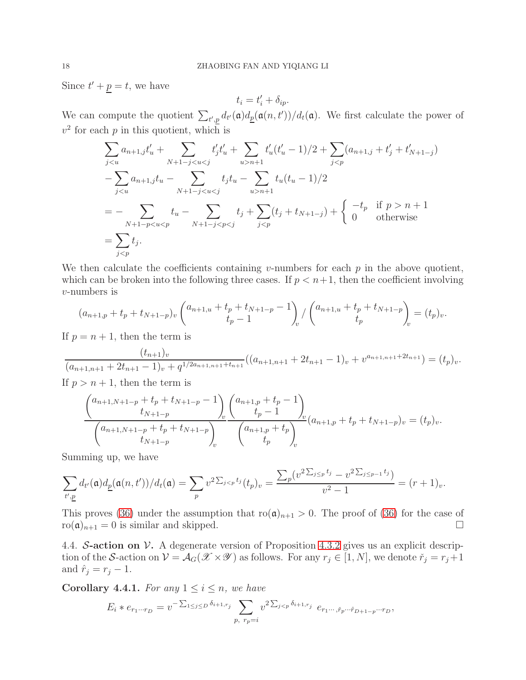Since  $t' + p = t$ , we have

$$
t_i = t'_i + \delta_{ip}.
$$

We can compute the quotient  $\sum_{t',p} d_{t'}(\mathfrak{a})d_{\underline{p}}(\mathfrak{a}(n,t'))/d_{t}(\mathfrak{a})$ . We first calculate the power of  $v^2$  for each p in this quotient, which is

$$
\sum_{j < u} a_{n+1,j} t'_u + \sum_{N+1-j < u < j} t'_j t'_u + \sum_{u > n+1} t'_u (t'_u - 1)/2 + \sum_{j < p} (a_{n+1,j} + t'_j + t'_{N+1-j})
$$
\n
$$
- \sum_{j < u} a_{n+1,j} t_u - \sum_{N+1-j < u < j} t_j t_u - \sum_{u > n+1} t_u (t_u - 1)/2
$$
\n
$$
= - \sum_{N+1-p < u < p} t_u - \sum_{N+1-j < p < j} t_j + \sum_{j < p} (t_j + t_{N+1-j}) + \begin{cases} -t_p & \text{if } p > n+1 \\ 0 & \text{otherwise} \end{cases}
$$
\n
$$
= \sum_{j < p} t_j.
$$

We then calculate the coefficients containing v-numbers for each  $p$  in the above quotient, which can be broken into the following three cases. If  $p < n+1$ , then the coefficient involving v-numbers is

$$
(a_{n+1,p} + t_p + t_{N+1-p})_v \begin{pmatrix} a_{n+1,u} + t_p + t_{N+1-p} - 1 \\ t_p - 1 \end{pmatrix}_{v} / \begin{pmatrix} a_{n+1,u} + t_p + t_{N+1-p} \\ t_p \end{pmatrix}_{v} = (t_p)_v.
$$

If  $p = n + 1$ , then the term is

$$
\frac{(t_{n+1})_v}{(a_{n+1,n+1}+2t_{n+1}-1)_v+q^{1/2a_{n+1,n+1}+t_{n+1}}}((a_{n+1,n+1}+2t_{n+1}-1)_v+v^{a_{n+1,n+1}+2t_{n+1}})=(t_p)_v.
$$

If  $p > n + 1$ , then the term is

$$
\frac{\binom{a_{n+1,N+1-p}+t_p+t_{N+1-p}-1}{t_{N+1-p}}\binom{a_{n+1,p}+t_p-1}{t_p-1}}{\binom{a_{n+1,N+1-p}+t_p+t_{N+1-p}}{t_p}}\binom{a_{n+1,p}+t_p-1}{t_p}}{\binom{a_{n+1,p}+t_p}{t_p}}_v = (t_p)_v.
$$

Summing up, we have

$$
\sum_{t',\underline{p}} d_{t'}(\mathfrak{a}) d_{\underline{p}}(\mathfrak{a}(n,t')) / d_{t}(\mathfrak{a}) = \sum_{p} v^{2 \sum_{j < p} t_j} (t_p)_v = \frac{\sum_{p} (v^{2 \sum_{j \leq p} t_j} - v^{2 \sum_{j \leq p-1} t_j})}{v^2 - 1} = (r+1)_v.
$$

This proves [\(36\)](#page-16-0) under the assumption that  $\text{ro}(\mathfrak{a})_{n+1} > 0$ . The proof of (36) for the case of  $\text{ro}(\mathfrak{a})_{n+1} = 0$  is similar and skipped.

<span id="page-17-0"></span>4.4. S-action on  $\mathcal V$ . A degenerate version of Proposition [4.3.2](#page-14-3) gives us an explicit description of the S-action on  $V = \mathcal{A}_G(\mathcal{X} \times \mathcal{Y})$  as follows. For any  $r_j \in [1, N]$ , we denote  $\check{r}_j = r_j + 1$ and  $\hat{r}_j = r_j - 1$ .

<span id="page-17-1"></span>**Corollary 4.4.1.** For any  $1 \leq i \leq n$ , we have

$$
E_i * e_{r_1 \cdots r_D} = v^{-\sum_{1 \leq j \leq D} \delta_{i+1, r_j}} \sum_{p, r_p = i} v^{2\sum_{j < p} \delta_{i+1, r_j}} e_{r_1 \cdots, r_p \cdots r_{D+1-p} \cdots r_D},
$$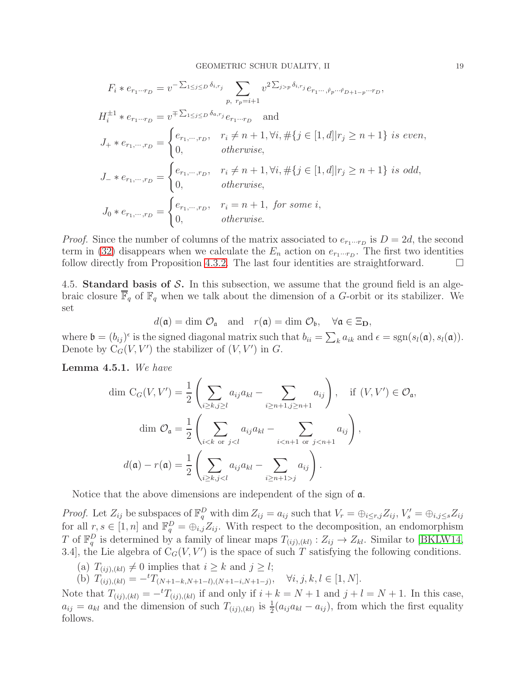$$
F_i * e_{r_1 \cdots r_D} = v^{-\sum_{1 \leq j \leq D} \delta_{i,r_j}} \sum_{p, r_p = i+1} v^{2\sum_{j > p} \delta_{i,r_j}} e_{r_1 \cdots, \hat{r}_p \cdots \check{r}_{D+1-p} \cdots r_D},
$$
\n
$$
H_i^{\pm 1} * e_{r_1 \cdots r_D} = v^{\mp \sum_{1 \leq j \leq D} \delta_{a,r_j}} e_{r_1 \cdots r_D} \quad \text{and}
$$
\n
$$
J_+ * e_{r_1, \cdots, r_D} = \begin{cases} e_{r_1, \cdots, r_D}, & r_i \neq n+1, \forall i, \#\{j \in [1, d] | r_j \geq n+1\} \text{ is even,} \\ 0, & \text{otherwise,} \end{cases}
$$
\n
$$
J_- * e_{r_1, \cdots, r_D} = \begin{cases} e_{r_1, \cdots, r_D}, & r_i \neq n+1, \forall i, \#\{j \in [1, d] | r_j \geq n+1\} \text{ is odd,} \\ 0, & \text{otherwise,} \end{cases}
$$
\n
$$
J_0 * e_{r_1, \cdots, r_D} = \begin{cases} e_{r_1, \cdots, r_D}, & r_i = n+1, \text{ for some } i, \\ 0, & \text{otherwise.} \end{cases}
$$

*Proof.* Since the number of columns of the matrix associated to  $e_{r_1\cdots r_D}$  is  $D = 2d$ , the second term in [\(32\)](#page-14-2) disappears when we calculate the  $E_n$  action on  $e_{r_1\cdots r_D}$ . The first two identities follow directly from Proposition [4.3.2.](#page-14-3) The last four identities are straightforward.  $\Box$ 

<span id="page-18-0"></span>4.5. Standard basis of  $S$ . In this subsection, we assume that the ground field is an algebraic closure  $\overline{\mathbb{F}}_q$  of  $\mathbb{F}_q$  when we talk about the dimension of a G-orbit or its stabilizer. We set

$$
d(\mathfrak{a}) = \dim \mathcal{O}_{\mathfrak{a}}
$$
 and  $r(\mathfrak{a}) = \dim \mathcal{O}_{\mathfrak{b}}$ ,  $\forall \mathfrak{a} \in \Xi_{D}$ ,

where  $\mathfrak{b} = (b_{ij})^{\epsilon}$  is the signed diagonal matrix such that  $b_{ii} = \sum_k a_{ik}$  and  $\epsilon = \text{sgn}(s_i(\mathfrak{a}), s_i(\mathfrak{a}))$ . Denote by  $C_G(V, V')$  the stabilizer of  $(V, V')$  in  $G$ .

<span id="page-18-1"></span>Lemma 4.5.1. *We have*

$$
\dim C_G(V, V') = \frac{1}{2} \left( \sum_{i \ge k, j \ge l} a_{ij} a_{kl} - \sum_{i \ge n+1, j \ge n+1} a_{ij} \right), \quad \text{if } (V, V') \in \mathcal{O}_{\mathfrak{a}},
$$

$$
\dim \mathcal{O}_{\mathfrak{a}} = \frac{1}{2} \left( \sum_{i < k \text{ or } j < l} a_{ij} a_{kl} - \sum_{i < n+1 \text{ or } j < n+1} a_{ij} \right),
$$

$$
d(\mathfrak{a}) - r(\mathfrak{a}) = \frac{1}{2} \left( \sum_{i \ge k, j < l} a_{ij} a_{kl} - \sum_{i \ge n+1 > j} a_{ij} \right).
$$

Notice that the above dimensions are independent of the sign of a.

*Proof.* Let  $Z_{ij}$  be subspaces of  $\mathbb{F}_q^D$  with dim  $Z_{ij} = a_{ij}$  such that  $V_r = \bigoplus_{i \leq r, j} Z_{ij}$ ,  $V'_s = \bigoplus_{i,j \leq s} Z_{ij}$ for all  $r, s \in [1, n]$  and  $\mathbb{F}_q^D = \bigoplus_{i,j} Z_{ij}$ . With respect to the decomposition, an endomorphism T of  $\mathbb{F}_q^D$  is determined by a family of linear maps  $T_{(ij),(kl)} : Z_{ij} \to Z_{kl}$ . Similar to [\[BKLW14,](#page-38-3) 3.4, the Lie algebra of  $C_G(V, V')$  is the space of such T satisfying the following conditions.

- (a)  $T_{(ij),(kl)} \neq 0$  implies that  $i \geq k$  and  $j \geq l$ ;
- (b)  $T_{(ij),(kl)} = -{}^tT_{(N+1-k,N+1-l),(N+1-i,N+1-j)}, \quad \forall i, j, k, l \in [1, N].$

Note that  $T_{(ij),(kl)} = -{}^t T_{(ij),(kl)}$  if and only if  $i + k = N + 1$  and  $j + l = N + 1$ . In this case,  $a_{ij} = a_{kl}$  and the dimension of such  $T_{(ij),(kl)}$  is  $\frac{1}{2}(a_{ij}a_{kl} - a_{ij})$ , from which the first equality follows.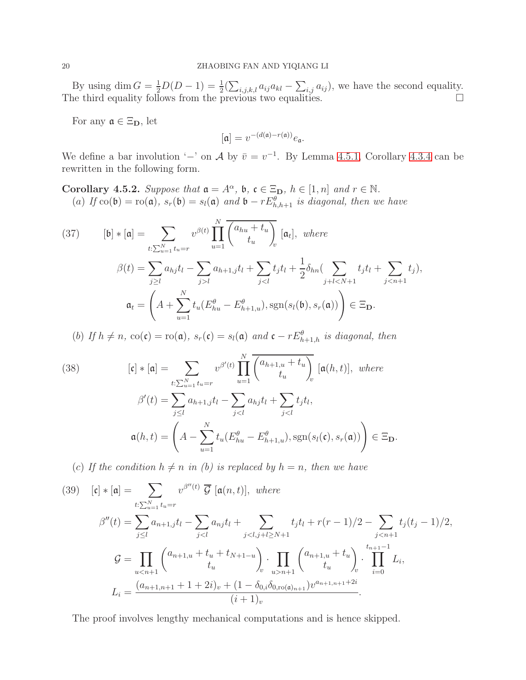By using  $\dim G = \frac{1}{2}D(D-1) = \frac{1}{2}(\sum_{i,j,k,l} a_{ij}a_{kl} - \sum_{i,j} a_{ij}),$  we have the second equality. The third equality follows from the previous two equalities.  $\square$ 

For any  $\mathfrak{a} \in \Xi_{\mathbf{D}}$ , let

$$
[\mathfrak{a}] = v^{-(d(\mathfrak{a}) - r(\mathfrak{a}))} e_{\mathfrak{a}}.
$$

We define a bar involution '−' on A by  $\bar{v} = v^{-1}$ . By Lemma [4.5.1,](#page-18-1) Corollary [4.3.4](#page-15-0) can be rewritten in the following form.

<span id="page-19-0"></span>**Corollary 4.5.2.** *Suppose that*  $\mathfrak{a} = A^{\alpha}$ ,  $\mathfrak{b}$ ,  $\mathfrak{c} \in \Xi_{\mathbf{D}}$ ,  $h \in [1, n]$  and  $r \in \mathbb{N}$ . (a) *If*  $\text{co}(\mathfrak{b}) = \text{ro}(\mathfrak{a})$ *,*  $s_r(\mathfrak{b}) = s_l(\mathfrak{a})$  and  $\mathfrak{b} - rE^{\theta}_{h,h+1}$  *is diagonal, then we have* 

<span id="page-19-1"></span>(37) 
$$
[\mathfrak{b}] * [\mathfrak{a}] = \sum_{t:\sum_{u=1}^{N} t_u = r} v^{\beta(t)} \prod_{u=1}^{N} \overline{\begin{pmatrix} a_{hu} + t_u \\ t_u \end{pmatrix}}_v [\mathfrak{a}_t], \text{ where}
$$

$$
\beta(t) = \sum_{j\geq l} a_{hj} t_l - \sum_{j>l} a_{h+1,j} t_l + \sum_{j
$$
\mathfrak{a}_t = \left( A + \sum_{u=1}^{N} t_u (E_{hu}^{\theta} - E_{h+1,u}^{\theta}), \text{sgn}(s_l(\mathfrak{b}), s_r(\mathfrak{a})) \right) \in \Xi_{\mathbf{D}}.
$$
$$

(b) If  $h \neq n$ ,  $co(\mathfrak{c}) = \text{ro}(\mathfrak{a})$ ,  $s_r(\mathfrak{c}) = s_l(\mathfrak{a})$  and  $\mathfrak{c} - rE^{\theta}_{h+1,h}$  is diagonal, then

<span id="page-19-2"></span>(38) 
$$
[\mathbf{c}] * [\mathbf{a}] = \sum_{t:\sum_{u=1}^{N} t_u = r} v^{\beta'(t)} \prod_{u=1}^{N} \overline{\begin{pmatrix} a_{h+1,u} + t_u \\ t_u \end{pmatrix}}_v [\mathbf{a}(h, t)], where
$$

$$
\beta'(t) = \sum_{j\leq l} a_{h+1,j} t_l - \sum_{j
$$
\mathbf{a}(h, t) = \left(A - \sum_{u=1}^{N} t_u (E_{hu}^{\theta} - E_{h+1,u}^{\theta}), \text{sgn}(s_l(\mathbf{c}), s_r(\mathbf{a}))\right) \in \Xi_{\mathbf{D}}.
$$
$$

(c) If the condition  $h \neq n$  *in (b) is replaced by*  $h = n$ *, then we have* 

<span id="page-19-3"></span>(39) 
$$
[\mathbf{c}] * [\mathbf{a}] = \sum_{t:\sum_{u=1}^{N} t_u = r} v^{\beta''(t)} \overline{\mathcal{G}} [\mathbf{a}(n, t)], where
$$

$$
\beta''(t) = \sum_{j\leq l} a_{n+1,j} t_l - \sum_{j
$$
\mathcal{G} = \prod_{un+1} \begin{pmatrix} a_{n+1,u} + t_u \\ t_u \end{pmatrix} \cdot \prod_{i=0}^{t_{n+1}-1} L_i,
$$

$$
L_i = \frac{(a_{n+1,n+1} + 1 + 2i)_v + (1 - \delta_{0,i}\delta_{0,\text{ro}(\mathbf{a})_{n+1}})v^{a_{n+1,n+1}+2i}}{(i+1)_v}.
$$
$$

The proof involves lengthy mechanical computations and is hence skipped.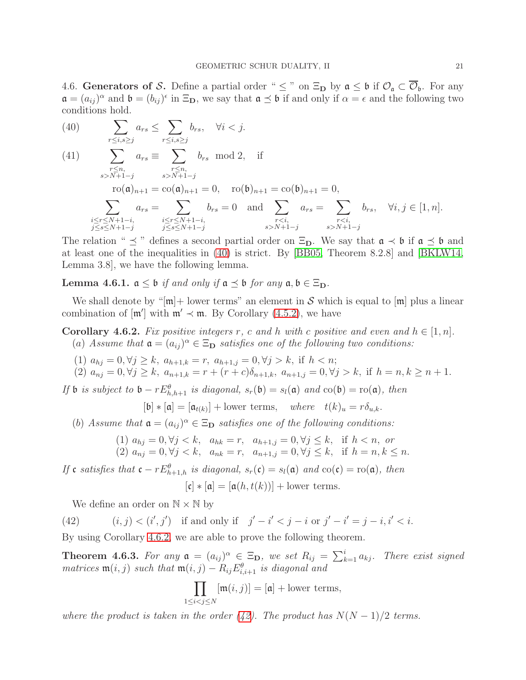<span id="page-20-0"></span>4.6. Generators of S. Define a partial order "  $\leq$  " on  $\Xi_{\mathbf{D}}$  by  $\mathfrak{a} \leq \mathfrak{b}$  if  $\mathcal{O}_{\mathfrak{a}} \subset \overline{\mathcal{O}}_{\mathfrak{b}}$ . For any  $\mathfrak{a} = (a_{ij})^{\alpha}$  and  $\mathfrak{b} = (b_{ij})^{\epsilon}$  in  $\Xi_{\mathbf{D}}$ , we say that  $\mathfrak{a} \preceq \mathfrak{b}$  if and only if  $\alpha = \epsilon$  and the following two conditions hold.

<span id="page-20-1"></span> $\overline{\phantom{0}}$ r≤i,s≥j  $a_{rs} \leq \sum$ r≤i,s≥j (40)  $\sum a_{rs} \leq \sum b_{rs}, \quad \forall i < j.$ 

(41) 
$$
\sum_{\substack{r \le n, \\ s > N+1-j}} a_{rs} \equiv \sum_{\substack{r \le n, \\ s > N+1-j}} b_{rs} \mod 2, \text{ if }
$$

 $\text{ro}(\mathfrak{a})_{n+1} = \text{co}(\mathfrak{a})_{n+1} = 0$ ,  $\text{ro}(\mathfrak{b})_{n+1} = \text{co}(\mathfrak{b})_{n+1} = 0$ ,

$$
\sum_{\substack{i \leq r \leq N+1-i, \\ j \leq s \leq N+1-j}} a_{rs} = \sum_{\substack{i \leq r \leq N+1-i, \\ j \leq s \leq N+1-j}} b_{rs} = 0 \text{ and } \sum_{\substack{r < i, \\ s > N+1-j}} a_{rs} = \sum_{\substack{r < i, \\ s > N+1-j}} b_{rs}, \quad \forall i, j \in [1, n].
$$

The relation "  $\prec$  " defines a second partial order on  $\Xi_{D}$ . We say that  $\mathfrak{a} \prec \mathfrak{b}$  if  $\mathfrak{a} \prec \mathfrak{b}$  and at least one of the inequalities in [\(40\)](#page-20-1) is strict. By [\[BB05,](#page-38-5) Theorem 8.2.8] and [\[BKLW14,](#page-38-3) Lemma 3.8], we have the following lemma.

Lemma 4.6.1.  $a \leq b$  *if and only if*  $a \leq b$  *for any*  $a, b \in \Xi_D$ .

We shall denote by " $[m]$ + lower terms" an element in S which is equal to  $[m]$  plus a linear combination of  $[\mathfrak{m}']$  with  $\mathfrak{m}' \prec \mathfrak{m}$ . By Corollary [\(4.5.2\)](#page-19-0), we have

<span id="page-20-2"></span>**Corollary 4.6.2.** Fix positive integers r, c and h with c positive and even and  $h \in [1, n]$ .

- (a) Assume that  $\mathfrak{a} = (a_{ij})^{\alpha} \in \Xi_{\mathbf{D}}$  satisfies one of the following two conditions:
- (1)  $a_{hj} = 0, \forall j \geq k, a_{h+1,k} = r, a_{h+1,j} = 0, \forall j > k, \text{ if } h < n;$
- (2)  $a_{nj} = 0, \forall j \ge k, \ a_{n+1,k} = r + (r+c)\delta_{n+1,k}, \ a_{n+1,j} = 0, \forall j > k, \text{ if } h = n, k \ge n+1.$

*If* **b** *is subject to* **b**  $-rE^{\theta}_{h,h+1}$  *is diagonal,*  $s_r(\mathfrak{b}) = s_l(\mathfrak{a})$  *and*  $\text{co}(\mathfrak{b}) = \text{ro}(\mathfrak{a})$ *, then* 

$$
[\mathfrak{b}]*[\mathfrak{a}]=[\mathfrak{a}_{t(k)}]+ \text{lower terms}, \quad \text{where} \quad t(k)_u = r\delta_{u,k}.
$$

(b) Assume that  $\mathfrak{a} = (a_{ij})^{\alpha} \in \Xi_{\mathbf{D}}$  satisfies one of the following conditions:

(1) 
$$
a_{hj} = 0, \forall j < k, \quad a_{hk} = r, \quad a_{h+1,j} = 0, \forall j \leq k, \quad \text{if } h < n, \text{ or}
$$
  
(2)  $a_{nj} = 0, \forall j < k, \quad a_{nk} = r, \quad a_{n+1,j} = 0, \forall j \leq k, \quad \text{if } h = n, k \leq n.$ 

*If* c *satisfies that*  $c - rE_{h+1,h}^{\theta}$  *is diagonal,*  $s_r(c) = s_l(a)$  *and*  $\text{co}(c) = \text{ro}(a)$ *, then* 

 $[c] * [a] = [a(h, t(k))] +$ lower terms.

<span id="page-20-3"></span>We define an order on  $\mathbb{N} \times \mathbb{N}$  by

(42) 
$$
(i, j) < (i', j')
$$
 if and only if  $j' - i' < j - i$  or  $j' - i' = j - i, i' < i$ .

By using Corollary [4.6.2,](#page-20-2) we are able to prove the following theorem.

<span id="page-20-4"></span>**Theorem 4.6.3.** For any  $a = (a_{ij})^{\alpha} \in \Xi_{\mathbf{D}}$ , we set  $R_{ij} = \sum_{k=1}^{i}$ *There exist signed*  $matrices \mathfrak{m}(i, j) \text{ such that } \mathfrak{m}(i, j) - R_{ij} E_{i, i+1}^{\theta} \text{ is diagonal and}$ 

$$
\prod_{1 \le i < j \le N} [\mathfrak{m}(i,j)] = [\mathfrak{a}] + \text{lower terms},
$$

*where the product is taken in the order*  $(42)$ *. The product has*  $N(N-1)/2$  *terms.*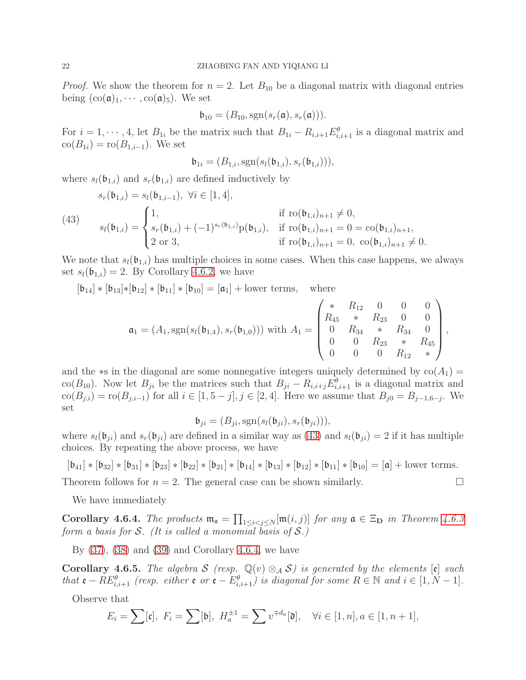*Proof.* We show the theorem for  $n = 2$ . Let  $B_{10}$  be a diagonal matrix with diagonal entries being  $(\text{co}(\mathfrak{a})_1, \cdots, \text{co}(\mathfrak{a})_5)$ . We set

$$
\mathfrak{b}_{10}=(B_{10},\mathrm{sgn}(s_r(\mathfrak{a}),s_r(\mathfrak{a}))).
$$

For  $i = 1, \dots, 4$ , let  $B_{1i}$  be the matrix such that  $B_{1i} - R_{i,i+1} E_{i,i+1}^{\theta}$  is a diagonal matrix and  $co(B_{1i}) = ro(B_{1,i-1})$ . We set

$$
\mathfrak{b}_{1i} = (B_{1,i}, \mathrm{sgn}(s_l(\mathfrak{b}_{1,i}), s_r(\mathfrak{b}_{1,i}))),
$$

where  $s_l(\mathfrak{b}_{1,i})$  and  $s_r(\mathfrak{b}_{1,i})$  are defined inductively by

<span id="page-21-0"></span>(43) 
$$
s_r(\mathfrak{b}_{1,i}) = s_l(\mathfrak{b}_{1,i-1}), \ \forall i \in [1, 4],
$$

$$
s_l(\mathfrak{b}_{1,i}) = \begin{cases} 1, & \text{if } r \circ (\mathfrak{b}_{1,i})_{n+1} \neq 0, \\ s_r(\mathfrak{b}_{1,i}) + (-1)^{s_r(\mathfrak{b}_{1,i})} p(\mathfrak{b}_{1,i}), & \text{if } r \circ (\mathfrak{b}_{1,i})_{n+1} = 0 = \text{co}(\mathfrak{b}_{1,i})_{n+1}, \\ 2 \text{ or } 3, & \text{if } r \circ (\mathfrak{b}_{1,i})_{n+1} = 0, \ \text{co}(\mathfrak{b}_{1,i})_{n+1} \neq 0. \end{cases}
$$

We note that  $s_l(\mathfrak{b}_{1,i})$  has multiple choices in some cases. When this case happens, we always set  $s_l(\mathfrak{b}_{1,i}) = 2$ . By Corollary [4.6.2,](#page-20-2) we have

 $[\mathfrak{b}_{14}] * [\mathfrak{b}_{13}] * [\mathfrak{b}_{12}] * [\mathfrak{b}_{11}] * [\mathfrak{b}_{10}] = [\mathfrak{a}_1] + \text{lower terms}, \text{ where}$ 

$$
\mathfrak{a}_1 = (A_1, \text{sgn}(s_l(\mathfrak{b}_{1,4}), s_r(\mathfrak{b}_{1,0}))) \text{ with } A_1 = \begin{pmatrix} * & R_{12} & 0 & 0 & 0 \\ R_{45} & * & R_{23} & 0 & 0 \\ 0 & R_{34} & * & R_{34} & 0 \\ 0 & 0 & R_{23} & * & R_{45} \\ 0 & 0 & 0 & R_{12} & * \end{pmatrix},
$$

and the  $\ast$ s in the diagonal are some nonnegative integers uniquely determined by  $\text{co}(A_1)$  = co( $B_{10}$ ). Now let  $B_{ji}$  be the matrices such that  $B_{ji} - R_{i,i+j}E^{\theta}_{i,i+1}$  is a diagonal matrix and  $\text{co}(B_{j,i}) = \text{ro}(B_{j,i-1})$  for all  $i \in [1, 5 - j], j \in [2, 4]$ . Here we assume that  $B_{j0} = B_{j-1, 6-j}$ . We set

$$
\mathfrak{b}_{ji} = (B_{ji}, \text{sgn}(s_l(\mathfrak{b}_{ji}), s_r(\mathfrak{b}_{ji}))),
$$

where  $s_l(\mathfrak{b}_{ji})$  and  $s_r(\mathfrak{b}_{ji})$  are defined in a similar way as [\(43\)](#page-21-0) and  $s_l(\mathfrak{b}_{ji}) = 2$  if it has multiple choices. By repeating the above process, we have

 $[\mathfrak{b}_{41}] * [\mathfrak{b}_{32}] * [\mathfrak{b}_{31}] * [\mathfrak{b}_{23}] * [\mathfrak{b}_{22}] * [\mathfrak{b}_{21}] * [\mathfrak{b}_{14}] * [\mathfrak{b}_{13}] * [\mathfrak{b}_{12}] * [\mathfrak{b}_{11}] * [\mathfrak{b}_{10}] = [\mathfrak{a}] + \text{lower terms}.$ 

Theorem follows for  $n = 2$ . The general case can be shown similarly.

We have immediately

<span id="page-21-1"></span>Corollary 4.6.4. *The products*  $\mathfrak{m}_{\mathfrak{a}} = \prod_{1 \leq i < j \leq N} [\mathfrak{m}(i, j)]$  *for any*  $\mathfrak{a} \in \Xi_{\mathbf{D}}$  *in Theorem [4.6.3](#page-20-4) form a basis for* S*. (It is called a monomial basis of* S*.)*

By  $(37)$ ,  $(38)$  and  $(39)$  and Corollary [4.6.4,](#page-21-1) we have

<span id="page-21-2"></span>**Corollary 4.6.5.** *The algebra* S *(resp.*  $\mathbb{Q}(v) \otimes_A S$ *) is generated by the elements*  $[\mathfrak{e}]$  *such that*  $\mathbf{e} - RE_{i,i+1}^{\theta}$  *(resp. either*  $\mathbf{e}$  *or*  $\mathbf{e} - E_{i,i+1}^{\theta}$  *is diagonal for some*  $R \in \mathbb{N}$  *and*  $i \in [1, N-1]$ *.* 

Observe that

$$
E_i = \sum [\mathfrak{c}], \ F_i = \sum [\mathfrak{b}], \ H_a^{\pm 1} = \sum v^{\mp d_a}[\mathfrak{d}], \quad \forall i \in [1, n], a \in [1, n+1],
$$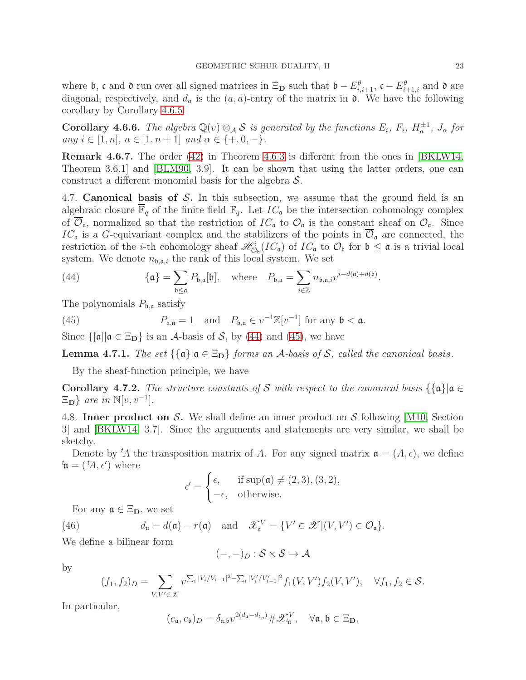where **b**, **c** and **d** run over all signed matrices in  $\Xi_{\mathbf{D}}$  such that  $\mathbf{b} - E_{i,i+1}^{\theta}$ ,  $\mathbf{c} - E_{i+1,i}^{\theta}$  and **d** are diagonal, respectively, and  $d_a$  is the  $(a, a)$ -entry of the matrix in  $\mathfrak{d}$ . We have the following corollary by Corollary [4.6.5.](#page-21-2)

<span id="page-22-2"></span>**Corollary 4.6.6.** *The algebra*  $\mathbb{Q}(v) \otimes_A \mathcal{S}$  *is generated by the functions*  $E_i$ ,  $F_i$ ,  $H_a^{\pm 1}$ ,  $J_\alpha$  for  $any \ i \in [1, n], \ a \in [1, n + 1] \ and \ \alpha \in \{+, 0, -\}.$ 

Remark 4.6.7. The order [\(42\)](#page-20-3) in Theorem [4.6.3](#page-20-4) is different from the ones in [\[BKLW14,](#page-38-3) Theorem 3.6.1] and [\[BLM90,](#page-38-2) 3.9]. It can be shown that using the latter orders, one can construct a different monomial basis for the algebra  $\mathcal{S}$ .

<span id="page-22-0"></span>4.7. Canonical basis of  $S$ . In this subsection, we assume that the ground field is an algebraic closure  $\overline{\mathbb{F}}_q$  of the finite field  $\mathbb{F}_q$ . Let  $IC_{\mathfrak{a}}$  be the intersection cohomology complex of  $\overline{\mathcal{O}}_{\mathfrak{a}}$ , normalized so that the restriction of  $IC_{\mathfrak{a}}$  to  $\mathcal{O}_{\mathfrak{a}}$  is the constant sheaf on  $\mathcal{O}_{\mathfrak{a}}$ . Since  $IC_{\mathfrak{a}}$  is a G-equivariant complex and the stabilizers of the points in  $\mathcal{O}_{\mathfrak{a}}$  are connected, the restriction of the *i*-th cohomology sheaf  $\mathscr{H}_{\mathcal{O}_{b}}^{i}(IC_{\mathfrak{a}})$  of  $IC_{\mathfrak{a}}$  to  $\mathcal{O}_{b}$  for  $\mathfrak{b} \leq \mathfrak{a}$  is a trivial local system. We denote  $n_{\mathfrak{b},\mathfrak{a},i}$  the rank of this local system. We set

<span id="page-22-3"></span>(44) 
$$
\{\mathfrak{a}\} = \sum_{\mathfrak{b} \leq \mathfrak{a}} P_{\mathfrak{b},\mathfrak{a}}[\mathfrak{b}], \text{ where } P_{\mathfrak{b},\mathfrak{a}} = \sum_{i \in \mathbb{Z}} n_{\mathfrak{b},\mathfrak{a},i} v^{i-d(\mathfrak{a})+d(\mathfrak{b})}.
$$

The polynomials  $P_{\mathfrak{b},\mathfrak{a}}$  satisfy

<span id="page-22-4"></span>(45) 
$$
P_{\mathfrak{a},\mathfrak{a}} = 1 \quad \text{and} \quad P_{\mathfrak{b},\mathfrak{a}} \in v^{-1}\mathbb{Z}[v^{-1}] \text{ for any } \mathfrak{b} < \mathfrak{a}.
$$

Since  $\{[\mathfrak{a}] | \mathfrak{a} \in \Xi_{\mathbf{D}}\}$  is an A-basis of S, by [\(44\)](#page-22-3) and [\(45\)](#page-22-4), we have

**Lemma 4.7.1.** *The set*  $\{\{\mathfrak{a}\}|\mathfrak{a} \in \Xi_{D}\}$  *forms an A*-basis of *S*, called the canonical basis.

By the sheaf-function principle, we have

Corollary 4.7.2. *The structure constants of* S *with respect to the canonical basis*  $\{\{\mathfrak{a}\}|\mathfrak{a} \in$  $\Xi_{\mathbf{D}}\}$  are in  $\mathbb{N}[v, v^{-1}].$ 

<span id="page-22-1"></span>4.8. Inner product on S. We shall define an inner product on S following [\[M10,](#page-39-10) Section 3] and [\[BKLW14,](#page-38-3) 3.7]. Since the arguments and statements are very similar, we shall be sketchy.

Denote by  ${}^t\!A$  the transposition matrix of A. For any signed matrix  $\mathfrak{a} = (A, \epsilon)$ , we define  $t\mathfrak{a}=(tA,\epsilon')$  where

$$
\epsilon' = \begin{cases} \epsilon, & \text{if sup}(\mathfrak{a}) \neq (2,3), (3,2), \\ -\epsilon, & \text{otherwise.} \end{cases}
$$

For any  $\mathfrak{a} \in \Xi_{\mathbf{D}}$ , we set

(46)  $d_{\mathfrak{a}} = d(\mathfrak{a}) - r(\mathfrak{a}) \text{ and } \mathscr{X}_{\mathfrak{a}}^{V} = \{V' \in \mathscr{X} | (V, V') \in \mathcal{O}_{\mathfrak{a}}\}.$ 

We define a bilinear form

$$
(-,-)_D : \mathcal{S} \times \mathcal{S} \to \mathcal{A}
$$

by

$$
(f_1, f_2)_D = \sum_{V, V' \in \mathcal{X}} v^{\sum_i |V_i/V_{i-1}|^2 - \sum_i |V'_i/V'_{i-1}|^2} f_1(V, V') f_2(V, V'), \quad \forall f_1, f_2 \in \mathcal{S}.
$$

In particular,

$$
(e_{\mathfrak{a}},e_{\mathfrak{b}})_D = \delta_{\mathfrak{a},\mathfrak{b}} v^{2(d_{\mathfrak{a}} - d_{t_{\mathfrak{a}}})} \# \mathscr{X}_{t_{\mathfrak{a}}}^V, \quad \forall \mathfrak{a}, \mathfrak{b} \in \Xi_{\mathbf{D}},
$$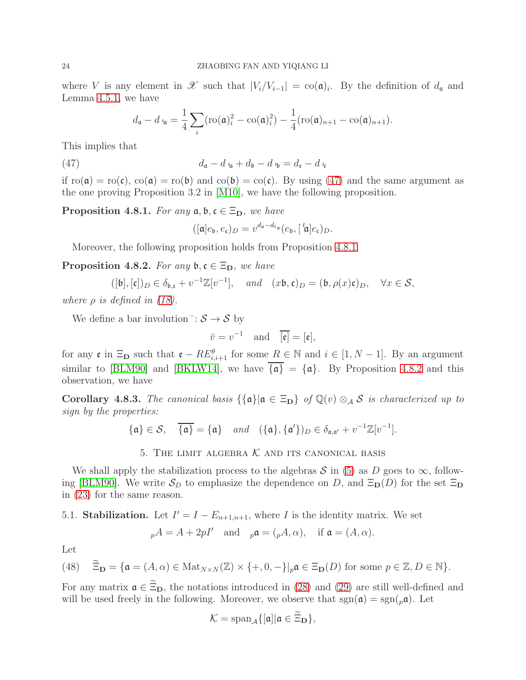where V is any element in  $\mathscr X$  such that  $|V_i/V_{i-1}| = \text{co}(\mathfrak a)_i$ . By the definition of  $d_{\mathfrak a}$  and Lemma [4.5.1,](#page-18-1) we have

$$
d_{\mathfrak{a}}-d_{\mathfrak{t}_{\mathfrak{a}}}=\frac{1}{4}\sum_{i}(\text{ro}(\mathfrak{a})_{i}^{2}-\text{co}(\mathfrak{a})_{i}^{2})-\frac{1}{4}(\text{ro}(\mathfrak{a})_{n+1}-\text{co}(\mathfrak{a})_{n+1}).
$$

This implies that

(47) 
$$
d_{\mathfrak{a}} - d_{\mathfrak{t}_{\mathfrak{a}}} + d_{\mathfrak{b}} - d_{\mathfrak{t}_{\mathfrak{b}}} = d_{\mathfrak{c}} - d_{\mathfrak{t}_{\mathfrak{c}}}
$$

if  $r\sigma(\mathfrak{a}) = r\sigma(\mathfrak{c})$ ,  $\cot(\mathfrak{a}) = r\sigma(\mathfrak{b})$  and  $\cot(\mathfrak{b}) = \cot(\mathfrak{c})$ . By using [\(47\)](#page-23-2) and the same argument as the one proving Proposition 3.2 in [\[M10\]](#page-39-10), we have the following proposition.

<span id="page-23-3"></span>**Proposition 4.8.1.** *For any*  $a, b, c \in \Xi_D$ *, we have* 

<span id="page-23-2"></span>
$$
([\mathfrak{a}]e_{\mathfrak{b}},e_{\mathfrak{c}})_D=v^{d_{\mathfrak{a}}-d_{t_{\mathfrak{a}}}}(e_{\mathfrak{b}},[\,{}^t\!\mathfrak{a}]e_{\mathfrak{c}})_D.
$$

Moreover, the following proposition holds from Proposition [4.8.1.](#page-23-3)

<span id="page-23-4"></span>**Proposition 4.8.2.** *For any*  $\mathfrak{b}, \mathfrak{c} \in \Xi_{\mathbf{D}},$  *we have* 

$$
([\mathfrak{b}], [\mathfrak{c}])_D \in \delta_{\mathfrak{b}, \mathfrak{c}} + v^{-1} \mathbb{Z}[v^{-1}], \quad \text{and} \quad (x\mathfrak{b}, \mathfrak{c})_D = (\mathfrak{b}, \rho(x)\mathfrak{c})_D, \quad \forall x \in \mathcal{S},
$$

*where*  $\rho$  *is defined in [\(18\)](#page-11-1).* 

We define a bar involution $\overline{\phantom{a}}: \mathcal{S} \to \mathcal{S}$  by

$$
\bar{v} = v^{-1}
$$
 and  $\overline{[\mathfrak{e}]} = [\mathfrak{e}],$ 

for any  $\mathfrak{e}$  in  $\Xi_{\mathbf{D}}$  such that  $\mathfrak{e} - RE_{i,i+1}^{\theta}$  for some  $R \in \mathbb{N}$  and  $i \in [1, N-1]$ . By an argument similar to [\[BLM90\]](#page-38-2) and [\[BKLW14\]](#page-38-3), we have  $\overline{\{\mathfrak{a}\}} = {\mathfrak{a}}$ . By Proposition [4.8.2](#page-23-4) and this observation, we have

Corollary 4.8.3. *The canonical basis*  $\{\{\mathfrak{a}\}|\mathfrak{a} \in \Xi_{D}\}\$  *of*  $\mathbb{Q}(v) \otimes_{\mathcal{A}} S$  *is characterized up to sign by the properties:*

$$
\{\mathfrak{a}\}\in\mathcal{S},\quad \overline{\{\mathfrak{a}\}}=\{\mathfrak{a}\}\quad\text{and}\quad (\{\mathfrak{a}\},\{\mathfrak{a}'\})_D\in\delta_{\mathfrak{a},\mathfrak{a}'}+v^{-1}\mathbb{Z}[v^{-1}].
$$

# 5. THE LIMIT ALGEBRA  $K$  and its canonical basis

<span id="page-23-0"></span>We shall apply the stabilization process to the algebras  $S$  in [\(5\)](#page-8-2) as D goes to  $\infty$ , follow-ing [\[BLM90\]](#page-38-2). We write  $S_D$  to emphasize the dependence on D, and  $\Xi_D(D)$  for the set  $\Xi_D$ in [\(23\)](#page-12-4) for the same reason.

# <span id="page-23-1"></span>5.1. **Stabilization.** Let  $I' = I - E_{n+1,n+1}$ , where I is the identity matrix. We set

$$
{}_{p}A = A + 2pI' \quad \text{and} \quad {}_{p}\mathfrak{a} = ({}_{p}A, \alpha), \quad \text{if } \mathfrak{a} = (A, \alpha).
$$

Let

<span id="page-23-5"></span>(48) 
$$
\widetilde{\Xi}_{\mathbf{D}} = {\mathbf{a} = (A, \alpha) \in \text{Mat}_{N \times N}(\mathbb{Z}) \times \{+, 0, -\} |_{p} \mathbf{a} \in \Xi_{\mathbf{D}}(D) \text{ for some } p \in \mathbb{Z}, D \in \mathbb{N}\}.
$$

For any matrix  $\mathfrak{a} \in \widetilde{\Xi}_{D}$ , the notations introduced in [\(28\)](#page-13-3) and [\(29\)](#page-13-4) are still well-defined and will be used freely in the following. Moreover, we observe that  $sgn(\mathfrak{a}) = sgn(\mathfrak{a})$ . Let

$$
\mathcal{K}=\mathrm{span}_{\mathcal{A}}\{[\mathfrak{a}]|\mathfrak{a}\in\Xi_{\mathbf{D}}\},
$$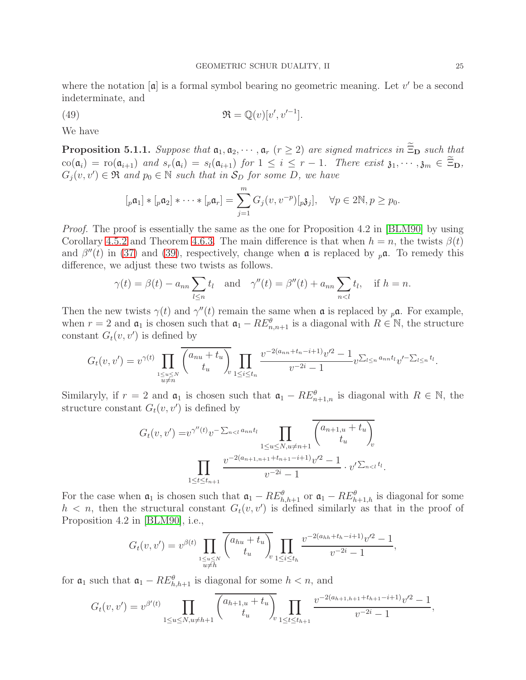where the notation  $[a]$  is a formal symbol bearing no geometric meaning. Let  $v'$  be a second indeterminate, and

<span id="page-24-1"></span>(49) 
$$
\mathfrak{R} = \mathbb{Q}(v)[v', v'^{-1}].
$$

We have

<span id="page-24-0"></span>**Proposition 5.1.1.** *Suppose that*  $a_1, a_2, \dots, a_r$  ( $r \geq 2$ ) *are signed matrices in*  $\widetilde{\Xi}_{\mathbf{D}}$  *such that*  $\operatorname{co}(\mathfrak{a}_i) = \operatorname{ro}(\mathfrak{a}_{i+1})$  *and*  $s_r(\mathfrak{a}_i) = s_l(\mathfrak{a}_{i+1})$  *for*  $1 \leq i \leq r-1$ *. There exist*  $\mathfrak{z}_1, \dots, \mathfrak{z}_m \in \widetilde{\Xi}_{\mathbf{D}}$ *,*  $G_j(v, v') \in \mathfrak{R}$  and  $p_0 \in \mathbb{N}$  such that in  $S_D$  for some D, we have

$$
[p\mathfrak{a}_1] * [p\mathfrak{a}_2] * \cdots * [p\mathfrak{a}_r] = \sum_{j=1}^m G_j(v, v^{-p}) [p\mathfrak{z}_j], \quad \forall p \in 2\mathbb{N}, p \ge p_0.
$$

*Proof.* The proof is essentially the same as the one for Proposition 4.2 in [\[BLM90\]](#page-38-2) by using Corollary [4.5.2](#page-19-0) and Theorem [4.6.3.](#page-20-4) The main difference is that when  $h = n$ , the twists  $\beta(t)$ and  $\beta''(t)$  in [\(37\)](#page-19-1) and [\(39\)](#page-19-3), respectively, change when  $\alpha$  is replaced by  $_{p}\alpha$ . To remedy this difference, we adjust these two twists as follows.

$$
\gamma(t) = \beta(t) - a_{nn} \sum_{l \le n} t_l
$$
 and  $\gamma''(t) = \beta''(t) + a_{nn} \sum_{n < l} t_l$ , if  $h = n$ .

Then the new twists  $\gamma(t)$  and  $\gamma''(t)$  remain the same when  $\alpha$  is replaced by  $_p\alpha$ . For example, when  $r = 2$  and  $\mathfrak{a}_1$  is chosen such that  $\mathfrak{a}_1 - RE_{n,n+1}^{\theta}$  is a diagonal with  $R \in \mathbb{N}$ , the structure constant  $G_t(v, v')$  is defined by

$$
G_t(v, v') = v^{\gamma(t)} \prod_{\substack{1 \le u \le N \\ u \neq n}} \overline{\binom{a_{nu} + t_u}{t_u}} \prod_{v} \prod_{1 \le i \le t_n} \frac{v^{-2(a_{nn} + t_n - i + 1)} v'^2 - 1}{v^{-2i} - 1} v^{\sum_{l \le n} a_{nn} t_l} v'^{-\sum_{l \le n} t_l}.
$$

Similaryly, if  $r = 2$  and  $\mathfrak{a}_1$  is chosen such that  $\mathfrak{a}_1 - RE_{n+1,n}^{\theta}$  is diagonal with  $R \in \mathbb{N}$ , the structure constant  $G_t(v, v')$  is defined by

$$
G_t(v, v') = v^{\gamma''(t)} v^{-\sum_{n < l} a_{nn} t_l} \prod_{1 \le u \le N, u \ne n+1} \overline{\left(\begin{matrix} a_{n+1,u} + t_u \\ t_u \end{matrix}\right)_v}
$$
\n
$$
\prod_{1 \le t \le t_{n+1}} \frac{v^{-2(a_{n+1,n+1} + t_{n+1} - i + 1)} v'^2 - 1}{v^{-2i} - 1} \cdot v'^{\sum_{n < l} t_l}.
$$

For the case when  $\mathfrak{a}_1$  is chosen such that  $\mathfrak{a}_1 - RE_{h,h+1}^{\theta}$  or  $\mathfrak{a}_1 - RE_{h+1,h}^{\theta}$  is diagonal for some  $h < n$ , then the structural constant  $G_t(v, v')$  is defined similarly as that in the proof of Proposition 4.2 in [\[BLM90\]](#page-38-2), i.e.,

$$
G_t(v, v') = v^{\beta(t)} \prod_{\substack{1 \le u \le N \\ u \neq h}} \overline{\binom{a_{hu} + t_u}{t_u}} \prod_{v \le u \le t_h} \frac{v^{-2(a_{hh} + t_h - i + 1)} v'^2 - 1}{v^{-2i} - 1},
$$

for  $\mathfrak{a}_1$  such that  $\mathfrak{a}_1 - RE_{h,h+1}^{\theta}$  is diagonal for some  $h < n$ , and

$$
G_t(v, v') = v^{\beta'(t)} \prod_{1 \le u \le N, u \ne h+1} \overline{\binom{a_{h+1,u} + t_u}{t_u}} \prod_{1 \le t \le t_{h+1}} \frac{v^{-2(a_{h+1,h+1} + t_{h+1} - i + 1)} v'^2 - 1}{v^{-2i} - 1},
$$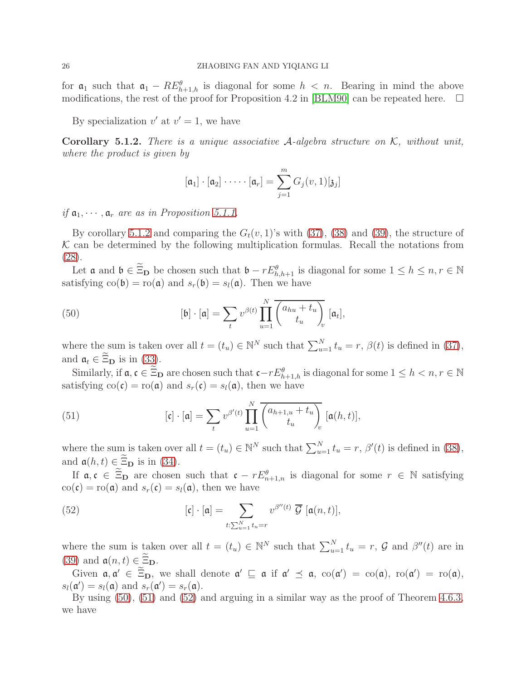for  $a_1$  such that  $a_1 - RE_{h+1,h}^{\theta}$  is diagonal for some  $h < n$ . Bearing in mind the above modifications, the rest of the proof for Proposition 4.2 in [\[BLM90\]](#page-38-2) can be repeated here.  $\Box$ 

By specialization  $v'$  at  $v' = 1$ , we have

<span id="page-25-0"></span>Corollary 5.1.2. *There is a unique associative* A*-algebra structure on* K*, without unit, where the product is given by*

$$
[\mathfrak{a}_1] \cdot [\mathfrak{a}_2] \cdot \cdots \cdot [\mathfrak{a}_r] = \sum_{j=1}^m G_j(v,1)[\mathfrak{z}_j]
$$

*if*  $a_1, \dots, a_r$  *are as in Proposition [5.1.1.](#page-24-0)* 

By corollary [5.1.2](#page-25-0) and comparing the  $G_t(v, 1)$ 's with [\(37\)](#page-19-1), [\(38\)](#page-19-2) and [\(39\)](#page-19-3), the structure of  $K$  can be determined by the following multiplication formulas. Recall the notations from [\(28\)](#page-13-3).

Let  $\mathfrak{a}$  and  $\mathfrak{b} \in \Xi_{\mathbf{D}}$  be chosen such that  $\mathfrak{b} - rE_{h,h+1}^{\theta}$  is diagonal for some  $1 \leq h \leq n, r \in \mathbb{N}$ satisfying  $\text{co}(\mathfrak{b}) = \text{ro}(\mathfrak{a})$  and  $s_r(\mathfrak{b}) = s_l(\mathfrak{a})$ . Then we have

<span id="page-25-1"></span>(50) 
$$
\left[\mathfrak{b}\right] \cdot \left[\mathfrak{a}\right] = \sum_{t} v^{\beta(t)} \prod_{u=1}^{N} \overline{\left(\begin{matrix} a_{hu} + t_u \\ t_u \end{matrix}\right)_v} \left[\mathfrak{a}_t\right],
$$

where the sum is taken over all  $t = (t_u) \in \mathbb{N}^N$  such that  $\sum_{u=1}^N t_u = r$ ,  $\beta(t)$  is defined in [\(37\)](#page-19-1), and  $\mathfrak{a}_t \in \Xi_{\mathbf{D}}$  is in [\(33\)](#page-15-1).

Similarly, if  $a, c \in \Xi_D$  are chosen such that  $c-rE^{\theta}_{h+1,h}$  is diagonal for some  $1 \leq h < n, r \in \mathbb{N}$ satisfying  $\text{co}(\mathfrak{c}) = \text{ro}(\mathfrak{a})$  and  $s_r(\mathfrak{c}) = s_l(\mathfrak{a})$ , then we have

<span id="page-25-2"></span>(51) 
$$
[\mathfrak{c}] \cdot [\mathfrak{a}] = \sum_{t} v^{\beta'(t)} \prod_{u=1}^{N} \overline{\begin{pmatrix} a_{h+1,u} + t_u \\ t_u \end{pmatrix}}_{v} [\mathfrak{a}(h,t)],
$$

where the sum is taken over all  $t = (t_u) \in \mathbb{N}^N$  such that  $\sum_{u=1}^N t_u = r$ ,  $\beta'(t)$  is defined in [\(38\)](#page-19-2), and  $a(h, t) \in \widetilde{\Xi}_{\mathbf{D}}$  is in [\(34\)](#page-16-1).

If  $\mathfrak{a}, \mathfrak{c} \in \Xi_{\mathbf{D}}$  are chosen such that  $\mathfrak{c} - rE_{n+1,n}^{\theta}$  is diagonal for some  $r \in \mathbb{N}$  satisfying  $\text{co}(\mathfrak{c}) = \text{ro}(\mathfrak{a})$  and  $s_r(\mathfrak{c}) = s_l(\mathfrak{a})$ , then we have

<span id="page-25-3"></span>(52) 
$$
[\mathfrak{c}] \cdot [\mathfrak{a}] = \sum_{t:\sum_{u=1}^N t_u = r} v^{\beta''(t)} \overline{\mathcal{G}} [\mathfrak{a}(n,t)],
$$

where the sum is taken over all  $t = (t_u) \in \mathbb{N}^N$  such that  $\sum_{u=1}^N t_u = r$ ,  $\mathcal G$  and  $\beta''(t)$  are in [\(39\)](#page-19-3) and  $a(n, t) \in \Xi_{\mathbf{D}}$ .

Given  $\mathfrak{a}, \mathfrak{a}' \in \Xi_{\mathbf{D}}$ , we shall denote  $\mathfrak{a}' \sqsubseteq \mathfrak{a}$  if  $\mathfrak{a}' \preceq \mathfrak{a}$ ,  $\text{co}(\mathfrak{a}') = \text{co}(\mathfrak{a})$ ,  $\text{ro}(\mathfrak{a}') = \text{ro}(\mathfrak{a})$ ,  $s_l(\mathfrak{a}') = s_l(\mathfrak{a})$  and  $s_r(\mathfrak{a}') = s_r(\mathfrak{a})$ .

By using [\(50\)](#page-25-1), [\(51\)](#page-25-2) and [\(52\)](#page-25-3) and arguing in a similar way as the proof of Theorem [4.6.3,](#page-20-4) we have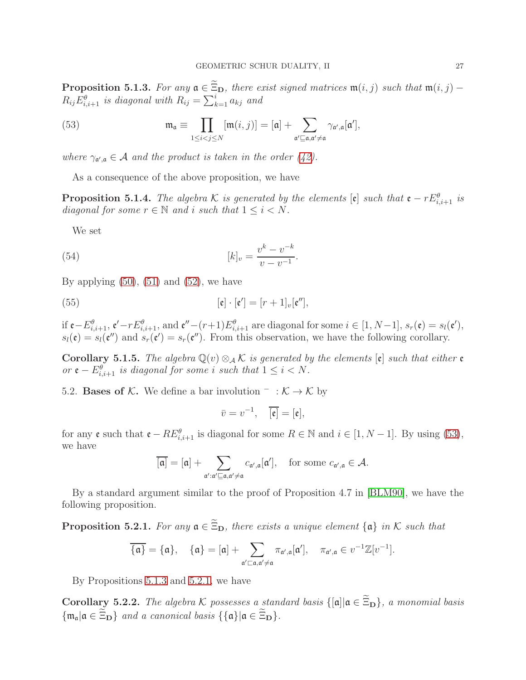<span id="page-26-2"></span>**Proposition 5.1.3.** *For any*  $\mathfrak{a} \in \widetilde{\Xi}_{D}$ *, there exist signed matrices*  $\mathfrak{m}(i, j)$  *such that*  $\mathfrak{m}(i, j)$  −  $R_{ij}E_{i,i+1}^{\theta}$  is diagonal with  $R_{ij} = \sum_{k=1}^{i} a_{kj}$  and

<span id="page-26-1"></span>(53) 
$$
\mathfrak{m}_{\mathfrak{a}} \equiv \prod_{1 \leq i < j \leq N} [\mathfrak{m}(i,j)] = [\mathfrak{a}] + \sum_{\mathfrak{a}' \sqsubseteq \mathfrak{a}, \mathfrak{a}' \neq \mathfrak{a}} \gamma_{\mathfrak{a}',\mathfrak{a}}[\mathfrak{a}'],
$$

where  $\gamma_{a',a} \in \mathcal{A}$  and the product is taken in the order [\(42\)](#page-20-3).

As a consequence of the above proposition, we have

**Proposition 5.1.4.** *The algebra* K *is generated by the elements*  $[\mathfrak{e}]$  *such that*  $\mathfrak{e} - rE^{\theta}_{i,i+1}$  *is diagonal for some*  $r \in \mathbb{N}$  *and i such that*  $1 \leq i \leq N$ *.* 

We set

(54) 
$$
[k]_v = \frac{v^k - v^{-k}}{v - v^{-1}}.
$$

By applying  $(50)$ ,  $(51)$  and  $(52)$ , we have

(55) 
$$
[\mathfrak{e}] \cdot [\mathfrak{e}'] = [r+1]_v[\mathfrak{e}''],
$$

if  $\mathfrak{e}-E_{i,i+1}^{\theta}$ ,  $\mathfrak{e}'-rE_{i,i+1}^{\theta}$ , and  $\mathfrak{e}''-(r+1)E_{i,i+1}^{\theta}$  are diagonal for some  $i \in [1, N-1]$ ,  $s_r(\mathfrak{e}) = s_l(\mathfrak{e}'),$  $s_l(\mathfrak{e}) = s_l(\mathfrak{e}'')$  and  $s_r(\mathfrak{e}') = s_r(\mathfrak{e}'')$ . From this observation, we have the following corollary.

**Corollary 5.1.5.** *The algebra*  $\mathbb{Q}(v) \otimes_{\mathcal{A}} \mathcal{K}$  *is generated by the elements*  $[\mathfrak{e}]$  *such that either*  $\mathfrak{e}$ *or*  $\mathfrak{e} - E_{i,i+1}^{\theta}$  *is diagonal for some i such that*  $1 \leq i < N$ *.* 

<span id="page-26-0"></span>5.2. **Bases of K.** We define a bar involution  $\bar{f}$  :  $K \rightarrow K$  by

$$
\bar{v}=v^{-1}, \quad \overline{[\mathfrak{e}]}=[\mathfrak{e}],
$$

for any  $\mathfrak{e}$  such that  $\mathfrak{e} - RE_{i,i+1}^{\theta}$  is diagonal for some  $R \in \mathbb{N}$  and  $i \in [1, N-1]$ . By using [\(53\)](#page-26-1), we have

$$
\overline{[\mathfrak{a}]} = [\mathfrak{a}] + \sum_{\mathfrak{a}': \mathfrak{a}' \sqsubseteq \mathfrak{a}, \mathfrak{a}' \neq \mathfrak{a}} c_{\mathfrak{a}',\mathfrak{a}}[\mathfrak{a}'], \quad \text{for some } c_{\mathfrak{a}',\mathfrak{a}} \in \mathcal{A}.
$$

By a standard argument similar to the proof of Proposition 4.7 in [\[BLM90\]](#page-38-2), we have the following proposition.

<span id="page-26-3"></span>**Proposition 5.2.1.** For any  $a \in \widetilde{\Xi}_{D}$ , there exists a unique element  $\{a\}$  in K such that

$$
\overline{\{\mathfrak{a}\}} = \{\mathfrak{a}\}, \quad \{\mathfrak{a}\} = [\mathfrak{a}] + \sum_{\mathfrak{a}' \sqsubset \mathfrak{a}, \mathfrak{a}' \neq \mathfrak{a}} \pi_{\mathfrak{a}', \mathfrak{a}}[\mathfrak{a}'], \quad \pi_{\mathfrak{a}', \mathfrak{a}} \in v^{-1}\mathbb{Z}[v^{-1}].
$$

By Propositions [5.1.3](#page-26-2) and [5.2.1,](#page-26-3) we have

**Corollary 5.2.2.** *The algebra* K possesses a standard basis  $\{[\mathfrak{a}] | \mathfrak{a} \in \widetilde{\Xi}_{D}\}$ , a monomial basis  ${\{\mathfrak{m}_{\mathfrak{a}} | \mathfrak{a} \in \widetilde{\Xi}_{\mathbf{D}}\}}$  *and a canonical basis*  ${\{\{\mathfrak{a}\} | \mathfrak{a} \in \widetilde{\Xi}_{\mathbf{D}}\}}$ .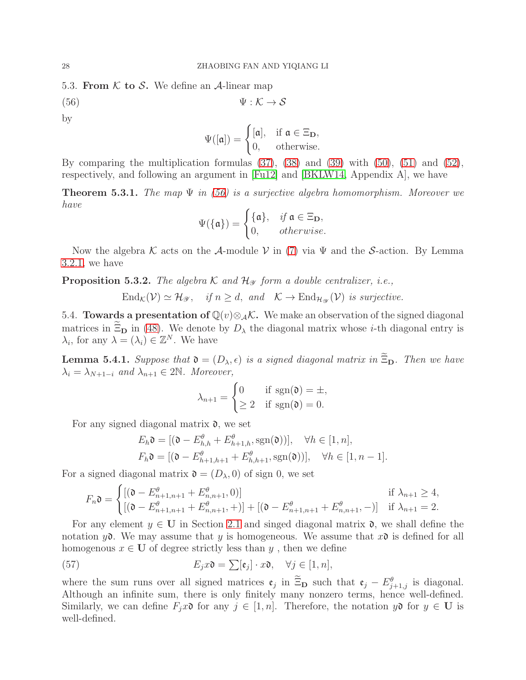<span id="page-27-0"></span>5.3. From  $K$  to S. We define an A-linear map

<span id="page-27-2"></span>
$$
\Psi : \mathcal{K} \to \mathcal{S}
$$

by

$$
\Psi([\mathfrak{a}]) = \begin{cases} [\mathfrak{a}], & \text{if } \mathfrak{a} \in \Xi_{\mathbf{D}}, \\ 0, & \text{otherwise.} \end{cases}
$$

By comparing the multiplication formulas [\(37\)](#page-19-1), [\(38\)](#page-19-2) and [\(39\)](#page-19-3) with [\(50\)](#page-25-1), [\(51\)](#page-25-2) and [\(52\)](#page-25-3), respectively, and following an argument in [\[Fu12\]](#page-39-14) and [\[BKLW14,](#page-38-3) Appendix A], we have

<span id="page-27-3"></span>Theorem 5.3.1. *The map* Ψ *in [\(56\)](#page-27-2) is a surjective algebra homomorphism. Moreover we have*

$$
\Psi(\{\mathfrak{a}\}) = \begin{cases} \{\mathfrak{a}\}, & \text{if } \mathfrak{a} \in \Xi_{\mathbf{D}}, \\ 0, & \text{otherwise.} \end{cases}
$$

Now the algebra K acts on the A-module V in [\(7\)](#page-8-5) via  $\Psi$  and the S-action. By Lemma [3.2.1,](#page-8-1) we have

**Proposition 5.3.2.** *The algebra*  $K$  *and*  $\mathcal{H}_{\mathcal{Y}}$  *form a double centralizer, i.e.,* 

 $\text{End}_{\mathcal{K}}(\mathcal{V}) \simeq \mathcal{H}_{\mathscr{Y}}, \quad \text{if } n \geq d, \text{ and } \mathcal{K} \to \text{End}_{\mathcal{H}_{\mathscr{Y}}}(\mathcal{V}) \text{ is surjective.}$ 

<span id="page-27-1"></span>5.4. **Towards a presentation of**  $\mathbb{Q}(v) \otimes_{\mathcal{A}} \mathcal{K}$ . We make an observation of the signed diagonal matrices in  $\widetilde{\Xi}_{D}$  in [\(48\)](#page-23-5). We denote by  $D_{\lambda}$  the diagonal matrix whose *i*-th diagonal entry is  $\lambda_i$ , for any  $\lambda = (\lambda_i) \in \mathbb{Z}^N$ . We have

**Lemma 5.4.1.** *Suppose that*  $\mathfrak{d} = (D_{\lambda}, \epsilon)$  *is a signed diagonal matrix in*  $\widetilde{\Xi}_{D}$ *. Then we have*  $\lambda_i = \lambda_{N+1-i}$  *and*  $\lambda_{n+1} \in 2\mathbb{N}$ *. Moreover,* 

$$
\lambda_{n+1} = \begin{cases} 0 & \text{if } \operatorname{sgn}(\mathfrak{d}) = \pm, \\ \geq 2 & \text{if } \operatorname{sgn}(\mathfrak{d}) = 0. \end{cases}
$$

For any signed diagonal matrix  $\mathfrak{d}$ , we set

$$
E_h \mathfrak{d} = [(\mathfrak{d} - E_{h,h}^{\theta} + E_{h+1,h}^{\theta}, \text{sgn}(\mathfrak{d}))], \quad \forall h \in [1, n],
$$
  

$$
F_h \mathfrak{d} = [(\mathfrak{d} - E_{h+1,h+1}^{\theta} + E_{h,h+1}^{\theta}, \text{sgn}(\mathfrak{d}))], \quad \forall h \in [1, n-1].
$$

For a signed diagonal matrix  $\mathfrak{d} = (D_{\lambda}, 0)$  of sign 0, we set

<span id="page-27-4"></span>
$$
F_n \mathfrak{d} = \begin{cases} [(\mathfrak{d} - E_{n+1,n+1}^{\theta} + E_{n,n+1}^{\theta}, 0)] & \text{if } \lambda_{n+1} \ge 4, \\ [(\mathfrak{d} - E_{n+1,n+1}^{\theta} + E_{n,n+1}^{\theta}, +)] + [(\mathfrak{d} - E_{n+1,n+1}^{\theta} + E_{n,n+1}^{\theta}, -)] & \text{if } \lambda_{n+1} = 2. \end{cases}
$$

For any element  $y \in U$  in Section [2.1](#page-3-1) and singed diagonal matrix  $\mathfrak{d}$ , we shall define the notation  $y\mathfrak{d}$ . We may assume that y is homogeneous. We assume that  $x\mathfrak{d}$  is defined for all homogenous  $x \in U$  of degree strictly less than y, then we define

(57) 
$$
E_j x \mathfrak{d} = \sum [\mathfrak{e}_j] \cdot x \mathfrak{d}, \quad \forall j \in [1, n],
$$

where the sum runs over all signed matrices  $\mathfrak{e}_j$  in  $\Xi_{\mathbf{D}}$  such that  $\mathfrak{e}_j - E_{j+1,j}^{\theta}$  is diagonal. Although an infinite sum, there is only finitely many nonzero terms, hence well-defined. Similarly, we can define  $F_jx\mathfrak{d}$  for any  $j \in [1, n]$ . Therefore, the notation  $y\mathfrak{d}$  for  $y \in U$  is well-defined.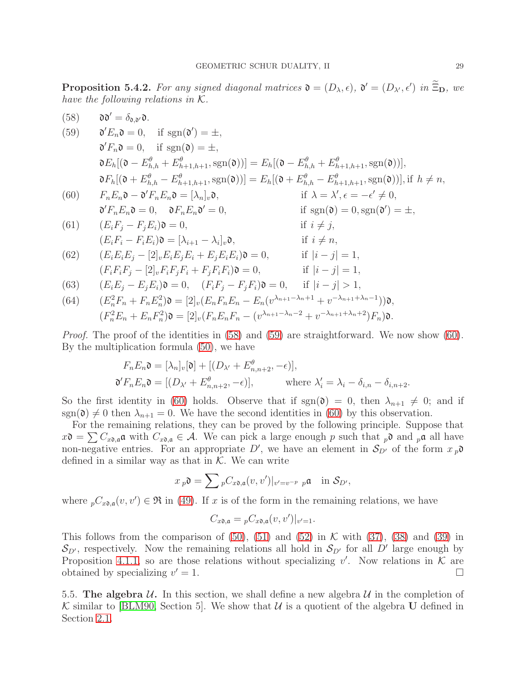<span id="page-28-2"></span>**Proposition 5.4.2.** For any signed diagonal matrices  $\mathfrak{d} = (D_{\lambda}, \epsilon)$ ,  $\mathfrak{d}' = (D_{\lambda'}, \epsilon')$  in  $\Xi_{\mathbf{D}}$ , we *have the following relations in* K*.*

<span id="page-28-1"></span>(58) 
$$
\mathbf{a} \mathbf{v}' = \delta_{\mathbf{a},\mathbf{v}} \mathbf{a}.
$$
  
\n(59)  $\mathbf{a}' E_n \mathbf{a} = 0$ , if  $\text{sgn}(\mathbf{0}') = \pm$ ,  
\n $\mathbf{a}' F_n \mathbf{a} = 0$ , if  $\text{sgn}(\mathbf{0}) = \pm$ ,  
\n $\mathbf{a} E_h[(\mathbf{0} - E_{h,h}^{\theta} + E_{h+1,h+1}^{\theta}, \text{sgn}(\mathbf{0}))] = E_h[(\mathbf{0} - E_{h,h}^{\theta} + E_{h+1,h+1}^{\theta}, \text{sgn}(\mathbf{0}))],$   
\n $\mathbf{a} F_h[(\mathbf{0} + E_{h,h}^{\theta} - E_{h+1,h+1}^{\theta}, \text{sgn}(\mathbf{0}))] = E_h[(\mathbf{0} + E_{h,h}^{\theta} - E_{h+1,h+1}^{\theta}, \text{sgn}(\mathbf{0}))], \text{ if } h \neq n,$   
\n(60)  $F_n E_n \mathbf{a} - \mathbf{a}' F_n E_n \mathbf{a} = [\lambda_n]_v \mathbf{a},$  if  $\lambda = \lambda', \epsilon = -\epsilon' \neq 0$ ,  
\n $\mathbf{a}' F_n E_n \mathbf{a} = 0$ ,  $\mathbf{a} F_n E_n \mathbf{a}' = 0$ , if  $\text{sgn}(\mathbf{0}) = 0, \text{sgn}(\mathbf{0}') = \pm$ ,  
\n(61)  $(E_i F_i - F_j E_i) \mathbf{a} = 0$ ,  $\text{if } E_i \neq j$ ,  
\n(62)  $(E_i E_i E_j - [2]_v E_i E_j E_i + E_j E_i E_i) \mathbf{a} = 0$ , if  $i \neq n$ ,  
\n(63)  $(E_i E_i E_j - [2]_v F_i F_j F_i + F_j F_i F_i) \mathbf{a} = 0$ , if  $|i - j| = 1$ ,  
\n $(F_i F_i F_j - [2]_v F_i F_j F_i + F_j F_i F_i) \mathbf{b} = 0$ , if  $|i - j| = 1$ ,  
\n

*Proof.* The proof of the identities in [\(58\)](#page-28-1) and [\(59\)](#page-28-1) are straightforward. We now show [\(60\)](#page-28-1). By the multiplication formula [\(50\)](#page-25-1), we have

$$
F_n E_n \mathfrak{d} = [\lambda_n]_v[\mathfrak{d}] + [(D_{\lambda'} + E_{n,n+2}^{\theta}, -\epsilon)],
$$
  

$$
\mathfrak{d}' F_n E_n \mathfrak{d} = [(D_{\lambda'} + E_{n,n+2}^{\theta}, -\epsilon)], \qquad \text{where } \lambda_i' = \lambda_i - \delta_{i,n} - \delta_{i,n+2}.
$$

So the first identity in [\(60\)](#page-28-1) holds. Observe that if  $sgn(\mathfrak{d}) = 0$ , then  $\lambda_{n+1} \neq 0$ ; and if  $sgn(\mathfrak{d}) \neq 0$  then  $\lambda_{n+1} = 0$ . We have the second identities in [\(60\)](#page-28-1) by this observation.

For the remaining relations, they can be proved by the following principle. Suppose that  $x\mathfrak{d} = \sum C_{x\mathfrak{d},\mathfrak{a}}\mathfrak{a}$  with  $C_{x\mathfrak{d},\mathfrak{a}} \in \mathcal{A}$ . We can pick a large enough p such that  $_p\mathfrak{d}$  and  $_p\mathfrak{a}$  all have non-negative entries. For an appropriate D', we have an element in  $S_{D'}$  of the form  $x_p$ defined in a similar way as that in  $K$ . We can write

$$
x_p \mathfrak{d} = \sum_{p} C_{x\mathfrak{d}, \mathfrak{a}}(v, v')|_{v'=v^{-p}p} \mathfrak{a} \quad \text{in } \mathcal{S}_{D'},
$$

where  $_pC_{x0,\mathfrak{a}}(v, v') \in \mathfrak{R}$  in [\(49\)](#page-24-1). If x is of the form in the remaining relations, we have

$$
C_{x\mathfrak{d},\mathfrak{a}}= {}_{p}C_{x\mathfrak{d},\mathfrak{a}}(v,v')|_{v'=1}.
$$

This follows from the comparison of  $(50)$ ,  $(51)$  and  $(52)$  in K with  $(37)$ ,  $(38)$  and  $(39)$  in  $S_{D'}$ , respectively. Now the remaining relations all hold in  $S_{D'}$  for all D' large enough by Proposition [4.1.1,](#page-11-0) so are those relations without specializing v'. Now relations in  $\mathcal{K}$  are obtained by specializing  $v' = 1$ .  $\prime = 1.$ 

<span id="page-28-0"></span>5.5. The algebra  $\mathcal{U}$ . In this section, we shall define a new algebra  $\mathcal{U}$  in the completion of K similar to [\[BLM90,](#page-38-2) Section 5]. We show that  $U$  is a quotient of the algebra U defined in Section [2.1.](#page-3-1)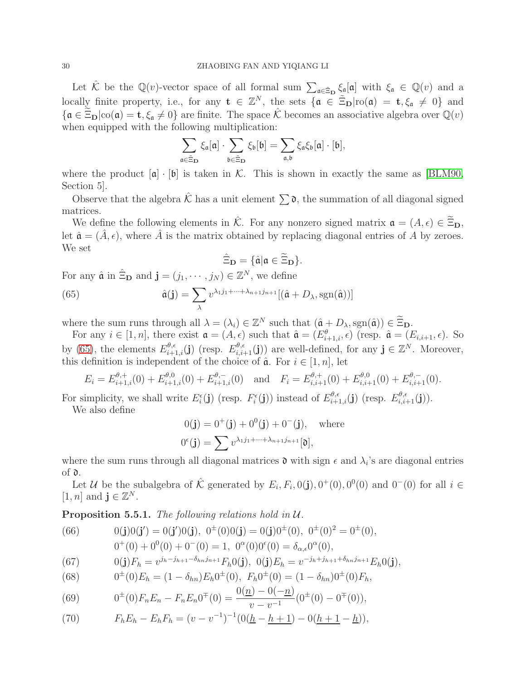Let  $\hat{\mathcal{K}}$  be the  $\mathbb{Q}(v)$ -vector space of all formal sum  $\sum_{\mathfrak{a} \in \tilde{\Xi}_{\mathbf{D}}} \xi_{\mathfrak{a}}[\mathfrak{a}]$  with  $\xi_{\mathfrak{a}} \in \mathbb{Q}(v)$  and a locally finite property, i.e., for any  $\mathbf{t} \in \mathbb{Z}^N$ , the sets  $\{\mathfrak{a} \in \tilde{\Xi}_{\mathbf{D}} | \text{ro}(\mathfrak{a}) = \mathfrak{t}, \xi_{\mathfrak{a}} \neq 0\}$  and  ${\mathfrak{a}} \in \Xi_{\mathbf{D}}|{\rm co}(\mathfrak{a})=\mathbf{t}, \xi_{\mathfrak{a}}\neq 0$  are finite. The space  $\hat{\mathcal{K}}$  becomes an associative algebra over  $\mathbb{Q}(v)$ when equipped with the following multiplication:

$$
\sum_{\mathfrak{a}\in \tilde{\Xi}_{\mathbf{D}}} \xi_{\mathfrak{a}}[\mathfrak{a}]\cdot \sum_{\mathfrak{b}\in \tilde{\Xi}_{\mathbf{D}}} \xi_{\mathfrak{b}}[\mathfrak{b}]=\sum_{\mathfrak{a},\mathfrak{b}} \xi_{\mathfrak{a}}\xi_{\mathfrak{b}}[\mathfrak{a}]\cdot [\mathfrak{b}],
$$

where the product  $[\mathfrak{a}] \cdot [\mathfrak{b}]$  is taken in K. This is shown in exactly the same as [\[BLM90,](#page-38-2) Section 5].

Observe that the algebra  $\hat{\mathcal{K}}$  has a unit element  $\sum \mathfrak{d}$ , the summation of all diagonal signed matrices.

We define the following elements in  $\hat{\mathcal{K}}$ . For any nonzero signed matrix  $\mathfrak{a} = (A, \epsilon) \in \widetilde{\Xi}_{\mathbf{D}},$ let  $\hat{\mathfrak{a}} = (\hat{A}, \epsilon)$ , where  $\hat{A}$  is the matrix obtained by replacing diagonal entries of A by zeroes. We set

<span id="page-29-0"></span>
$$
\hat{\Xi}_{\mathbf{D}} = \{ \hat{\mathfrak{a}} | \mathfrak{a} \in \widetilde{\Xi}_{\mathbf{D}} \}.
$$

For any  $\hat{\mathfrak{a}}$  in  $\hat{\Xi}_{\mathbf{D}}$  and  $\mathbf{j} = (j_1, \cdots, j_N) \in \mathbb{Z}^N$ , we define

(65) 
$$
\hat{\mathfrak{a}}(\mathbf{j}) = \sum_{\lambda} v^{\lambda_1 j_1 + \dots + \lambda_{n+1} j_{n+1}} [(\hat{\mathfrak{a}} + D_{\lambda}, \text{sgn}(\hat{\mathfrak{a}}))]
$$

where the sum runs through all  $\lambda = (\lambda_i) \in \mathbb{Z}^N$  such that  $(\hat{\mathfrak{a}} + D_\lambda, \text{sgn}(\hat{\mathfrak{a}})) \in \Xi_{\mathbf{D}}$ .

For any  $i \in [1, n]$ , there exist  $\mathfrak{a} = (A, \epsilon)$  such that  $\hat{\mathfrak{a}} = (E^{\theta}_{i+1,i}, \epsilon)$  (resp.  $\hat{\mathfrak{a}} = (E_{i,i+1}, \epsilon)$ ). So by [\(65\)](#page-29-0), the elements  $E_{i+1,i}^{\theta,\epsilon}(\mathbf{j})$  (resp.  $E_{i,i+1}^{\theta,\epsilon}(\mathbf{j})$ ) are well-defined, for any  $\mathbf{j} \in \mathbb{Z}^N$ . Moreover, this definition is independent of the choice of  $\hat{a}$ . For  $i \in [1, n]$ , let

$$
E_i = E_{i+1,i}^{\theta,+}(0) + E_{i+1,i}^{\theta,0}(0) + E_{i+1,i}^{\theta,-}(0) \text{ and } F_i = E_{i,i+1}^{\theta,+}(0) + E_{i,i+1}^{\theta,0}(0) + E_{i,i+1}^{\theta,-}(0).
$$

For simplicity, we shall write  $E_i^{\epsilon}(\mathbf{j})$  (resp.  $F_i^{\epsilon}(\mathbf{j})$ ) instead of  $E_{i+1,i}^{\theta,\epsilon}(\mathbf{j})$  (resp.  $E_{i,i+1}^{\theta,\epsilon}(\mathbf{j})$ ).

We also define

$$
0(\mathbf{j}) = 0^+(\mathbf{j}) + 0^0(\mathbf{j}) + 0^-(\mathbf{j}), \text{ where}
$$

$$
0^{\epsilon}(\mathbf{j}) = \sum v^{\lambda_1 j_1 + \dots + \lambda_{n+1} j_{n+1}}[\mathfrak{d}],
$$

where the sum runs through all diagonal matrices  $\mathfrak d$  with sign  $\epsilon$  and  $\lambda_i$ 's are diagonal entries of d.

Let U be the subalgebra of  $\hat{\mathcal{K}}$  generated by  $E_i, F_i, 0(\mathbf{j}), 0^+(0), 0^0(0)$  and  $0^-(0)$  for all  $i \in \mathbb{N}$ [1, *n*] and  $\mathbf{j} \in \mathbb{Z}^N$ .

<span id="page-29-2"></span>Proposition 5.5.1. *The following relations hold in* U*.*

<span id="page-29-1"></span>(66) 
$$
0(\mathbf{j})0(\mathbf{j}') = 0(\mathbf{j}')0(\mathbf{j}), \ \ 0^{\pm}(0)0(\mathbf{j}) = 0(\mathbf{j})0^{\pm}(0), \ \ 0^{\pm}(0)^{2} = 0^{\pm}(0),
$$

$$
0^{+}(0) + 0^{0}(0) + 0^{-}(0) = 1, \ \ 0^{\alpha}(0)0^{\epsilon}(0) = \delta_{\alpha,\epsilon}0^{\alpha}(0),
$$

(67) 
$$
0(\mathbf{j})F_h = v^{j_h - j_{h+1} - \delta_{hn}j_{n+1}}F_h 0(\mathbf{j}), \ \ 0(\mathbf{j})E_h = v^{-j_h + j_{h+1} + \delta_{hn}j_{n+1}}E_h 0(\mathbf{j}),
$$

(68) 
$$
0^{\pm}(0)E_h = (1 - \delta_{hn})E_h 0^{\pm}(0), \ F_h 0^{\pm}(0) = (1 - \delta_{hn})0^{\pm}(0)F_h,
$$

(69) 
$$
0^{\pm}(0)F_nE_n - F_nE_n0^{\mp}(0) = \frac{0(\underline{n}) - 0(-\underline{n})}{v - v^{-1}}(0^{\pm}(0) - 0^{\mp}(0)),
$$

(70) 
$$
F_h E_h - E_h F_h = (v - v^{-1})^{-1} (0(\underline{h} - \underline{h} + 1) - 0(\underline{h} + 1 - \underline{h})),
$$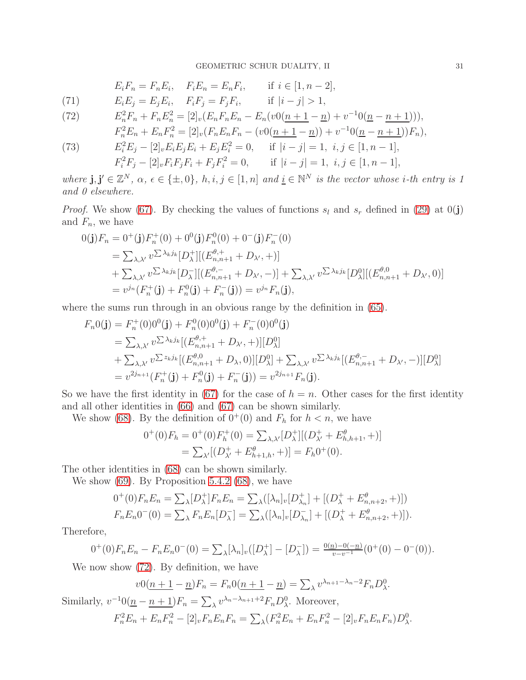$$
E_i F_n = F_n E_i, \quad F_i E_n = E_n F_i, \quad \text{if } i \in [1, n-2],
$$

(71) 
$$
E_i E_j = E_j E_i
$$
,  $F_i F_j = F_j F_i$ , if  $|i - j| > 1$ ,

(72) 
$$
E_n^2 F_n + F_n E_n^2 = [2]_v (E_n F_n E_n - E_n (v0(n+1-n) + v^{-1}0(n-n+1))),
$$

$$
F_n^2 E_n + E_n F_n^2 = [2]_v (F_n E_n F_n - (v0(n+1-n)) + v^{-1} 0(n-n+1)) F_n),
$$
  
\n
$$
F_n^2 F_n = [2]_v (F_n E_n F_n - (v0(n+1-n)) + v^{-1} 0(n-n+1)) F_n),
$$

(73) 
$$
E_i^2 E_j - [2]_v E_i E_j E_i + E_j E_i^2 = 0, \quad \text{if } |i - j| = 1, \ i, j \in [1, n - 1],
$$

$$
F_i^2 F_j - [2]_v F_i F_j F_i + F_j F_i^2 = 0, \quad \text{if } |i - j| = 1, \ i, j \in [1, n - 1],
$$

 $where \, \mathbf{j}, \mathbf{j}' \in \mathbb{Z}^N, \, \alpha, \, \epsilon \in \{\pm, 0\}, \, h, i, j \in [1, n] \, and \, \underline{i} \in \mathbb{N}^N \, \text{ is the vector whose } i\text{-th entry is } 1$ *and 0 elsewhere.*

*Proof.* We show [\(67\)](#page-29-1). By checking the values of functions  $s_l$  and  $s_r$  defined in [\(29\)](#page-13-4) at 0(j) and  $F_n$ , we have

$$
0(\mathbf{j})F_n = 0^+(\mathbf{j})F_n^+(0) + 0^0(\mathbf{j})F_n^0(0) + 0^-(\mathbf{j})F_n^-(0)
$$
  
\n
$$
= \sum_{\lambda,\lambda'} v^{\sum \lambda_k j_k} [D_\lambda^+][(E_{n,n+1}^{\theta,+} + D_{\lambda'}, +)]
$$
  
\n
$$
+ \sum_{\lambda,\lambda'} v^{\sum \lambda_k j_k} [D_\lambda^-][(E_{n,n+1}^{\theta,-} + D_{\lambda'}, -)] + \sum_{\lambda,\lambda'} v^{\sum \lambda_k j_k} [D_\lambda^0][(E_{n,n+1}^{\theta,0} + D_{\lambda'}, 0)]
$$
  
\n
$$
= v^{j_n}(F_n^+(\mathbf{j}) + F_n^0(\mathbf{j}) + F_n^-(\mathbf{j})) = v^{j_n}F_n(\mathbf{j}),
$$

where the sums run through in an obvious range by the definition in [\(65\)](#page-29-0).

$$
F_n0(\mathbf{j}) = F_n^+(0)0^0(\mathbf{j}) + F_n^0(0)0^0(\mathbf{j}) + F_n^-(0)0^0(\mathbf{j})
$$
  
\n
$$
= \sum_{\lambda,\lambda'} v^{\sum \lambda_k j_k} [(E_{n,n+1}^{\theta,+} + D_{\lambda'}, +)] [D_{\lambda}^0]
$$
  
\n
$$
+ \sum_{\lambda,\lambda'} v^{\sum z_k j_k} [(E_{n,n+1}^{\theta,0} + D_{\lambda}, 0)][D_{\lambda}^0] + \sum_{\lambda,\lambda'} v^{\sum \lambda_k j_k} [(E_{n,n+1}^{\theta,-} + D_{\lambda'}, -)][D_{\lambda}^0]
$$
  
\n
$$
= v^{2j_{n+1}} (F_n^+(\mathbf{j}) + F_n^0(\mathbf{j}) + F_n^-(\mathbf{j})) = v^{2j_{n+1}} F_n(\mathbf{j}).
$$

So we have the first identity in [\(67\)](#page-29-1) for the case of  $h = n$ . Other cases for the first identity and all other identities in [\(66\)](#page-29-1) and [\(67\)](#page-29-1) can be shown similarly.

We show [\(68\)](#page-29-1). By the definition of  $0^+(0)$  and  $F_h$  for  $h < n$ , we have

$$
0^+(0)F_h = 0^+(0)F_h^+(0) = \sum_{\lambda,\lambda'} [D_\lambda^+][(D_\lambda^+ + E_{h,h+1}^\theta, +)]
$$
  
=  $\sum_{\lambda'} [(D_\lambda^+ + E_{h+1,h}^\theta, +)] = F_h 0^+(0).$ 

The other identities in [\(68\)](#page-29-1) can be shown similarly.

We show [\(69\)](#page-29-1). By Proposition [5.4.2](#page-28-2) [\(68\)](#page-29-1), we have

$$
0^+(0)F_nE_n = \sum_{\lambda} [D_{\lambda}^+]F_nE_n = \sum_{\lambda} ([\lambda_n]_v[D_{\lambda_n}^+] + [(D_{\lambda}^+ + E_{n,n+2}^{\theta}, +)]
$$
  

$$
F_nE_n0^-(0) = \sum_{\lambda} F_nE_n[D_{\lambda}^-] = \sum_{\lambda} ([\lambda_n]_v[D_{\lambda_n}^-] + [(D_{\lambda}^+ + E_{n,n+2}^{\theta}, +)]).
$$

Therefore,

$$
0^+(0)F_nE_n - F_nE_n0^-(0) = \sum_{\lambda} [\lambda_n]_v([D_{\lambda}^+] - [D_{\lambda}^-]) = \frac{0(n)-0(-n)}{v-v^{-1}}(0^+(0) - 0^-(0)).
$$

We now show [\(72\)](#page-29-1). By definition, we have

$$
v0(n+1-n)F_n = F_n0(n+1-n) = \sum_{\lambda} v^{\lambda_{n+1}-\lambda_n-2} F_n D_{\lambda}^0.
$$

Similarly,  $v^{-1}0(\underline{n}-\underline{n+1})F_n = \sum_{\lambda} v^{\lambda_n-\lambda_{n+1}+2}F_nD_{\lambda}^0$ . Moreover,

$$
F_n^2 E_n + E_n F_n^2 - [2]_v F_n E_n F_n = \sum_{\lambda} (F_n^2 E_n + E_n F_n^2 - [2]_v F_n E_n F_n) D_{\lambda}^0.
$$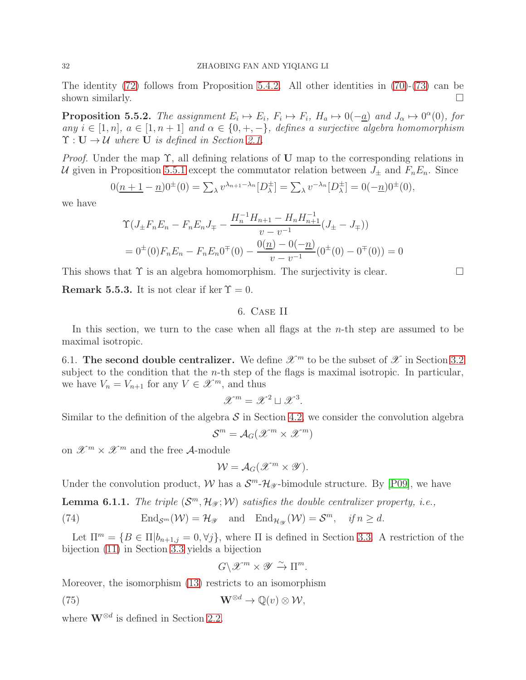The identity [\(72\)](#page-29-1) follows from Proposition [5.4.2.](#page-28-2) All other identities in [\(70\)](#page-29-1)-[\(73\)](#page-29-1) can be shown similarly.  $\Box$ 

**Proposition 5.5.2.** The assignment  $E_i \mapsto E_i$ ,  $F_i \mapsto F_i$ ,  $H_a \mapsto 0(-a)$  and  $J_\alpha \mapsto 0^\alpha(0)$ , for *any*  $i \in [1, n]$ ,  $a \in [1, n + 1]$  *and*  $\alpha \in \{0, +, -\}$ , *defines a surjective algebra homomorphism*  $\Upsilon : U \rightarrow \mathcal{U}$  where U is defined in Section [2.1.](#page-3-1)

*Proof.* Under the map Υ, all defining relations of U map to the corresponding relations in U given in Proposition [5.5.1](#page-29-2) except the commutator relation between  $J_{\pm}$  and  $F_nE_n$ . Since

$$
0(\underline{n+1} - \underline{n})0^{\pm}(0) = \sum_{\lambda} v^{\lambda_{n+1} - \lambda_n} [D_{\lambda}^{\pm}] = \sum_{\lambda} v^{-\lambda_n} [D_{\lambda}^{\pm}] = 0(-\underline{n})0^{\pm}(0),
$$

we have

$$
\begin{aligned} \Upsilon (J_{\pm} F_n E_n - F_n E_n J_{\mp} - \frac{H_n^{-1} H_{n+1} - H_n H_{n+1}^{-1}}{v - v^{-1}} (J_{\pm} - J_{\mp})) \\ &= 0^{\pm}(0) F_n E_n - F_n E_n 0^{\mp}(0) - \frac{0(\underline{n}) - 0(-\underline{n})}{v - v^{-1}} (0^{\pm}(0) - 0^{\mp}(0)) = 0 \end{aligned}
$$

This shows that  $\Upsilon$  is an algebra homomorphism. The surjectivity is clear.

<span id="page-31-0"></span>**Remark 5.5.3.** It is not clear if ker  $\Upsilon = 0$ .

## 6. Case II

In this section, we turn to the case when all flags at the *n*-th step are assumed to be maximal isotropic.

<span id="page-31-1"></span>6.1. The second double centralizer. We define  $\mathscr{X}^m$  to be the subset of  $\mathscr{X}$  in Section [3.2](#page-7-0) subject to the condition that the *n*-th step of the flags is maximal isotropic. In particular, we have  $V_n = V_{n+1}$  for any  $V \in \mathcal{X}^m$ , and thus

$$
\mathscr{X}^m = \mathscr{X}^2 \sqcup \mathscr{X}^3.
$$

Similar to the definition of the algebra  $S$  in Section [4.2,](#page-12-0) we consider the convolution algebra

$$
\mathcal{S}^m = \mathcal{A}_G(\mathscr{X}^m \times \mathscr{X}^m)
$$

on  $\mathscr{X}^m \times \mathscr{X}^m$  and the free A-module

$$
\mathcal{W}=\mathcal{A}_G(\mathscr{X}^m\times\mathscr{Y}).
$$

Under the convolution product,  $W$  has a  $S^m$ - $\mathcal{H}_{\mathscr{Y}}$ -bimodule structure. By [\[P09\]](#page-39-13), we have

<span id="page-31-3"></span>**Lemma 6.1.1.** *The triple*  $(S^m, \mathcal{H}_{\mathcal{Y}}; \mathcal{W})$  *satisfies the double centralizer property, i.e.,* 

(74) 
$$
\operatorname{End}_{\mathcal{S}^m}(\mathcal{W}) = \mathcal{H}_{\mathscr{Y}} \quad \text{and} \quad \operatorname{End}_{\mathcal{H}_{\mathscr{Y}}}(\mathcal{W}) = \mathcal{S}^m, \quad \text{if } n \geq d.
$$

Let  $\Pi^m = \{B \in \Pi | b_{n+1,j} = 0, \forall j\}$ , where  $\Pi$  is defined in Section [3.3.](#page-8-0) A restriction of the bijection [\(11\)](#page-9-5) in Section [3.3](#page-8-0) yields a bijection

$$
G\backslash \mathscr{X}^{m}\times \mathscr{Y}\xrightarrow{\sim} \Pi^{m}.
$$

Moreover, the isomorphism [\(13\)](#page-9-1) restricts to an isomorphism

<span id="page-31-2"></span>(75) 
$$
\mathbf{W}^{\otimes d} \to \mathbb{Q}(v) \otimes \mathcal{W},
$$

where  $\mathbf{W}^{\otimes d}$  is defined in Section [2.2.](#page-5-0)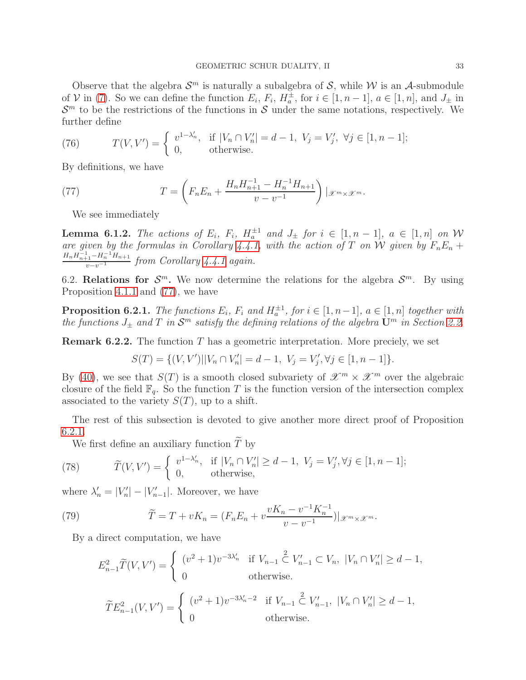Observe that the algebra  $S^m$  is naturally a subalgebra of S, while W is an A-submodule of V in [\(7\)](#page-8-5). So we can define the function  $E_i$ ,  $F_i$ ,  $H_a^{\pm}$ , for  $i \in [1, n-1]$ ,  $a \in [1, n]$ , and  $J_{\pm}$  in  $\mathcal{S}^m$  to be the restrictions of the functions in S under the same notations, respectively. We further define

(76) 
$$
T(V, V') = \begin{cases} v^{1-\lambda'_n}, & \text{if } |V_n \cap V'_n| = d-1, \ V_j = V'_j, \ \forall j \in [1, n-1]; \\ 0, & \text{otherwise.} \end{cases}
$$

By definitions, we have

(77) 
$$
T = \left(F_n E_n + \frac{H_n H_{n+1}^{-1} - H_n^{-1} H_{n+1}}{v - v^{-1}}\right)|_{\mathscr{X}^m \times \mathscr{X}^m}.
$$

<span id="page-32-1"></span>We see immediately

<span id="page-32-2"></span>**Lemma 6.1.2.** The actions of  $E_i$ ,  $F_i$ ,  $H_a^{\pm 1}$  and  $J_{\pm}$  for  $i \in [1, n-1]$ ,  $a \in [1, n]$  on W *are given by the formulas in Corollary* [4.4.1,](#page-17-1) with the action of T on W given by  $F_nE_n + F_{n-1}F_{n-1}F_{n-1}F_{n-1}F_{n-1}F_{n-1}F_{n-1}F_{n-1}F_{n-1}F_{n-1}F_{n-1}F_{n-1}F_{n-1}F_{n-1}F_{n-1}F_{n-1}F_{n-1}F_{n-1}F_{n-1}F_{n-1}F_{n-1}F_{n-1}$  $H_n H_{n+1}^{-1} - H_n^{-1} H_{n+1}$  $\frac{1}{v-v^{-1}}$ <sup>*from Corollary* [4.4.1](#page-17-1) *again.*</sup>

<span id="page-32-0"></span>6.2. Relations for  $\mathcal{S}^m$ . We now determine the relations for the algebra  $\mathcal{S}^m$ . By using Proposition [4.1.1](#page-11-0) and [\(77\)](#page-32-1), we have

<span id="page-32-3"></span>**Proposition 6.2.1.** *The functions*  $E_i$ ,  $F_i$  and  $H_a^{\pm 1}$ , for  $i \in [1, n-1]$ ,  $a \in [1, n]$  together with *the functions*  $J_{\pm}$  *and*  $T$  *in*  $\mathcal{S}^m$  *satisfy the defining relations of the algebra*  $\mathbf{U}^m$  *in Section [2.2.](#page-5-0)* 

**Remark 6.2.2.** The function  $T$  has a geometric interpretation. More preciely, we set

$$
S(T) = \{ (V, V') | |V_n \cap V'_n| = d - 1, \ V_j = V'_j, \forall j \in [1, n - 1] \}.
$$

By [\(40\)](#page-20-1), we see that  $S(T)$  is a smooth closed subvariety of  $\mathscr{X}^m \times \mathscr{X}^m$  over the algebraic closure of the field  $\mathbb{F}_q$ . So the function T is the function version of the intersection complex associated to the variety  $S(T)$ , up to a shift.

The rest of this subsection is devoted to give another more direct proof of Proposition [6.2.1.](#page-32-3)

We first define an auxiliary function  $\widetilde{T}$  by

(78) 
$$
\widetilde{T}(V,V') = \begin{cases} v^{1-\lambda'_n}, & \text{if } |V_n \cap V'_n| \ge d-1, \ V_j = V'_j, \forall j \in [1, n-1]; \\ 0, & \text{otherwise}, \end{cases}
$$

where  $\lambda'_n = |V'_n| - |V'_{n-1}|$ . Moreover, we have

(79) 
$$
\widetilde{T} = T + vK_n = (F_n E_n + v \frac{vK_n - v^{-1}K_n^{-1}}{v - v^{-1}})|_{\mathscr{X}^m \times \mathscr{X}^m}.
$$

By a direct computation, we have

<span id="page-32-4"></span>
$$
E_{n-1}^2 \widetilde{T}(V, V') = \begin{cases} (v^2 + 1)v^{-3\lambda'_n} & \text{if } V_{n-1} \subset V_n, |V_n \cap V_n'| \ge d - 1, \\ 0 & \text{otherwise.} \end{cases}
$$
  

$$
\widetilde{T}E_{n-1}^2(V, V') = \begin{cases} (v^2 + 1)v^{-3\lambda'_n - 2} & \text{if } V_{n-1} \subset V_{n-1}', |V_n \cap V_n'| \ge d - 1, \\ 0 & \text{otherwise.} \end{cases}
$$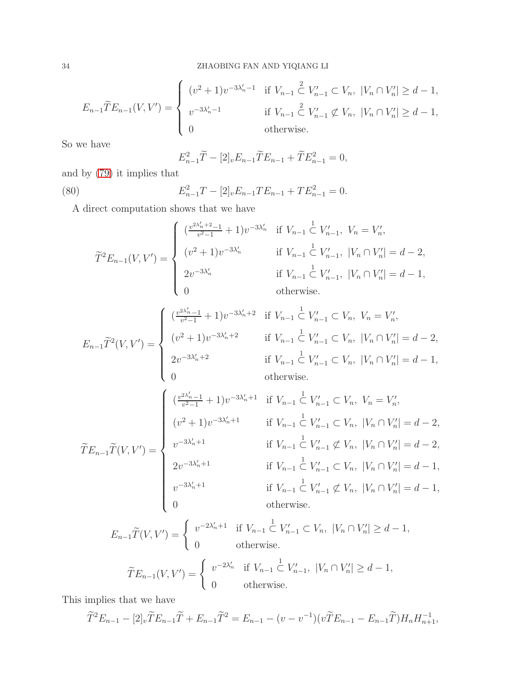$$
E_{n-1}\widetilde{T}E_{n-1}(V,V') = \begin{cases} (v^2+1)v^{-3\lambda'_n-1} & \text{if } V_{n-1} \subset V_n, \ |V_n \cap V_n'| \ge d-1, \\ v^{-3\lambda'_n-1} & \text{if } V_{n-1} \subset V_{n-1}' \not\subset V_n, \ |V_n \cap V_n'| \ge d-1, \\ 0 & \text{otherwise.} \end{cases}
$$

So we have

$$
E_{n-1}^{2} \widetilde{T} - [2]_v E_{n-1} \widetilde{T} E_{n-1} + \widetilde{T} E_{n-1}^{2} = 0,
$$

and by [\(79\)](#page-32-4) it implies that

<span id="page-33-0"></span>(80) 
$$
E_{n-1}^2 T - [2]_v E_{n-1} T E_{n-1} + T E_{n-1}^2 = 0.
$$

A direct computation shows that we have

$$
\widetilde{T}^2 E_{n-1}(V, V') = \begin{cases}\n\left(\frac{v^{2\lambda'_n+2}-1}{v^2-1}+1\right)v^{-3\lambda'_n} & \text{if } V_{n-1} \subset V'_{n-1}, \ V_n = V'_n, \\
(v^2+1)v^{-3\lambda'_n} & \text{if } V_{n-1} \subset V'_{n-1}, \ |V_n \cap V'_n| = d-2, \\
2v^{-3\lambda'_n} & \text{if } V_{n-1} \subset V'_{n-1}, \ |V_n \cap V'_n| = d-1, \\
0 & \text{otherwise.} \n\end{cases}
$$

$$
E_{n-1}\widetilde{T}^{2}(V,V') = \begin{cases} \left(\frac{v^{2\lambda'_{n}}-1}{v^{2}-1}+1\right)v^{-3\lambda'_{n}+2} & \text{if } V_{n-1} \subset V_{n}, \ V_{n} = V'_{n}, \\ \left(\frac{v^{2}+1}{v^{2}-1}+1\right)v^{-3\lambda'_{n}+2} & \text{if } V_{n-1} \subset V'_{n-1} \subset V_{n}, \ |V_{n} \cap V'_{n}| = d-2, \\ 2v^{-3\lambda'_{n}+2} & \text{if } V_{n-1} \subset V'_{n-1} \subset V_{n}, \ |V_{n} \cap V'_{n}| = d-1, \\ 0 & \text{otherwise.} \end{cases}
$$

$$
\widetilde{T}E_{n-1}\widetilde{T}(V,V') = \begin{cases}\n\frac{v^{2\lambda'_{n-1}}-1}{v^{2}-1}+1)v^{-3\lambda'_{n}+1} & \text{if } V_{n-1} \subset V_{n}, \ V_{n} = V'_{n}, \\
(v^{2}+1)v^{-3\lambda'_{n}+1} & \text{if } V_{n-1} \subset V'_{n-1} \subset V_{n}, \ |V_{n} \cap V'_{n}| = d-2, \\
v^{-3\lambda'_{n}+1} & \text{if } V_{n-1} \subset V'_{n-1} \not\subset V_{n}, \ |V_{n} \cap V'_{n}| = d-2, \\
2v^{-3\lambda'_{n}+1} & \text{if } V_{n-1} \subset V'_{n-1} \subset V_{n}, \ |V_{n} \cap V'_{n}| = d-1, \\
v^{-3\lambda'_{n}+1} & \text{if } V_{n-1} \subset V'_{n-1} \not\subset V_{n}, \ |V_{n} \cap V'_{n}| = d-1, \\
0 & \text{otherwise.}\n\end{cases}
$$

$$
E_{n-1}\widetilde{T}(V,V') = \begin{cases} v^{-2\lambda'_n+1} & \text{if } V_{n-1} \subset V_n, \ |V_n \cap V_n'| \ge d-1, \\ 0 & \text{otherwise.} \end{cases}
$$

$$
\widetilde{T}E_{n-1}(V,V') = \begin{cases} v^{-2\lambda'_n} & \text{if } V_{n-1} \subset V_{n-1}, \ |V_n \cap V_n'| \ge d-1, \\ 0 & \text{otherwise.} \end{cases}
$$

This implies that we have

$$
\widetilde{T}^2 E_{n-1} - [2]_v \widetilde{T} E_{n-1} \widetilde{T} + E_{n-1} \widetilde{T}^2 = E_{n-1} - (v - v^{-1}) (v \widetilde{T} E_{n-1} - E_{n-1} \widetilde{T}) H_n H_{n+1}^{-1},
$$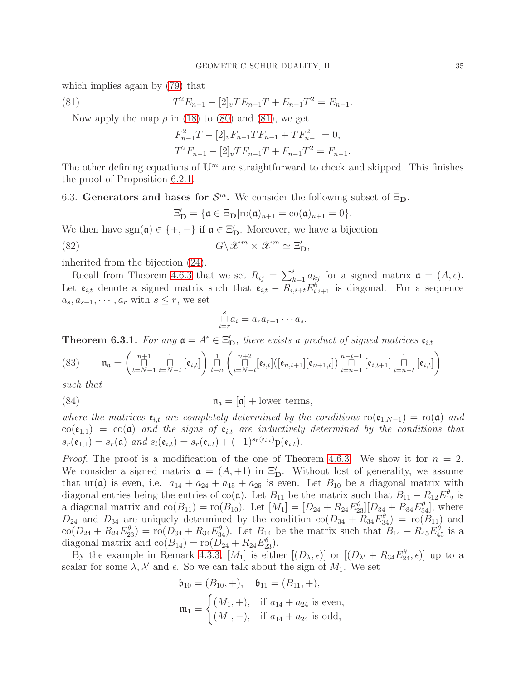which implies again by [\(79\)](#page-32-4) that

(81) 
$$
T^2 E_{n-1} - [2]_v T E_{n-1} T + E_{n-1} T^2 = E_{n-1}.
$$

Now apply the map  $\rho$  in [\(18\)](#page-11-1) to [\(80\)](#page-33-0) and [\(81\)](#page-34-1), we get

<span id="page-34-1"></span>
$$
F_{n-1}^2 T - [2]_v F_{n-1} T F_{n-1} + T F_{n-1}^2 = 0,
$$
  

$$
T^2 F_{n-1} - [2]_v T F_{n-1} T + F_{n-1} T^2 = F_{n-1}.
$$

The other defining equations of  $\mathbf{U}^m$  are straightforward to check and skipped. This finishes the proof of Proposition [6.2.1.](#page-32-3)

<span id="page-34-0"></span>6.3. Generators and bases for  $\mathcal{S}^m$ . We consider the following subset of  $\Xi_{\mathbf{D}}$ .

$$
\Xi_{\mathbf{D}}' = \{ \mathfrak{a} \in \Xi_{\mathbf{D}} | \text{ro}(\mathfrak{a})_{n+1} = \text{co}(\mathfrak{a})_{n+1} = 0 \}.
$$

We then have  $sgn(\mathfrak{a}) \in \{+, -\}$  if  $\mathfrak{a} \in \Xi'_{\mathbf{D}}$ . Moreover, we have a bijection

(82) 
$$
G \backslash \mathscr{X}^m \times \mathscr{X}^m \simeq \Xi'_{\mathbf{D}},
$$

inherited from the bijection [\(24\)](#page-13-5).

Recall from Theorem [4.6.3](#page-20-4) that we set  $R_{ij} = \sum_{k=1}^{i} a_{kj}$  for a signed matrix  $\mathfrak{a} = (A, \epsilon)$ . Let  $e_{i,t}$  denote a signed matrix such that  $e_{i,t} - R_{i,i+t} E_{i,i+1}^{\theta}$  is diagonal. For a sequence  $a_s, a_{s+1}, \cdots, a_r$  with  $s \leq r$ , we set

$$
\bigcap_{i=r}^s a_i = a_r a_{r-1} \cdots a_s.
$$

<span id="page-34-2"></span>**Theorem 6.3.1.** For any  $\mathfrak{a} = A^{\epsilon} \in \Xi_{\mathbf{D}}'$ , there exists a product of signed matrices  $\mathfrak{e}_{i,t}$ 

<span id="page-34-3"></span>(83) 
$$
\mathfrak{n}_{\mathfrak{a}} = \left( \bigcap_{t=N-1}^{n+1} \bigcap_{i=N-t}^{1} [\mathfrak{e}_{i,t}] \right) \bigcap_{t=n}^{1} \left( \bigcap_{i=N-t}^{n+2} [\mathfrak{e}_{i,t}] ([\mathfrak{e}_{n,t+1}][\mathfrak{e}_{n+1,t}]) \bigcap_{i=n-1}^{n-t+1} [\mathfrak{e}_{i,t+1}] \bigcap_{i=n-t}^{1} [\mathfrak{e}_{i,t}] \right)
$$

*such that*

(84) 
$$
\mathfrak{n}_{\mathfrak{a}} = [\mathfrak{a}] + \text{lower terms},
$$

*where the matrices*  $e_{i,t}$  *are completely determined by the conditions*  $\text{ro}(\mathfrak{e}_{1,N-1}) = \text{ro}(\mathfrak{a})$  *and*  $\text{co}(\mathfrak{e}_{1,1}) = \text{co}(\mathfrak{a})$  *and the signs of*  $\mathfrak{e}_{i,t}$  *are inductively determined by the conditions that*  $s_r(\mathfrak{e}_{1,1}) = s_r(\mathfrak{a})$  *and*  $s_l(\mathfrak{e}_{i,t}) = s_r(\mathfrak{e}_{i,t}) + (-1)^{s_r(\mathfrak{e}_{i,t})}p(\mathfrak{e}_{i,t}).$ 

*Proof.* The proof is a modification of the one of Theorem [4.6.3.](#page-20-4) We show it for  $n = 2$ . We consider a signed matrix  $\mathfrak{a} = (A, +1)$  in  $\Xi'_{\mathbf{D}}$ . Without lost of generality, we assume that ur(a) is even, i.e.  $a_{14} + a_{24} + a_{15} + a_{25}$  is even. Let  $B_{10}$  be a diagonal matrix with diagonal entries being the entries of  $co(\mathfrak{a})$ . Let  $B_{11}$  be the matrix such that  $B_{11} - R_{12}E_{12}^{\theta}$  is a diagonal matrix and  $co(B_{11}) = \text{ro}(B_{10})$ . Let  $[M_1] = [D_{24} + R_{24}E_{23}^{\theta}][D_{34} + R_{34}E_{34}^{\theta}],$  where  $D_{24}$  and  $D_{34}$  are uniquely determined by the condition  $\text{co}(D_{34} + R_{34}E_{34}^{\theta}) = \text{ro}(B_{11})$  and  $\text{co}(D_{24} + R_{24}E_{23}^{\theta}) = \text{ro}(D_{34} + R_{34}E_{34}^{\theta}).$  Let  $B_{14}$  be the matrix such that  $B_{14} - R_{45}E_{45}^{\theta}$  is a diagonal matrix and  $\text{co}(B_{14}) = \text{ro}(D_{24} + R_{24}E_{23}^{\theta}).$ 

By the example in Remark [4.3.3,](#page-14-4)  $[M_1]$  is either  $[(D_\lambda, \epsilon)]$  or  $[(D_{\lambda'} + R_{34}E_{24}^{\theta}, \epsilon)]$  up to a scalar for some  $\lambda$ ,  $\lambda'$  and  $\epsilon$ . So we can talk about the sign of  $M_1$ . We set

$$
\mathfrak{b}_{10} = (B_{10}, +), \quad \mathfrak{b}_{11} = (B_{11}, +),
$$
  

$$
\mathfrak{m}_1 = \begin{cases} (M_1, +), & \text{if } a_{14} + a_{24} \text{ is even,} \\ (M_1, -), & \text{if } a_{14} + a_{24} \text{ is odd,} \end{cases}
$$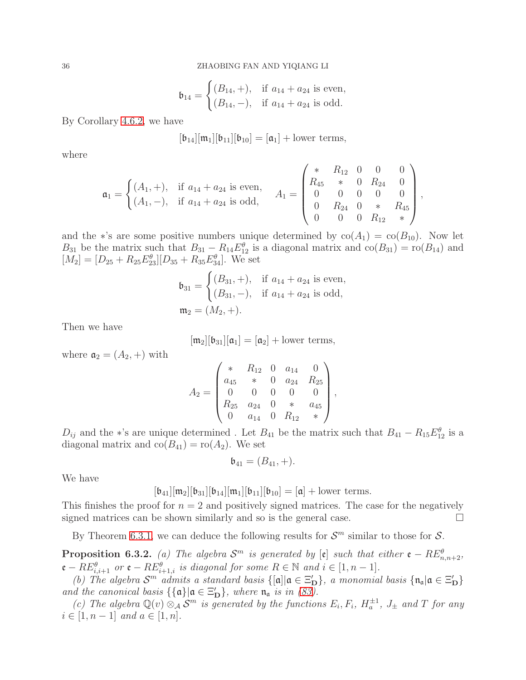$$
\mathfrak{b}_{14} = \begin{cases} (B_{14}, +), & \text{if } a_{14} + a_{24} \text{ is even,} \\ (B_{14}, -), & \text{if } a_{14} + a_{24} \text{ is odd.} \end{cases}
$$

By Corollary [4.6.2,](#page-20-2) we have

$$
[\mathfrak{b}_{14}][\mathfrak{m}_1][\mathfrak{b}_{11}][\mathfrak{b}_{10}]=[\mathfrak{a}_1]+\text{lower terms},
$$

where

$$
\mathfrak{a}_1 = \begin{cases} (A_1, +), & \text{if } a_{14} + a_{24} \text{ is even,} \\ (A_1, -), & \text{if } a_{14} + a_{24} \text{ is odd,} \end{cases} \quad A_1 = \begin{pmatrix} * & R_{12} & 0 & 0 & 0 \\ R_{45} & * & 0 & R_{24} & 0 \\ 0 & 0 & 0 & 0 & 0 \\ 0 & R_{24} & 0 & * & R_{45} \\ 0 & 0 & 0 & R_{12} & * \end{pmatrix},
$$

and the ∗'s are some positive numbers unique determined by  $co(A_1) = co(B_{10})$ . Now let  $B_{31}$  be the matrix such that  $B_{31} - R_{14}E_{12}^{\theta}$  is a diagonal matrix and  $\text{co}(B_{31}) = \text{ro}(B_{14})$  and  $[M_2] = [D_{25} + R_{25}E_{23}^{\theta}][D_{35} + R_{35}E_{34}^{\theta}].$  We set

$$
\mathfrak{b}_{31} = \begin{cases} (B_{31}, +), & \text{if } a_{14} + a_{24} \text{ is even,} \\ (B_{31}, -), & \text{if } a_{14} + a_{24} \text{ is odd,} \end{cases}
$$

$$
\mathfrak{m}_2 = (M_2, +).
$$

Then we have

$$
[\mathfrak{m}_2][\mathfrak{b}_{31}][\mathfrak{a}_1]=[\mathfrak{a}_2]+\text{lower terms},
$$

where  $a_2 = (A_2, +)$  with

$$
A_2 = \begin{pmatrix} * & R_{12} & 0 & a_{14} & 0 \\ a_{45} & * & 0 & a_{24} & R_{25} \\ 0 & 0 & 0 & 0 & 0 \\ R_{25} & a_{24} & 0 & * & a_{45} \\ 0 & a_{14} & 0 & R_{12} & * \end{pmatrix},
$$

 $D_{ij}$  and the \*'s are unique determined. Let  $B_{41}$  be the matrix such that  $B_{41} - R_{15}E_{12}^{\theta}$  is a diagonal matrix and  $co(B_{41}) = co(A_2)$ . We set

$$
\mathfrak{b}_{41} = (B_{41}, +).
$$

We have

$$
[\mathfrak{b}_{41}][\mathfrak{m}_2][\mathfrak{b}_{31}][\mathfrak{b}_{14}][\mathfrak{m}_1][\mathfrak{b}_{11}][\mathfrak{b}_{10}]=[\mathfrak{a}]+\text{lower terms}.
$$

This finishes the proof for  $n = 2$  and positively signed matrices. The case for the negatively signed matrices can be shown similarly and so is the general case.  $\Box$ 

By Theorem [6.3.1,](#page-34-2) we can deduce the following results for  $\mathcal{S}^m$  similar to those for  $\mathcal{S}$ .

<span id="page-35-0"></span>**Proposition 6.3.2.** (a) The algebra  $\mathcal{S}^m$  is generated by  $[\mathfrak{e}]$  such that either  $\mathfrak{e} - RE^{\theta}_{n,n+2}$ ,  ${\mathfrak e}-RE_{i,i+1}^{\theta}$  *or*  ${\mathfrak e}-RE_{i+1,i}^{\theta}$  *is diagonal for some*  $R\in\mathbb N$  *and*  $i\in[1,n-1].$ 

(b) The algebra  $S^m$  admits a standard basis  $\{[\mathfrak{a}] | \mathfrak{a} \in \Xi_D'\}$ , a monomial basis  $\{\mathfrak{n}_\mathfrak{a} | \mathfrak{a} \in \Xi_D'\}$ *and the canonical basis*  $\{\{\mathfrak{a}\}|\mathfrak{a} \in \Xi_{\mathbf{D}}'\}$ *, where*  $\mathfrak{n}_{\mathfrak{a}}$  *is in [\(83\)](#page-34-3).* 

(c) The algebra  $\mathbb{Q}(v) \otimes_A \mathcal{S}^m$  is generated by the functions  $E_i, F_i, H_a^{\pm 1}, J_{\pm}$  and T for any  $i \in [1, n-1]$  *and*  $a \in [1, n]$ *.*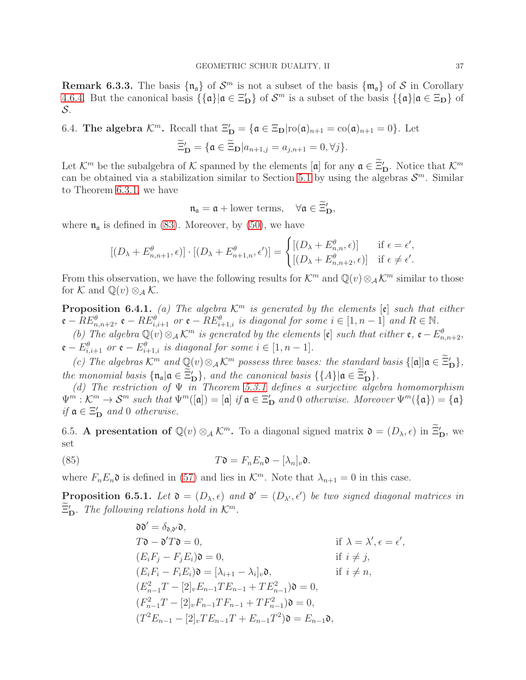**Remark 6.3.3.** The basis  $\{\mathfrak{n}_\mathfrak{a}\}$  of  $\mathcal{S}^m$  is not a subset of the basis  $\{\mathfrak{m}_\mathfrak{a}\}$  of  $\mathcal{S}$  in Corollary [4.6.4.](#page-21-1) But the canonical basis  $\{\{\mathfrak{a}\}|\mathfrak{a} \in \Xi_{\mathbf{D}}'\}$  of  $\mathcal{S}^m$  is a subset of the basis  $\{\{\mathfrak{a}\}|\mathfrak{a} \in \Xi_{\mathbf{D}}\}$  of S.

# <span id="page-36-0"></span>6.4. The algebra  $\mathcal{K}^m$ . Recall that  $\Xi'_D = {\mathfrak{a} \in \Xi_D | \text{ro}(\mathfrak{a})_{n+1} = \text{co}(\mathfrak{a})_{n+1} = 0}.$  Let

$$
\widetilde{\Xi}_{\mathbf{D}}' = \{ \mathfrak{a} \in \widetilde{\Xi}_{\mathbf{D}} | a_{n+1,j} = a_{j,n+1} = 0, \forall j \}.
$$

Let  $\mathcal{K}^m$  be the subalgebra of  $\mathcal K$  spanned by the elements [a] for any  $\mathfrak{a} \in \Xi'_{\mathbf{D}}$ . Notice that  $\mathcal{K}^m$ can be obtained via a stabilization similar to Section [5.1](#page-23-1) by using the algebras  $\mathcal{S}^m$ . Similar to Theorem [6.3.1,](#page-34-2) we have

$$
\mathfrak{n}_{\mathfrak{a}} = \mathfrak{a} + \text{lower terms}, \quad \forall \mathfrak{a} \in \widetilde{\Xi}'_{\mathbf{D}},
$$

where  $\mathfrak{n}_\mathfrak{a}$  is defined in [\(83\)](#page-34-3). Moreover, by [\(50\)](#page-25-1), we have

$$
[(D_\lambda + E_{n,n+1}^\theta, \epsilon)] \cdot [(D_\lambda + E_{n+1,n}^\theta, \epsilon')] = \begin{cases} [(D_\lambda + E_{n,n}^\theta, \epsilon)] & \text{if } \epsilon = \epsilon',\\ [(D_\lambda + E_{n,n+2}^\theta, \epsilon)] & \text{if } \epsilon \neq \epsilon'. \end{cases}
$$

From this observation, we have the following results for  $\mathcal{K}^m$  and  $\mathbb{Q}(v) \otimes_{\mathcal{A}} \mathcal{K}^m$  similar to those for K and  $\mathbb{Q}(v) \otimes_{\mathcal{A}} \mathcal{K}$ .

**Proposition 6.4.1.** *(a)* The algebra  $\mathcal{K}^m$  is generated by the elements  $[\mathfrak{e}]$  such that either  $\mathfrak{e}-RE_{n,n+2}^{\theta}$ ,  $\mathfrak{e}-RE_{i,i+1}^{\theta}$  or  $\mathfrak{e}-RE_{i+1,i}^{\theta}$  is diagonal for some  $i \in [1, n-1]$  and  $R \in \mathbb{N}$ .

*(b)* The algebra  $\mathbb{Q}(v) \otimes_A \mathcal{K}^m$  is generated by the elements  $[\mathfrak{e}]$  such that either  $\mathfrak{e}, \mathfrak{e} - E^{\theta}_{n,n+2}$ ,  ${\mathfrak e} - E_{i,i+1}^{\theta}$  or  ${\mathfrak e} - E_{i+1,i}^{\theta}$  is diagonal for some  $i \in [1, n-1]$ .

*(c)* The algebras  $\mathcal{K}^m$  and  $\mathbb{Q}(v) \otimes_A \mathcal{K}^m$  possess three bases: the standard basis  $\{[\mathfrak{a}] | \mathfrak{a} \in \Xi_D'\},$ *the monomial basis*  ${\{\mathfrak{n}_\mathfrak{a} | \mathfrak{a} \in \Xi_D'\}}$ , and the canonical basis  ${\{\{A\} | \mathfrak{a} \in \Xi_D'\}}$ .

*(d) The restriction of* Ψ *in Theorem [5.3.1](#page-27-3) defines a surjective algebra homomorphism*  $\Psi^m : \mathcal{K}^m \to \mathcal{S}^m$  such that  $\Psi^m([\mathfrak{a}]) = [\mathfrak{a}]$  if  $\mathfrak{a} \in \Xi_{\mathbf{D}}'$  and 0 otherwise. Moreover  $\Psi^m(\{\mathfrak{a}\}) = \{\mathfrak{a}\}$ *if*  $\mathfrak{a} \in \Xi_{\mathbf{D}}'$  *and* 0 *otherwise.* 

<span id="page-36-1"></span>6.5. A presentation of  $\mathbb{Q}(v) \otimes_A \mathcal{K}^m$ . To a diagonal signed matrix  $\mathfrak{d} = (D_\lambda, \epsilon)$  in  $\Xi'_D$ , we set

(85) 
$$
T\mathfrak{d} = F_n E_n \mathfrak{d} - [\lambda_n]_v \mathfrak{d}.
$$

where  $F_n E_n$ **o** is defined in [\(57\)](#page-27-4) and lies in  $\mathcal{K}^m$ . Note that  $\lambda_{n+1} = 0$  in this case.

<span id="page-36-3"></span>**Proposition 6.5.1.** Let  $\mathfrak{d} = (D_{\lambda}, \epsilon)$  and  $\mathfrak{d}' = (D_{\lambda'}, \epsilon')$  be two signed diagonal matrices in  $\Xi'_{\mathbf{D}}$ . The following relations hold in  $\mathcal{K}^m$ .

<span id="page-36-2"></span>
$$
\begin{aligned}\n\mathfrak{d}\mathfrak{d}' &= \delta_{\mathfrak{d},\mathfrak{d}'}\mathfrak{d}, \\
T\mathfrak{d} - \mathfrak{d}'T\mathfrak{d} &= 0, & \text{if } \lambda = \lambda', \epsilon = \epsilon', \\
(E_i F_j - F_j E_i)\mathfrak{d} &= 0, & \text{if } i \neq j, \\
(E_i F_i - F_i E_i)\mathfrak{d} &= [\lambda_{i+1} - \lambda_i]_v \mathfrak{d}, & \text{if } i \neq n, \\
(E_{n-1}^2 T - [2]_v E_{n-1} T E_{n-1} + T E_{n-1}^2)\mathfrak{d} &= 0, \\
(F_{n-1}^2 T - [2]_v F_{n-1} T F_{n-1} + T F_{n-1}^2)\mathfrak{d} &= 0, \\
(T^2 E_{n-1} - [2]_v T E_{n-1} T + E_{n-1} T^2)\mathfrak{d} &= E_{n-1} \mathfrak{d},\n\end{aligned}
$$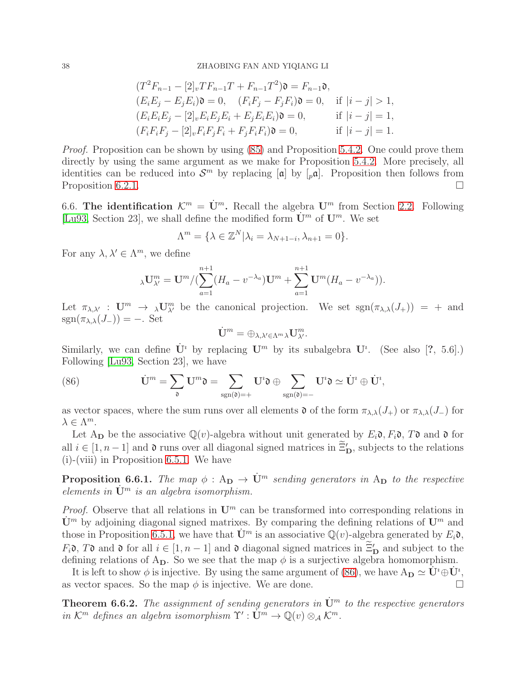$$
(T^{2}F_{n-1} - [2]_{v}T F_{n-1}T + F_{n-1}T^{2})\mathfrak{d} = F_{n-1}\mathfrak{d},
$$
  
\n
$$
(E_{i}E_{j} - E_{j}E_{i})\mathfrak{d} = 0, \quad (F_{i}F_{j} - F_{j}F_{i})\mathfrak{d} = 0, \quad \text{if } |i - j| > 1,
$$
  
\n
$$
(E_{i}E_{i}E_{j} - [2]_{v}E_{i}E_{j}E_{i} + E_{j}E_{i}E_{i})\mathfrak{d} = 0, \quad \text{if } |i - j| = 1,
$$
  
\n
$$
(F_{i}F_{i}F_{j} - [2]_{v}F_{i}F_{j}F_{i} + F_{j}F_{i}F_{i})\mathfrak{d} = 0, \quad \text{if } |i - j| = 1.
$$

*Proof.* Proposition can be shown by using [\(85\)](#page-36-2) and Proposition [5.4.2.](#page-28-2) One could prove them directly by using the same argument as we make for Proposition [5.4.2.](#page-28-2) More precisely, all identities can be reduced into  $S^m$  by replacing  $[\mathfrak{a}]$  by  $[\rho \mathfrak{a}]$ . Proposition then follows from Proposition [6.2.1.](#page-32-3)

<span id="page-37-0"></span>6.6. The identification  $\mathcal{K}^m = \dot{\mathbf{U}}^m$ . Recall the algebra  $\mathbf{U}^m$  from Section [2.2.](#page-5-0) Following [\[Lu93,](#page-39-15) Section 23], we shall define the modified form  $\dot{\mathbf{U}}^m$  of  $\mathbf{U}^m$ . We set

$$
\Lambda^m = \{ \lambda \in \mathbb{Z}^N | \lambda_i = \lambda_{N+1-i}, \lambda_{n+1} = 0 \}.
$$

For any  $\lambda, \lambda' \in \Lambda^m$ , we define

$$
{}_{\lambda}\mathbf{U}_{\lambda'}^{m} = \mathbf{U}^{m} / (\sum_{a=1}^{n+1} (H_a - v^{-\lambda_a}) \mathbf{U}^{m} + \sum_{a=1}^{n+1} \mathbf{U}^{m} (H_a - v^{-\lambda_a})).
$$

Let  $\pi_{\lambda,\lambda'} : \mathbf{U}^m \to \lambda \mathbf{U}^m_{\lambda'}$  be the canonical projection. We set  $sgn(\pi_{\lambda,\lambda}(J_+)) = +$  and  $sgn(\pi_{\lambda,\lambda}(J_{-})) = -$ . Set

$$
\dot{\mathbf{U}}^m = \oplus_{\lambda,\lambda' \in \Lambda^m \lambda} \mathbf{U}^m_{\lambda'}.
$$

Similarly, we can define  $\dot{\mathbf{U}}^i$  by replacing  $\mathbf{U}^m$  by its subalgebra  $\mathbf{U}^i$ . (See also [?, 5.6].) Following [\[Lu93,](#page-39-15) Section 23], we have

<span id="page-37-1"></span>(86) 
$$
\dot{\mathbf{U}}^m = \sum_{\mathfrak{d}} \mathbf{U}^m \mathfrak{d} = \sum_{sgn(\mathfrak{d})=+} \mathbf{U}^i \mathfrak{d} \oplus \sum_{sgn(\mathfrak{d})=-} \mathbf{U}^i \mathfrak{d} \simeq \dot{\mathbf{U}}^i \oplus \dot{\mathbf{U}}^i,
$$

as vector spaces, where the sum runs over all elements  $\mathfrak d$  of the form  $\pi_{\lambda,\lambda}(J_+)$  or  $\pi_{\lambda,\lambda}(J_-)$  for  $\lambda \in \Lambda^m$ .

Let A<sub>D</sub> be the associative Q(v)-algebra without unit generated by  $E_i \mathfrak{d}, F_i \mathfrak{d}, T \mathfrak{d}$  and  $\mathfrak{d}$  for all  $i \in [1, n-1]$  and  $\mathfrak d$  runs over all diagonal signed matrices in  $\Xi'_D$ , subjects to the relations (i)-(viii) in Proposition [6.5.1.](#page-36-3) We have

<span id="page-37-2"></span>**Proposition 6.6.1.** *The map*  $\phi : A_{D} \to \dot{U}^{m}$  *sending generators in*  $A_{D}$  *to the respective elements in*  $\dot{\mathbf{U}}^m$  *is an algebra isomorphism.* 

*Proof.* Observe that all relations in  $\mathbf{U}^m$  can be transformed into corresponding relations in  $\mathbf{U}^m$  by adjoining diagonal signed matrixes. By comparing the defining relations of  $\mathbf{U}^m$  and those in Proposition [6.5.1,](#page-36-3) we have that  $\dot{\mathbf{U}}^m$  is an associative  $\mathbb{Q}(v)$ -algebra generated by  $E_i \mathfrak{d}$ ,  $F_i$ **b**, T**b** and **b** for all  $i \in [1, n-1]$  and **b** diagonal signed matrices in  $\Xi'_D$  and subject to the defining relations of  $A_D$ . So we see that the map  $\phi$  is a surjective algebra homomorphism.

It is left to show  $\phi$  is injective. By using the same argument of [\(86\)](#page-37-1), we have  $A_{\mathbf{D}} \simeq \mathbf{U}^i \oplus \mathbf{U}^i$ . as vector spaces. So the map  $\phi$  is injective. We are done.

**Theorem 6.6.2.** The assignment of sending generators in  $\dot{\mathbf{U}}^m$  to the respective generators *in*  $\mathcal{K}^m$  *defines an algebra isomorphism*  $\Upsilon' : \dot{U}^m \to \mathbb{Q}(v) \otimes_A \mathcal{K}^m$ .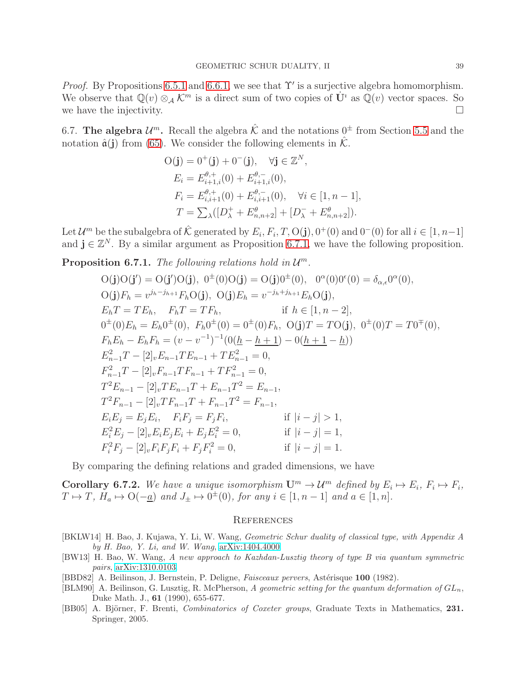*Proof.* By Propositions [6.5.1](#page-36-3) and [6.6.1,](#page-37-2) we see that  $\Upsilon'$  is a surjective algebra homomorphism. We observe that  $\mathbb{Q}(v) \otimes_A \mathcal{K}^m$  is a direct sum of two copies of  $\dot{\mathbf{U}}^i$  as  $\mathbb{Q}(v)$  vector spaces. So we have the injectivity. we have the injectivity.

<span id="page-38-0"></span>6.7. The algebra  $\mathcal{U}^m$ . Recall the algebra  $\hat{\mathcal{K}}$  and the notations  $0^{\pm}$  from Section [5.5](#page-28-0) and the notation  $\hat{\mathfrak{a}}(j)$  from [\(65\)](#page-29-0). We consider the following elements in  $\hat{\mathcal{K}}$ .

$$
O(j) = 0^+(j) + 0^-(j), \quad \forall j \in \mathbb{Z}^N,
$$
  
\n
$$
E_i = E_{i+1,i}^{\theta,+}(0) + E_{i+1,i}^{\theta,-}(0),
$$
  
\n
$$
F_i = E_{i,i+1}^{\theta,+}(0) + E_{i,i+1}^{\theta,-}(0), \quad \forall i \in [1, n-1],
$$
  
\n
$$
T = \sum_{\lambda} ([D_{\lambda}^+ + E_{n,n+2}^{\theta}] + [D_{\lambda}^- + E_{n,n+2}^{\theta}]).
$$

Let  $\mathcal{U}^m$  be the subalgebra of  $\hat{\mathcal{K}}$  generated by  $E_i, F_i, T, O(j), 0^+(0)$  and  $0^-(0)$  for all  $i \in [1, n-1]$ and  $\mathbf{j} \in \mathbb{Z}^N$ . By a similar argument as Proposition [6.7.1,](#page-38-6) we have the following proposition.

<span id="page-38-6"></span>**Proposition 6.7.1.** The following relations hold in  $\mathcal{U}^m$ .

$$
O(j)O(j') = O(j')O(j), 0^{\pm}(0)O(j) = O(j)0^{\pm}(0), 0^{\alpha}(0)0^{\epsilon}(0) = \delta_{\alpha,\epsilon}0^{\alpha}(0),
$$
  
\n
$$
O(j)F_h = v^{j_h-j_{h+1}}F_hO(j), O(j)E_h = v^{-j_h+j_{h+1}}E_hO(j),
$$
  
\n
$$
E_hT = TE_h, F_hT = TF_h, \text{ if } h \in [1, n-2],
$$
  
\n
$$
0^{\pm}(0)E_h = E_h0^{\pm}(0), F_h0^{\pm}(0) = 0^{\pm}(0)F_h, O(j)T = TO(j), 0^{\pm}(0)T = TO^{\mp}(0),
$$
  
\n
$$
F_hE_h - E_hF_h = (v - v^{-1})^{-1}(0(\underline{h} - \underline{h} + \underline{1}) - 0(\underline{h} + \underline{1} - \underline{h}))
$$
  
\n
$$
E_{n-1}^2T - [2]vE_{n-1}TE_{n-1} + TE_{n-1}^2 = 0,
$$
  
\n
$$
F_{n-1}^2T - [2]vF_{n-1}T + F_{n-1}T^2 = E_{n-1},
$$
  
\n
$$
T^2F_{n-1} - [2]vTF_{n-1}T + F_{n-1}T^2 = F_{n-1},
$$
  
\n
$$
E_iE_j = E_jE_i, F_iF_j = F_jF_i, \text{ if } |i - j| > 1,
$$
  
\n
$$
E_i^2E_j - [2]vE_iE_jE_i + E_jE_i^2 = 0, \text{ if } |i - j| = 1,
$$
  
\n
$$
F_i^2F_j - [2]vF_iF_jF_i + F_jF_i^2 = 0, \text{ if } |i - j| = 1.
$$

By comparing the defining relations and graded dimensions, we have

**Corollary 6.7.2.** We have a unique isomorphism  $\mathbf{U}^m \to \mathcal{U}^m$  defined by  $E_i \mapsto E_i$ ,  $F_i \mapsto F_i$ ,  $T \mapsto T$ ,  $H_a \mapsto O(-\underline{a})$  and  $J_{\pm} \mapsto 0^{\pm}(0)$ , for any  $i \in [1, n-1]$  and  $a \in [1, n]$ .

#### <span id="page-38-1"></span>**REFERENCES**

- <span id="page-38-3"></span>[BKLW14] H. Bao, J. Kujawa, Y. Li, W. Wang, Geometric Schur duality of classical type, with Appendix A by H. Bao, Y. Li, and W. Wang, [arXiv:1404.4000.](http://arxiv.org/abs/1404.4000)
- <span id="page-38-4"></span>[BW13] H. Bao, W. Wang, A new approach to Kazhdan-Lusztig theory of type B via quantum symmetric pairs, [arXiv:1310.0103.](http://arxiv.org/abs/1310.0103)
- [BBD82] A. Beilinson, J. Bernstein, P. Deligne, *Faisceaux pervers*, Astérisque 100 (1982).
- <span id="page-38-2"></span>[BLM90] A. Beilinson, G. Lusztig, R. McPherson, A geometric setting for the quantum deformation of  $GL_n$ , Duke Math. J., 61 (1990), 655-677.
- <span id="page-38-5"></span>[BB05] A. Björner, F. Brenti, Combinatorics of Coxeter groups, Graduate Texts in Mathematics, 231. Springer, 2005.